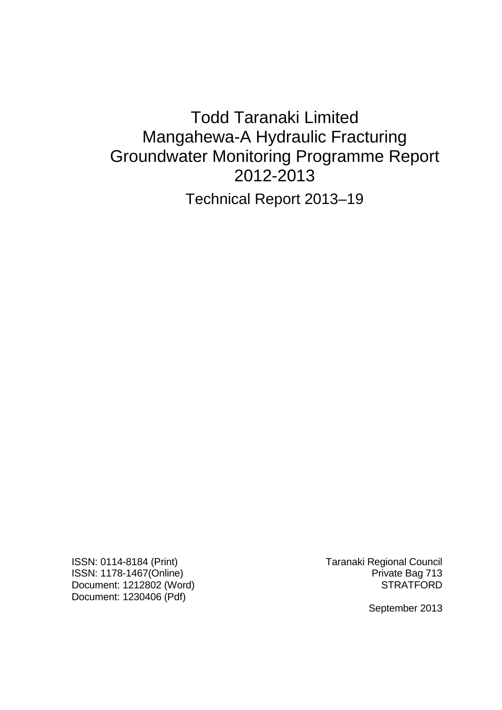# Todd Taranaki Limited Mangahewa-A Hydraulic Fracturing Groundwater Monitoring Programme Report 2012-2013

Technical Report 2013–19

ISSN: 0114-8184 (Print) Taranaki Regional Council ISSN: 1178-1467(Online) **Private Bag 713** Document: 1212802 (Word) STRATFORD Document: 1230406 (Pdf)

September 2013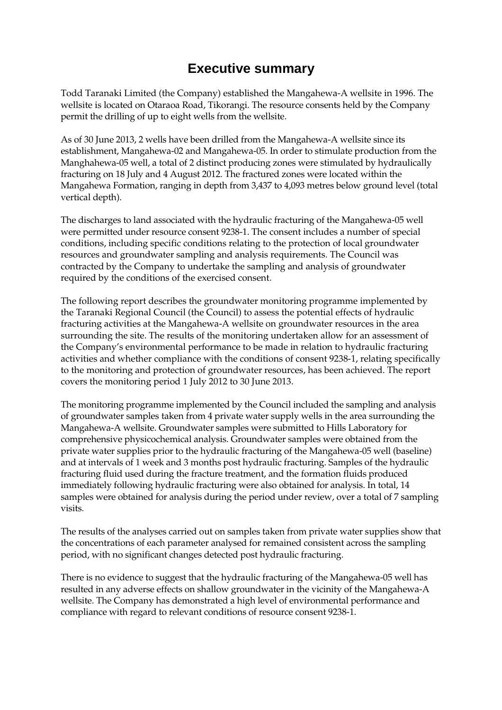# **Executive summary**

Todd Taranaki Limited (the Company) established the Mangahewa-A wellsite in 1996. The wellsite is located on Otaraoa Road, Tikorangi. The resource consents held by the Company permit the drilling of up to eight wells from the wellsite.

As of 30 June 2013, 2 wells have been drilled from the Mangahewa-A wellsite since its establishment, Mangahewa-02 and Mangahewa-05. In order to stimulate production from the Manghahewa-05 well, a total of 2 distinct producing zones were stimulated by hydraulically fracturing on 18 July and 4 August 2012. The fractured zones were located within the Mangahewa Formation, ranging in depth from 3,437 to 4,093 metres below ground level (total vertical depth).

The discharges to land associated with the hydraulic fracturing of the Mangahewa-05 well were permitted under resource consent 9238-1. The consent includes a number of special conditions, including specific conditions relating to the protection of local groundwater resources and groundwater sampling and analysis requirements. The Council was contracted by the Company to undertake the sampling and analysis of groundwater required by the conditions of the exercised consent.

The following report describes the groundwater monitoring programme implemented by the Taranaki Regional Council (the Council) to assess the potential effects of hydraulic fracturing activities at the Mangahewa-A wellsite on groundwater resources in the area surrounding the site. The results of the monitoring undertaken allow for an assessment of the Company's environmental performance to be made in relation to hydraulic fracturing activities and whether compliance with the conditions of consent 9238-1, relating specifically to the monitoring and protection of groundwater resources, has been achieved. The report covers the monitoring period 1 July 2012 to 30 June 2013.

The monitoring programme implemented by the Council included the sampling and analysis of groundwater samples taken from 4 private water supply wells in the area surrounding the Mangahewa-A wellsite. Groundwater samples were submitted to Hills Laboratory for comprehensive physicochemical analysis. Groundwater samples were obtained from the private water supplies prior to the hydraulic fracturing of the Mangahewa-05 well (baseline) and at intervals of 1 week and 3 months post hydraulic fracturing. Samples of the hydraulic fracturing fluid used during the fracture treatment, and the formation fluids produced immediately following hydraulic fracturing were also obtained for analysis. In total, 14 samples were obtained for analysis during the period under review, over a total of 7 sampling visits.

The results of the analyses carried out on samples taken from private water supplies show that the concentrations of each parameter analysed for remained consistent across the sampling period, with no significant changes detected post hydraulic fracturing.

There is no evidence to suggest that the hydraulic fracturing of the Mangahewa-05 well has resulted in any adverse effects on shallow groundwater in the vicinity of the Mangahewa-A wellsite. The Company has demonstrated a high level of environmental performance and compliance with regard to relevant conditions of resource consent 9238-1.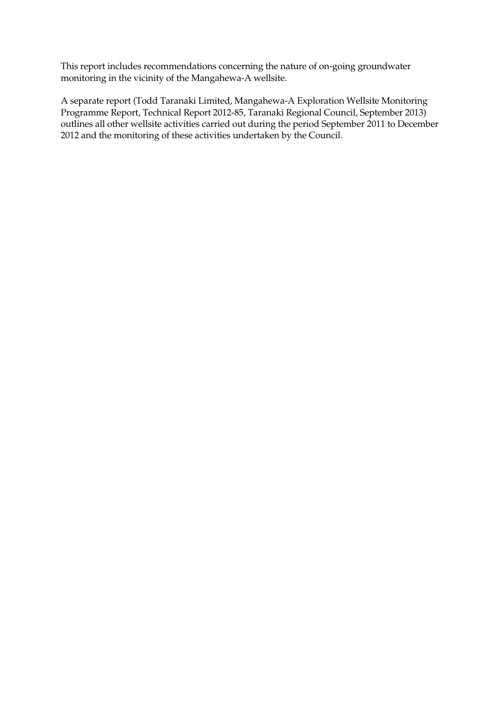This report includes recommendations concerning the nature of on-going groundwater monitoring in the vicinity of the Mangahewa-A wellsite.

A separate report (Todd Taranaki Limited, Mangahewa-A Exploration Wellsite Monitoring Programme Report, Technical Report 2012-85, Taranaki Regional Council, September 2013) outlines all other wellsite activities carried out during the period September 2011 to December 2012 and the monitoring of these activities undertaken by the Council.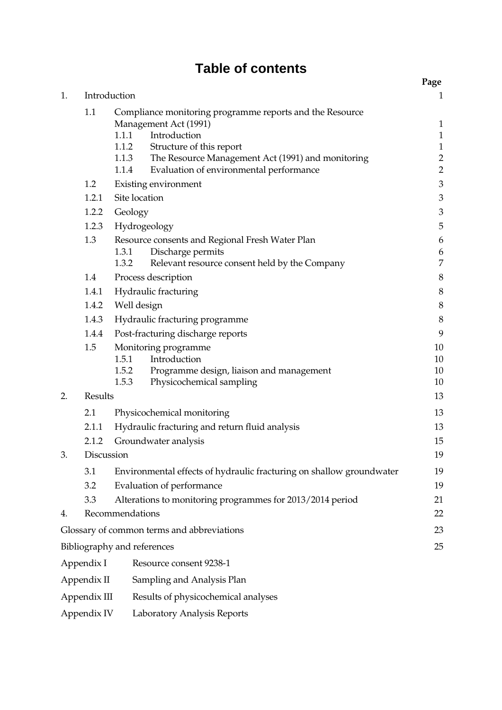# **Table of contents**

|    |                                            |                                                                      |                                                                                                                                                                                                                                     | Page                                                                    |  |  |  |
|----|--------------------------------------------|----------------------------------------------------------------------|-------------------------------------------------------------------------------------------------------------------------------------------------------------------------------------------------------------------------------------|-------------------------------------------------------------------------|--|--|--|
| 1. | Introduction                               |                                                                      |                                                                                                                                                                                                                                     |                                                                         |  |  |  |
|    | 1.1                                        | 1.1.2<br>1.1.3<br>1.1.4                                              | Compliance monitoring programme reports and the Resource<br>Management Act (1991)<br>1.1.1 Introduction<br>Structure of this report<br>The Resource Management Act (1991) and monitoring<br>Evaluation of environmental performance | $\mathbf 1$<br>$1\,$<br>$\mathbf 1$<br>$\overline{c}$<br>$\overline{2}$ |  |  |  |
|    | 1.2                                        |                                                                      | Existing environment                                                                                                                                                                                                                | 3                                                                       |  |  |  |
|    | 1.2.1                                      | Site location                                                        |                                                                                                                                                                                                                                     | 3                                                                       |  |  |  |
|    | 1.2.2                                      | Geology                                                              |                                                                                                                                                                                                                                     | 3                                                                       |  |  |  |
|    | 1.2.3                                      | Hydrogeology                                                         |                                                                                                                                                                                                                                     | 5                                                                       |  |  |  |
|    | 1.3                                        | 1.3.1<br>1.3.2                                                       | Resource consents and Regional Fresh Water Plan<br>Discharge permits<br>Relevant resource consent held by the Company                                                                                                               | 6<br>6<br>7                                                             |  |  |  |
|    | 1.4                                        | Process description                                                  |                                                                                                                                                                                                                                     |                                                                         |  |  |  |
|    | 1.4.1                                      | Hydraulic fracturing                                                 |                                                                                                                                                                                                                                     |                                                                         |  |  |  |
|    | 1.4.2                                      | Well design                                                          |                                                                                                                                                                                                                                     |                                                                         |  |  |  |
|    | 1.4.3                                      | Hydraulic fracturing programme                                       |                                                                                                                                                                                                                                     |                                                                         |  |  |  |
|    | 1.4.4                                      | Post-fracturing discharge reports                                    |                                                                                                                                                                                                                                     |                                                                         |  |  |  |
|    | 1.5                                        | 1.5.1<br>1.5.2<br>1.5.3                                              | Monitoring programme<br>Introduction<br>Programme design, liaison and management<br>Physicochemical sampling                                                                                                                        | 10<br>10<br>10<br>10                                                    |  |  |  |
| 2. | Results                                    |                                                                      |                                                                                                                                                                                                                                     | 13                                                                      |  |  |  |
|    | 2.1                                        | Physicochemical monitoring                                           |                                                                                                                                                                                                                                     |                                                                         |  |  |  |
|    | 2.1.1                                      | Hydraulic fracturing and return fluid analysis                       |                                                                                                                                                                                                                                     |                                                                         |  |  |  |
|    | 2.1.2                                      | Groundwater analysis                                                 |                                                                                                                                                                                                                                     |                                                                         |  |  |  |
| 3. | Discussion                                 |                                                                      |                                                                                                                                                                                                                                     |                                                                         |  |  |  |
|    | 3.1                                        | Environmental effects of hydraulic fracturing on shallow groundwater |                                                                                                                                                                                                                                     |                                                                         |  |  |  |
|    | 3.2                                        |                                                                      | Evaluation of performance                                                                                                                                                                                                           | 19                                                                      |  |  |  |
|    | 3.3                                        |                                                                      | Alterations to monitoring programmes for 2013/2014 period                                                                                                                                                                           | 21                                                                      |  |  |  |
| 4. |                                            | Recommendations                                                      |                                                                                                                                                                                                                                     | 22                                                                      |  |  |  |
|    | Glossary of common terms and abbreviations |                                                                      |                                                                                                                                                                                                                                     |                                                                         |  |  |  |
|    | Bibliography and references                |                                                                      |                                                                                                                                                                                                                                     |                                                                         |  |  |  |
|    | Appendix I                                 |                                                                      | Resource consent 9238-1                                                                                                                                                                                                             |                                                                         |  |  |  |
|    | Appendix II                                |                                                                      | Sampling and Analysis Plan                                                                                                                                                                                                          |                                                                         |  |  |  |
|    | Appendix III                               |                                                                      | Results of physicochemical analyses                                                                                                                                                                                                 |                                                                         |  |  |  |
|    |                                            |                                                                      |                                                                                                                                                                                                                                     |                                                                         |  |  |  |

Appendix IV Laboratory Analysis Reports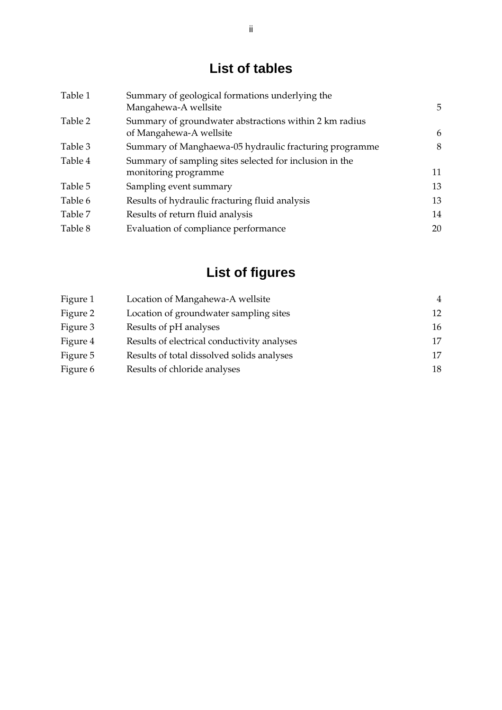# **List of tables**

| Table 1 | Summary of geological formations underlying the<br>Mangahewa-A wellsite           | 5  |
|---------|-----------------------------------------------------------------------------------|----|
| Table 2 | Summary of groundwater abstractions within 2 km radius<br>of Mangahewa-A wellsite | 6  |
| Table 3 | Summary of Manghaewa-05 hydraulic fracturing programme                            | 8  |
| Table 4 | Summary of sampling sites selected for inclusion in the<br>monitoring programme   | 11 |
| Table 5 | Sampling event summary                                                            | 13 |
| Table 6 | Results of hydraulic fracturing fluid analysis                                    | 13 |
| Table 7 | Results of return fluid analysis                                                  | 14 |
| Table 8 | Evaluation of compliance performance                                              | 20 |

# **List of figures**

| Figure 1 | Location of Mangahewa-A wellsite            | 4  |
|----------|---------------------------------------------|----|
| Figure 2 | Location of groundwater sampling sites      | 12 |
| Figure 3 | Results of pH analyses                      | 16 |
| Figure 4 | Results of electrical conductivity analyses | 17 |
| Figure 5 | Results of total dissolved solids analyses  | 17 |
| Figure 6 | Results of chloride analyses                | 18 |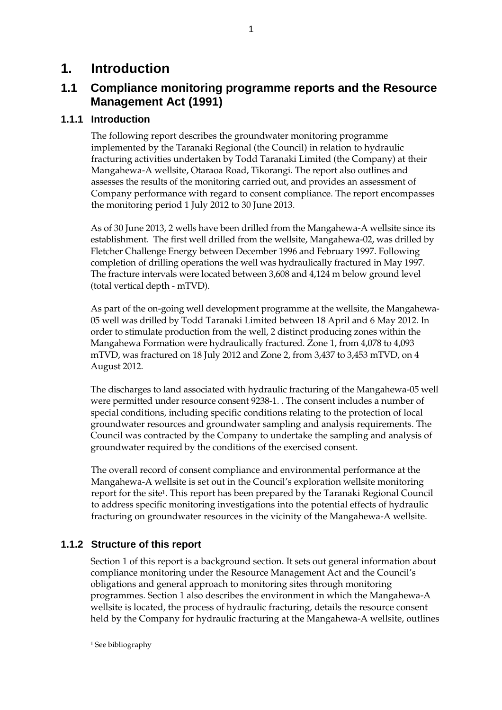## **1. Introduction**

## **1.1 Compliance monitoring programme reports and the Resource Management Act (1991)**

1

## **1.1.1 Introduction**

The following report describes the groundwater monitoring programme implemented by the Taranaki Regional (the Council) in relation to hydraulic fracturing activities undertaken by Todd Taranaki Limited (the Company) at their Mangahewa-A wellsite, Otaraoa Road, Tikorangi. The report also outlines and assesses the results of the monitoring carried out, and provides an assessment of Company performance with regard to consent compliance. The report encompasses the monitoring period 1 July 2012 to 30 June 2013.

As of 30 June 2013, 2 wells have been drilled from the Mangahewa-A wellsite since its establishment. The first well drilled from the wellsite, Mangahewa-02, was drilled by Fletcher Challenge Energy between December 1996 and February 1997. Following completion of drilling operations the well was hydraulically fractured in May 1997. The fracture intervals were located between 3,608 and 4,124 m below ground level (total vertical depth - mTVD).

As part of the on-going well development programme at the wellsite, the Mangahewa-05 well was drilled by Todd Taranaki Limited between 18 April and 6 May 2012. In order to stimulate production from the well, 2 distinct producing zones within the Mangahewa Formation were hydraulically fractured. Zone 1, from 4,078 to 4,093 mTVD, was fractured on 18 July 2012 and Zone 2, from 3,437 to 3,453 mTVD, on 4 August 2012.

The discharges to land associated with hydraulic fracturing of the Mangahewa-05 well were permitted under resource consent 9238-1. . The consent includes a number of special conditions, including specific conditions relating to the protection of local groundwater resources and groundwater sampling and analysis requirements. The Council was contracted by the Company to undertake the sampling and analysis of groundwater required by the conditions of the exercised consent.

The overall record of consent compliance and environmental performance at the Mangahewa-A wellsite is set out in the Council's exploration wellsite monitoring report for the site1. This report has been prepared by the Taranaki Regional Council to address specific monitoring investigations into the potential effects of hydraulic fracturing on groundwater resources in the vicinity of the Mangahewa-A wellsite.

## **1.1.2 Structure of this report**

Section 1 of this report is a background section. It sets out general information about compliance monitoring under the Resource Management Act and the Council's obligations and general approach to monitoring sites through monitoring programmes. Section 1 also describes the environment in which the Mangahewa-A wellsite is located, the process of hydraulic fracturing, details the resource consent held by the Company for hydraulic fracturing at the Mangahewa-A wellsite, outlines

1

<sup>&</sup>lt;sup>1</sup> See bibliography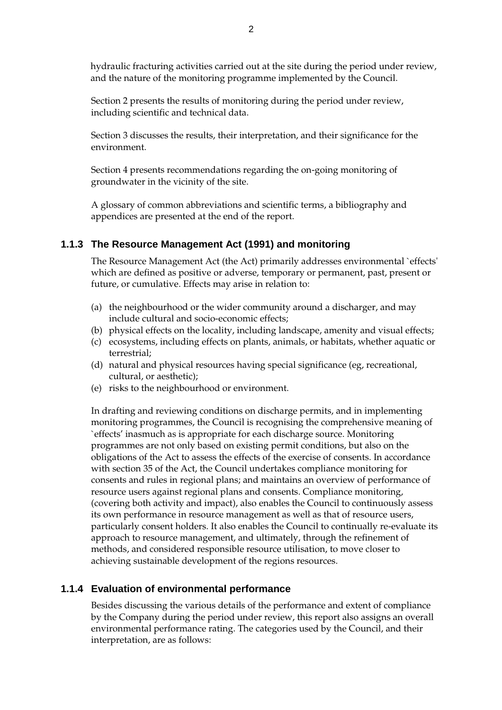hydraulic fracturing activities carried out at the site during the period under review, and the nature of the monitoring programme implemented by the Council.

Section 2 presents the results of monitoring during the period under review, including scientific and technical data.

Section 3 discusses the results, their interpretation, and their significance for the environment.

Section 4 presents recommendations regarding the on-going monitoring of groundwater in the vicinity of the site.

A glossary of common abbreviations and scientific terms, a bibliography and appendices are presented at the end of the report.

#### **1.1.3 The Resource Management Act (1991) and monitoring**

The Resource Management Act (the Act) primarily addresses environmental `effects' which are defined as positive or adverse, temporary or permanent, past, present or future, or cumulative. Effects may arise in relation to:

- (a) the neighbourhood or the wider community around a discharger, and may include cultural and socio-economic effects;
- (b) physical effects on the locality, including landscape, amenity and visual effects;
- (c) ecosystems, including effects on plants, animals, or habitats, whether aquatic or terrestrial;
- (d) natural and physical resources having special significance (eg, recreational, cultural, or aesthetic);
- (e) risks to the neighbourhood or environment.

In drafting and reviewing conditions on discharge permits, and in implementing monitoring programmes, the Council is recognising the comprehensive meaning of `effects' inasmuch as is appropriate for each discharge source. Monitoring programmes are not only based on existing permit conditions, but also on the obligations of the Act to assess the effects of the exercise of consents. In accordance with section 35 of the Act, the Council undertakes compliance monitoring for consents and rules in regional plans; and maintains an overview of performance of resource users against regional plans and consents. Compliance monitoring, (covering both activity and impact), also enables the Council to continuously assess its own performance in resource management as well as that of resource users, particularly consent holders. It also enables the Council to continually re-evaluate its approach to resource management, and ultimately, through the refinement of methods, and considered responsible resource utilisation, to move closer to achieving sustainable development of the regions resources.

#### **1.1.4 Evaluation of environmental performance**

Besides discussing the various details of the performance and extent of compliance by the Company during the period under review, this report also assigns an overall environmental performance rating. The categories used by the Council, and their interpretation, are as follows: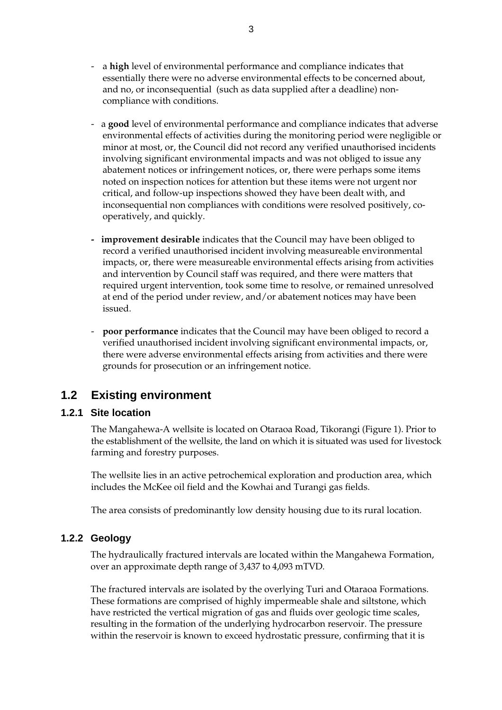- a **high** level of environmental performance and compliance indicates that essentially there were no adverse environmental effects to be concerned about, and no, or inconsequential (such as data supplied after a deadline) noncompliance with conditions.
- a good level of environmental performance and compliance indicates that adverse environmental effects of activities during the monitoring period were negligible or minor at most, or, the Council did not record any verified unauthorised incidents involving significant environmental impacts and was not obliged to issue any abatement notices or infringement notices, or, there were perhaps some items noted on inspection notices for attention but these items were not urgent nor critical, and follow-up inspections showed they have been dealt with, and inconsequential non compliances with conditions were resolved positively, cooperatively, and quickly.
- improvement desirable indicates that the Council may have been obliged to record a verified unauthorised incident involving measureable environmental impacts, or, there were measureable environmental effects arising from activities and intervention by Council staff was required, and there were matters that required urgent intervention, took some time to resolve, or remained unresolved at end of the period under review, and/or abatement notices may have been issued.
- **poor performance** indicates that the Council may have been obliged to record a verified unauthorised incident involving significant environmental impacts, or, there were adverse environmental effects arising from activities and there were grounds for prosecution or an infringement notice.

## **1.2 Existing environment**

#### **1.2.1 Site location**

The Mangahewa-A wellsite is located on Otaraoa Road, Tikorangi (Figure 1). Prior to the establishment of the wellsite, the land on which it is situated was used for livestock farming and forestry purposes.

The wellsite lies in an active petrochemical exploration and production area, which includes the McKee oil field and the Kowhai and Turangi gas fields.

The area consists of predominantly low density housing due to its rural location.

## **1.2.2 Geology**

The hydraulically fractured intervals are located within the Mangahewa Formation, over an approximate depth range of 3,437 to 4,093 mTVD.

The fractured intervals are isolated by the overlying Turi and Otaraoa Formations. These formations are comprised of highly impermeable shale and siltstone, which have restricted the vertical migration of gas and fluids over geologic time scales, resulting in the formation of the underlying hydrocarbon reservoir. The pressure within the reservoir is known to exceed hydrostatic pressure, confirming that it is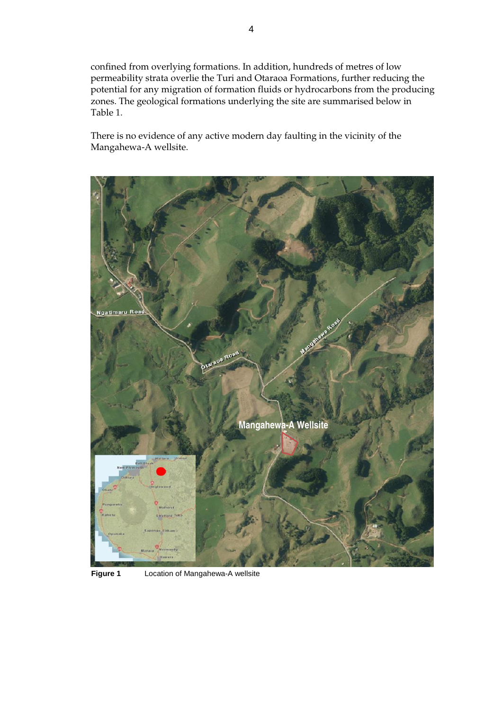confined from overlying formations. In addition, hundreds of metres of low permeability strata overlie the Turi and Otaraoa Formations, further reducing the potential for any migration of formation fluids or hydrocarbons from the producing zones. The geological formations underlying the site are summarised below in Table 1.

There is no evidence of any active modern day faulting in the vicinity of the Mangahewa-A wellsite.



**Figure 1** Location of Mangahewa-A wellsite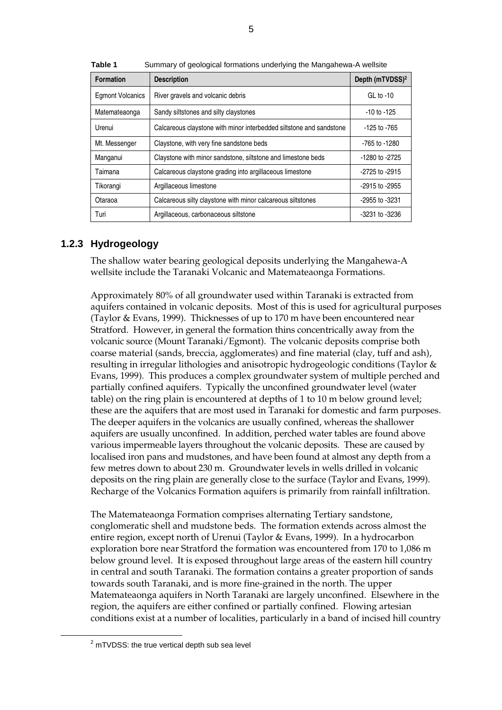| <b>Formation</b>        | <b>Description</b>                                                  | Depth (mTVDSS) <sup>2</sup> |
|-------------------------|---------------------------------------------------------------------|-----------------------------|
| <b>Egmont Volcanics</b> | River gravels and volcanic debris                                   | $GL$ to -10                 |
| Matemateaonga           | Sandy siltstones and silty claystones                               | $-10$ to $-125$             |
| Urenui                  | Calcareous claystone with minor interbedded siltstone and sandstone | $-125$ to $-765$            |
| Mt. Messenger           | Claystone, with very fine sandstone beds                            | -765 to -1280               |
| Manganui                | Claystone with minor sandstone, siltstone and limestone beds        | -1280 to -2725              |
| Taimana                 | Calcareous claystone grading into argillaceous limestone            | -2725 to -2915              |
| Tikorangi               | Argillaceous limestone                                              | -2915 to -2955              |
| Otaraoa                 | Calcareous silty claystone with minor calcareous siltstones         | -2955 to -3231              |
| Turi                    | Argillaceous, carbonaceous siltstone                                | -3231 to -3236              |

**Table 1** Summary of geological formations underlying the Mangahewa-A wellsite

#### **1.2.3 Hydrogeology**

The shallow water bearing geological deposits underlying the Mangahewa-A wellsite include the Taranaki Volcanic and Matemateaonga Formations.

Approximately 80% of all groundwater used within Taranaki is extracted from aquifers contained in volcanic deposits. Most of this is used for agricultural purposes (Taylor & Evans, 1999). Thicknesses of up to 170 m have been encountered near Stratford. However, in general the formation thins concentrically away from the volcanic source (Mount Taranaki/Egmont). The volcanic deposits comprise both coarse material (sands, breccia, agglomerates) and fine material (clay, tuff and ash), resulting in irregular lithologies and anisotropic hydrogeologic conditions (Taylor & Evans, 1999). This produces a complex groundwater system of multiple perched and partially confined aquifers. Typically the unconfined groundwater level (water table) on the ring plain is encountered at depths of 1 to 10 m below ground level; these are the aquifers that are most used in Taranaki for domestic and farm purposes. The deeper aquifers in the volcanics are usually confined, whereas the shallower aquifers are usually unconfined. In addition, perched water tables are found above various impermeable layers throughout the volcanic deposits. These are caused by localised iron pans and mudstones, and have been found at almost any depth from a few metres down to about 230 m. Groundwater levels in wells drilled in volcanic deposits on the ring plain are generally close to the surface (Taylor and Evans, 1999). Recharge of the Volcanics Formation aquifers is primarily from rainfall infiltration.

The Matemateaonga Formation comprises alternating Tertiary sandstone, conglomeratic shell and mudstone beds. The formation extends across almost the entire region, except north of Urenui (Taylor & Evans, 1999). In a hydrocarbon exploration bore near Stratford the formation was encountered from 170 to 1,086 m below ground level. It is exposed throughout large areas of the eastern hill country in central and south Taranaki. The formation contains a greater proportion of sands towards south Taranaki, and is more fine-grained in the north. The upper Matemateaonga aquifers in North Taranaki are largely unconfined. Elsewhere in the region, the aquifers are either confined or partially confined. Flowing artesian conditions exist at a number of localities, particularly in a band of incised hill country

1

 $2$  mTVDSS: the true vertical depth sub sea level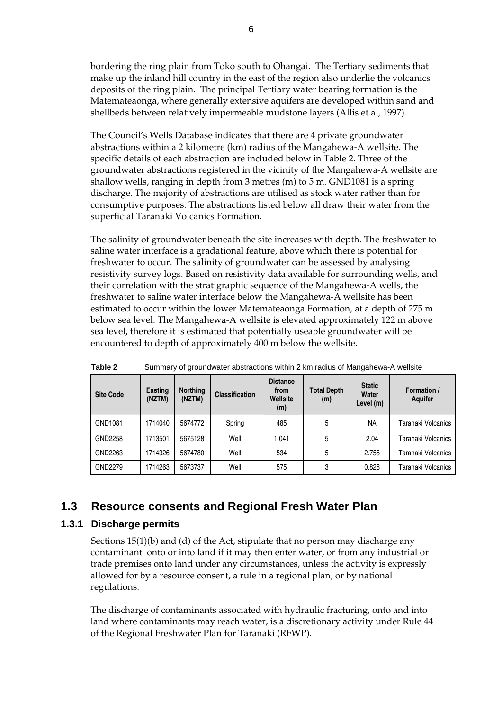bordering the ring plain from Toko south to Ohangai. The Tertiary sediments that make up the inland hill country in the east of the region also underlie the volcanics deposits of the ring plain. The principal Tertiary water bearing formation is the Matemateaonga, where generally extensive aquifers are developed within sand and shellbeds between relatively impermeable mudstone layers (Allis et al, 1997).

The Council's Wells Database indicates that there are 4 private groundwater abstractions within a 2 kilometre (km) radius of the Mangahewa-A wellsite. The specific details of each abstraction are included below in Table 2. Three of the groundwater abstractions registered in the vicinity of the Mangahewa-A wellsite are shallow wells, ranging in depth from 3 metres (m) to 5 m. GND1081 is a spring discharge. The majority of abstractions are utilised as stock water rather than for consumptive purposes. The abstractions listed below all draw their water from the superficial Taranaki Volcanics Formation.

The salinity of groundwater beneath the site increases with depth. The freshwater to saline water interface is a gradational feature, above which there is potential for freshwater to occur. The salinity of groundwater can be assessed by analysing resistivity survey logs. Based on resistivity data available for surrounding wells, and their correlation with the stratigraphic sequence of the Mangahewa-A wells, the freshwater to saline water interface below the Mangahewa-A wellsite has been estimated to occur within the lower Matemateaonga Formation, at a depth of 275 m below sea level. The Mangahewa-A wellsite is elevated approximately 122 m above sea level, therefore it is estimated that potentially useable groundwater will be encountered to depth of approximately 400 m below the wellsite.

| <b>Site Code</b> | <b>Easting</b><br>(NZTM) | <b>Northing</b><br>(NZTM) | <b>Classification</b> | <b>Distance</b><br>from<br>Wellsite<br>(m) | Total Depth<br>(m) | <b>Static</b><br>Water<br>Level (m) | Formation /<br>Aquifer |
|------------------|--------------------------|---------------------------|-----------------------|--------------------------------------------|--------------------|-------------------------------------|------------------------|
| GND1081          | 1714040                  | 5674772                   | Spring                | 485                                        | 5                  | <b>NA</b>                           | Taranaki Volcanics     |
| GND2258          | 1713501                  | 5675128                   | Well                  | 1.041                                      | 5                  | 2.04                                | Taranaki Volcanics     |
| GND2263          | 1714326                  | 5674780                   | Well                  | 534                                        | 5                  | 2.755                               | Taranaki Volcanics     |
| GND2279          | 1714263                  | 5673737                   | Well                  | 575                                        | 3                  | 0.828                               | Taranaki Volcanics     |

**Table 2** Summary of groundwater abstractions within 2 km radius of Mangahewa-A wellsite

## **1.3 Resource consents and Regional Fresh Water Plan**

#### **1.3.1 Discharge permits**

 Sections 15(1)(b) and (d) of the Act, stipulate that no person may discharge any contaminant onto or into land if it may then enter water, or from any industrial or trade premises onto land under any circumstances, unless the activity is expressly allowed for by a resource consent, a rule in a regional plan, or by national regulations.

The discharge of contaminants associated with hydraulic fracturing, onto and into land where contaminants may reach water, is a discretionary activity under Rule 44 of the Regional Freshwater Plan for Taranaki (RFWP).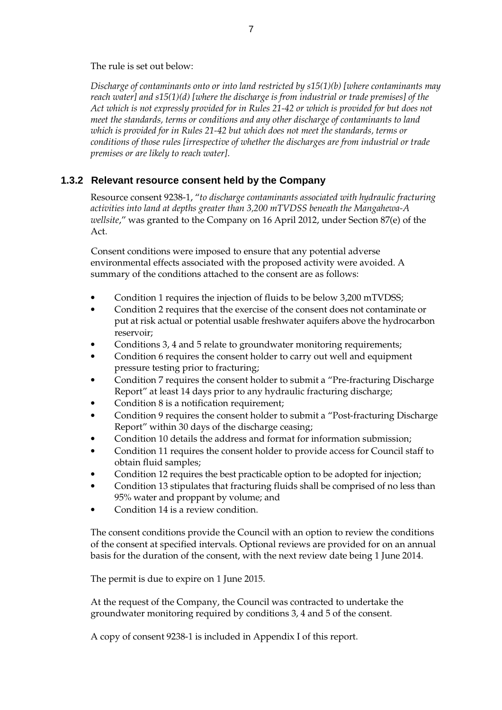The rule is set out below:

*Discharge of contaminants onto or into land restricted by s15(1)(b) [where contaminants may reach water] and s15(1)(d) [where the discharge is from industrial or trade premises] of the Act which is not expressly provided for in Rules 21-42 or which is provided for but does not meet the standards, terms or conditions and any other discharge of contaminants to land which is provided for in Rules 21-42 but which does not meet the standards, terms or conditions of those rules [irrespective of whether the discharges are from industrial or trade premises or are likely to reach water]*.

## **1.3.2 Relevant resource consent held by the Company**

Resource consent 9238-1, "*to discharge contaminants associated with hydraulic fracturing activities into land at depths greater than 3,200 mTVDSS beneath the Mangahewa-A wellsite*," was granted to the Company on 16 April 2012, under Section 87(e) of the Act.

Consent conditions were imposed to ensure that any potential adverse environmental effects associated with the proposed activity were avoided. A summary of the conditions attached to the consent are as follows:

- Condition 1 requires the injection of fluids to be below 3,200 mTVDSS;
- Condition 2 requires that the exercise of the consent does not contaminate or put at risk actual or potential usable freshwater aquifers above the hydrocarbon reservoir;
- Conditions 3, 4 and 5 relate to groundwater monitoring requirements;
- Condition 6 requires the consent holder to carry out well and equipment pressure testing prior to fracturing;
- Condition 7 requires the consent holder to submit a "Pre-fracturing Discharge Report" at least 14 days prior to any hydraulic fracturing discharge;
- Condition 8 is a notification requirement;
- Condition 9 requires the consent holder to submit a "Post-fracturing Discharge Report" within 30 days of the discharge ceasing;
- Condition 10 details the address and format for information submission;
- Condition 11 requires the consent holder to provide access for Council staff to obtain fluid samples;
- Condition 12 requires the best practicable option to be adopted for injection;
- Condition 13 stipulates that fracturing fluids shall be comprised of no less than 95% water and proppant by volume; and
- Condition 14 is a review condition.

The consent conditions provide the Council with an option to review the conditions of the consent at specified intervals. Optional reviews are provided for on an annual basis for the duration of the consent, with the next review date being 1 June 2014.

The permit is due to expire on 1 June 2015.

At the request of the Company, the Council was contracted to undertake the groundwater monitoring required by conditions 3, 4 and 5 of the consent.

A copy of consent 9238-1 is included in Appendix I of this report.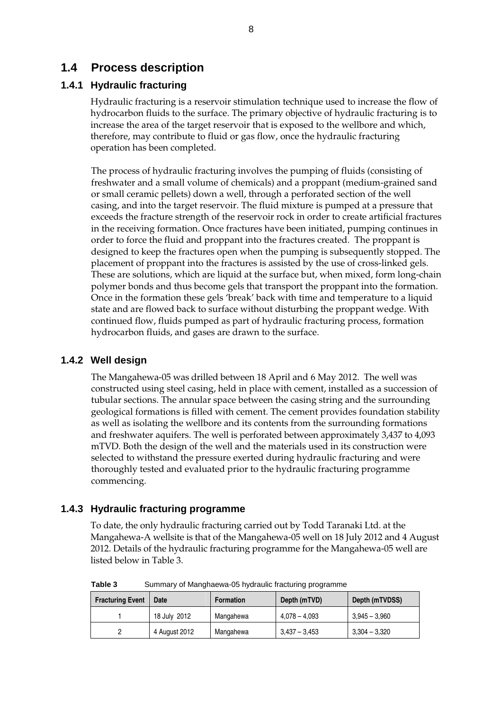## **1.4 Process description**

## **1.4.1 Hydraulic fracturing**

Hydraulic fracturing is a reservoir stimulation technique used to increase the flow of hydrocarbon fluids to the surface. The primary objective of hydraulic fracturing is to increase the area of the target reservoir that is exposed to the wellbore and which, therefore, may contribute to fluid or gas flow, once the hydraulic fracturing operation has been completed.

The process of hydraulic fracturing involves the pumping of fluids (consisting of freshwater and a small volume of chemicals) and a proppant (medium-grained sand or small ceramic pellets) down a well, through a perforated section of the well casing, and into the target reservoir. The fluid mixture is pumped at a pressure that exceeds the fracture strength of the reservoir rock in order to create artificial fractures in the receiving formation. Once fractures have been initiated, pumping continues in order to force the fluid and proppant into the fractures created. The proppant is designed to keep the fractures open when the pumping is subsequently stopped. The placement of proppant into the fractures is assisted by the use of cross-linked gels. These are solutions, which are liquid at the surface but, when mixed, form long-chain polymer bonds and thus become gels that transport the proppant into the formation. Once in the formation these gels 'break' back with time and temperature to a liquid state and are flowed back to surface without disturbing the proppant wedge. With continued flow, fluids pumped as part of hydraulic fracturing process, formation hydrocarbon fluids, and gases are drawn to the surface.

#### **1.4.2 Well design**

The Mangahewa-05 was drilled between 18 April and 6 May 2012. The well was constructed using steel casing, held in place with cement, installed as a succession of tubular sections. The annular space between the casing string and the surrounding geological formations is filled with cement. The cement provides foundation stability as well as isolating the wellbore and its contents from the surrounding formations and freshwater aquifers. The well is perforated between approximately 3,437 to 4,093 mTVD. Both the design of the well and the materials used in its construction were selected to withstand the pressure exerted during hydraulic fracturing and were thoroughly tested and evaluated prior to the hydraulic fracturing programme commencing.

#### **1.4.3 Hydraulic fracturing programme**

To date, the only hydraulic fracturing carried out by Todd Taranaki Ltd. at the Mangahewa-A wellsite is that of the Mangahewa-05 well on 18 July 2012 and 4 August 2012. Details of the hydraulic fracturing programme for the Mangahewa-05 well are listed below in Table 3.

| Tapic J<br><u>Udininary or ividily idewa-ou hydiadile hacturing programme</u> |               |                  |                 |                 |  |  |  |
|-------------------------------------------------------------------------------|---------------|------------------|-----------------|-----------------|--|--|--|
| <b>Fracturing Event</b>                                                       | Date          | <b>Formation</b> | Depth (mTVD)    | Depth (mTVDSS)  |  |  |  |
|                                                                               | 18 July 2012  | Mangahewa        | $4.078 - 4.093$ | $3.945 - 3.960$ |  |  |  |
|                                                                               | 4 August 2012 | Mangahewa        | 3,437 – 3,453   | $3,304 - 3,320$ |  |  |  |

**Table 3** Summary of Manghaewa-05 hydraulic fracturing programme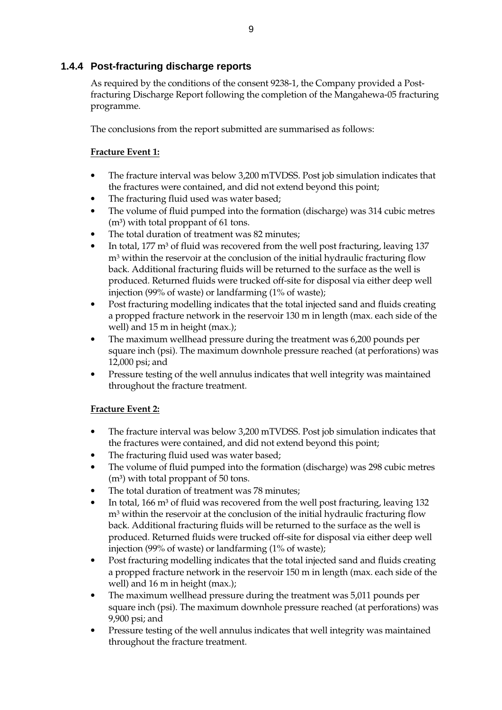## **1.4.4 Post-fracturing discharge reports**

As required by the conditions of the consent 9238-1, the Company provided a Postfracturing Discharge Report following the completion of the Mangahewa-05 fracturing programme.

The conclusions from the report submitted are summarised as follows:

#### **Fracture Event 1:**

- The fracture interval was below 3,200 mTVDSS. Post job simulation indicates that the fractures were contained, and did not extend beyond this point;
- The fracturing fluid used was water based;
- The volume of fluid pumped into the formation (discharge) was 314 cubic metres  $(m<sup>3</sup>)$  with total proppant of 61 tons.
- The total duration of treatment was 82 minutes;
- In total, 177 m<sup>3</sup> of fluid was recovered from the well post fracturing, leaving 137 m3 within the reservoir at the conclusion of the initial hydraulic fracturing flow back. Additional fracturing fluids will be returned to the surface as the well is produced. Returned fluids were trucked off-site for disposal via either deep well injection (99% of waste) or landfarming (1% of waste);
- Post fracturing modelling indicates that the total injected sand and fluids creating a propped fracture network in the reservoir 130 m in length (max. each side of the well) and 15 m in height (max.);
- The maximum wellhead pressure during the treatment was 6,200 pounds per square inch (psi). The maximum downhole pressure reached (at perforations) was 12,000 psi; and
- Pressure testing of the well annulus indicates that well integrity was maintained throughout the fracture treatment.

## **Fracture Event 2:**

- The fracture interval was below 3,200 mTVDSS. Post job simulation indicates that the fractures were contained, and did not extend beyond this point;
- The fracturing fluid used was water based;
- The volume of fluid pumped into the formation (discharge) was 298 cubic metres  $(m<sup>3</sup>)$  with total proppant of 50 tons.
- The total duration of treatment was 78 minutes;
- In total,  $166 \text{ m}^3$  of fluid was recovered from the well post fracturing, leaving  $132$ m3 within the reservoir at the conclusion of the initial hydraulic fracturing flow back. Additional fracturing fluids will be returned to the surface as the well is produced. Returned fluids were trucked off-site for disposal via either deep well injection (99% of waste) or landfarming (1% of waste);
- Post fracturing modelling indicates that the total injected sand and fluids creating a propped fracture network in the reservoir 150 m in length (max. each side of the well) and 16 m in height (max.);
- The maximum wellhead pressure during the treatment was 5,011 pounds per square inch (psi). The maximum downhole pressure reached (at perforations) was 9,900 psi; and
- Pressure testing of the well annulus indicates that well integrity was maintained throughout the fracture treatment.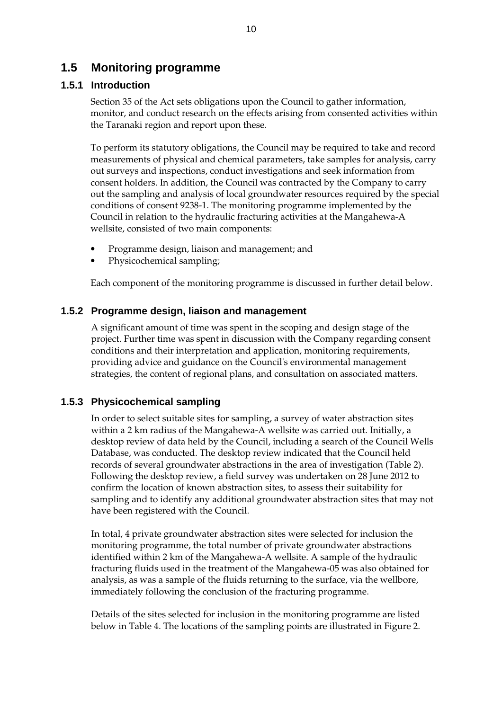## **1.5 Monitoring programme**

#### **1.5.1 Introduction**

Section 35 of the Act sets obligations upon the Council to gather information, monitor, and conduct research on the effects arising from consented activities within the Taranaki region and report upon these.

To perform its statutory obligations, the Council may be required to take and record measurements of physical and chemical parameters, take samples for analysis, carry out surveys and inspections, conduct investigations and seek information from consent holders. In addition, the Council was contracted by the Company to carry out the sampling and analysis of local groundwater resources required by the special conditions of consent 9238-1. The monitoring programme implemented by the Council in relation to the hydraulic fracturing activities at the Mangahewa-A wellsite, consisted of two main components:

- Programme design, liaison and management; and
- Physicochemical sampling;

Each component of the monitoring programme is discussed in further detail below.

#### **1.5.2 Programme design, liaison and management**

A significant amount of time was spent in the scoping and design stage of the project. Further time was spent in discussion with the Company regarding consent conditions and their interpretation and application, monitoring requirements, providing advice and guidance on the Council's environmental management strategies, the content of regional plans, and consultation on associated matters.

#### **1.5.3 Physicochemical sampling**

In order to select suitable sites for sampling, a survey of water abstraction sites within a 2 km radius of the Mangahewa-A wellsite was carried out. Initially, a desktop review of data held by the Council, including a search of the Council Wells Database, was conducted. The desktop review indicated that the Council held records of several groundwater abstractions in the area of investigation (Table 2). Following the desktop review, a field survey was undertaken on 28 June 2012 to confirm the location of known abstraction sites, to assess their suitability for sampling and to identify any additional groundwater abstraction sites that may not have been registered with the Council.

In total, 4 private groundwater abstraction sites were selected for inclusion the monitoring programme, the total number of private groundwater abstractions identified within 2 km of the Mangahewa-A wellsite. A sample of the hydraulic fracturing fluids used in the treatment of the Mangahewa-05 was also obtained for analysis, as was a sample of the fluids returning to the surface, via the wellbore, immediately following the conclusion of the fracturing programme.

Details of the sites selected for inclusion in the monitoring programme are listed below in Table 4. The locations of the sampling points are illustrated in Figure 2.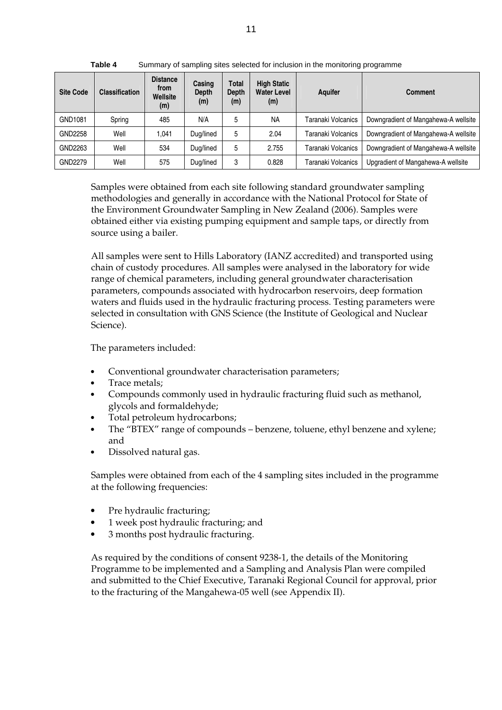| <b>Site Code</b> | <b>Classification</b> | <b>Distance</b><br>from<br>Wellsite<br>(m) | Casing<br>Depth<br>(m) | <b>Total</b><br><b>Depth</b><br>(m) | <b>High Static</b><br><b>Water Level</b><br>(m) | <b>Aquifer</b>     | <b>Comment</b>                       |
|------------------|-----------------------|--------------------------------------------|------------------------|-------------------------------------|-------------------------------------------------|--------------------|--------------------------------------|
| GND1081          | Spring                | 485                                        | N/A                    | 5                                   | <b>NA</b>                                       | Taranaki Volcanics | Downgradient of Mangahewa-A wellsite |
| GND2258          | Well                  | 1.041                                      | Dug/lined              | 5                                   | 2.04                                            | Taranaki Volcanics | Downgradient of Mangahewa-A wellsite |
| GND2263          | Well                  | 534                                        | Dug/lined              | 5                                   | 2.755                                           | Taranaki Volcanics | Downgradient of Mangahewa-A wellsite |
| GND2279          | Well                  | 575                                        | Dug/lined              | 3                                   | 0.828                                           | Taranaki Volcanics | Upgradient of Mangahewa-A wellsite   |

**Table 4** Summary of sampling sites selected for inclusion in the monitoring programme

Samples were obtained from each site following standard groundwater sampling methodologies and generally in accordance with the National Protocol for State of the Environment Groundwater Sampling in New Zealand (2006). Samples were obtained either via existing pumping equipment and sample taps, or directly from source using a bailer.

All samples were sent to Hills Laboratory (IANZ accredited) and transported using chain of custody procedures. All samples were analysed in the laboratory for wide range of chemical parameters, including general groundwater characterisation parameters, compounds associated with hydrocarbon reservoirs, deep formation waters and fluids used in the hydraulic fracturing process. Testing parameters were selected in consultation with GNS Science (the Institute of Geological and Nuclear Science).

The parameters included:

- Conventional groundwater characterisation parameters;
- Trace metals;
- Compounds commonly used in hydraulic fracturing fluid such as methanol, glycols and formaldehyde;
- Total petroleum hydrocarbons;
- The "BTEX" range of compounds benzene, toluene, ethyl benzene and xylene; and
- Dissolved natural gas.

Samples were obtained from each of the 4 sampling sites included in the programme at the following frequencies:

- Pre hydraulic fracturing;
- 1 week post hydraulic fracturing; and
- 3 months post hydraulic fracturing.

As required by the conditions of consent 9238-1, the details of the Monitoring Programme to be implemented and a Sampling and Analysis Plan were compiled and submitted to the Chief Executive, Taranaki Regional Council for approval, prior to the fracturing of the Mangahewa-05 well (see Appendix II).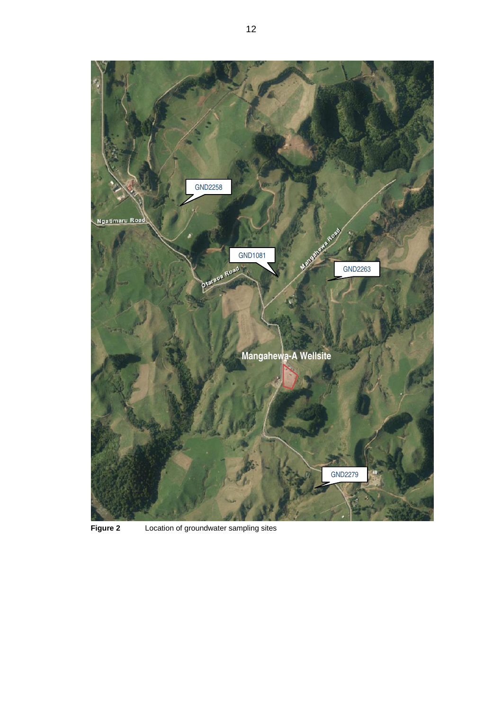

**Figure 2** Location of groundwater sampling sites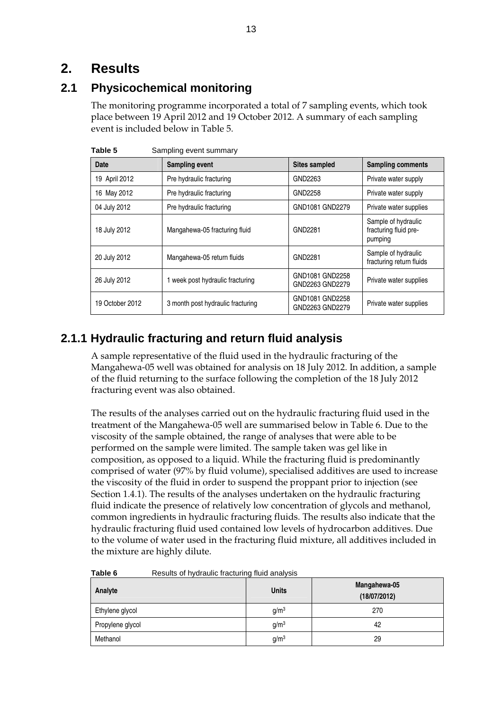# **2. Results**

# **2.1 Physicochemical monitoring**

The monitoring programme incorporated a total of 7 sampling events, which took place between 19 April 2012 and 19 October 2012. A summary of each sampling event is included below in Table 5.

| Table 5         | Sampling event summary            |                                    |                                                         |  |  |  |  |
|-----------------|-----------------------------------|------------------------------------|---------------------------------------------------------|--|--|--|--|
| Date            | <b>Sampling event</b>             | <b>Sites sampled</b>               | <b>Sampling comments</b>                                |  |  |  |  |
| 19 April 2012   | Pre hydraulic fracturing          | GND2263                            | Private water supply                                    |  |  |  |  |
| 16 May 2012     | Pre hydraulic fracturing          | GND2258                            | Private water supply                                    |  |  |  |  |
| 04 July 2012    | Pre hydraulic fracturing          | GND1081 GND2279                    | Private water supplies                                  |  |  |  |  |
| 18 July 2012    | Mangahewa-05 fracturing fluid     | GND2281                            | Sample of hydraulic<br>fracturing fluid pre-<br>pumping |  |  |  |  |
| 20 July 2012    | Mangahewa-05 return fluids        | GND2281                            | Sample of hydraulic<br>fracturing return fluids         |  |  |  |  |
| 26 July 2012    | 1 week post hydraulic fracturing  | GND1081 GND2258<br>GND2263 GND2279 | Private water supplies                                  |  |  |  |  |
| 19 October 2012 | 3 month post hydraulic fracturing | GND1081 GND2258<br>GND2263 GND2279 | Private water supplies                                  |  |  |  |  |

# **2.1.1 Hydraulic fracturing and return fluid analysis**

A sample representative of the fluid used in the hydraulic fracturing of the Mangahewa-05 well was obtained for analysis on 18 July 2012. In addition, a sample of the fluid returning to the surface following the completion of the 18 July 2012 fracturing event was also obtained.

The results of the analyses carried out on the hydraulic fracturing fluid used in the treatment of the Mangahewa-05 well are summarised below in Table 6. Due to the viscosity of the sample obtained, the range of analyses that were able to be performed on the sample were limited. The sample taken was gel like in composition, as opposed to a liquid. While the fracturing fluid is predominantly comprised of water (97% by fluid volume), specialised additives are used to increase the viscosity of the fluid in order to suspend the proppant prior to injection (see Section 1.4.1). The results of the analyses undertaken on the hydraulic fracturing fluid indicate the presence of relatively low concentration of glycols and methanol, common ingredients in hydraulic fracturing fluids. The results also indicate that the hydraulic fracturing fluid used contained low levels of hydrocarbon additives. Due to the volume of water used in the fracturing fluid mixture, all additives included in the mixture are highly dilute.

| Analyte          | <b>Units</b>     | Mangahewa-05<br>(18/07/2012) |
|------------------|------------------|------------------------------|
| Ethylene glycol  | g/m <sup>3</sup> | 270                          |
| Propylene glycol | g/m <sup>3</sup> | 42                           |
| Methanol         | g/m <sup>3</sup> | 29                           |

**Table 6** Results of hydraulic fracturing fluid analysis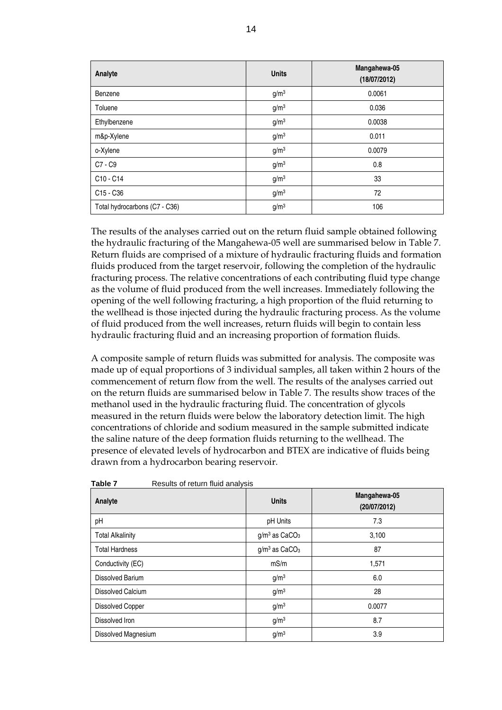| Analyte                       | <b>Units</b>     | Mangahewa-05<br>(18/07/2012) |
|-------------------------------|------------------|------------------------------|
| Benzene                       | g/m <sup>3</sup> | 0.0061                       |
| Toluene                       | g/m <sup>3</sup> | 0.036                        |
| Ethylbenzene                  | g/m <sup>3</sup> | 0.0038                       |
| m&p-Xylene                    | g/m <sup>3</sup> | 0.011                        |
| o-Xylene                      | g/m <sup>3</sup> | 0.0079                       |
| C7 - C9                       | g/m <sup>3</sup> | 0.8                          |
| C10 - C14                     | g/m <sup>3</sup> | 33                           |
| C15 - C36                     | g/m <sup>3</sup> | 72                           |
| Total hydrocarbons (C7 - C36) | g/m <sup>3</sup> | 106                          |

The results of the analyses carried out on the return fluid sample obtained following the hydraulic fracturing of the Mangahewa-05 well are summarised below in Table 7. Return fluids are comprised of a mixture of hydraulic fracturing fluids and formation fluids produced from the target reservoir, following the completion of the hydraulic fracturing process. The relative concentrations of each contributing fluid type change as the volume of fluid produced from the well increases. Immediately following the opening of the well following fracturing, a high proportion of the fluid returning to the wellhead is those injected during the hydraulic fracturing process. As the volume of fluid produced from the well increases, return fluids will begin to contain less hydraulic fracturing fluid and an increasing proportion of formation fluids.

A composite sample of return fluids was submitted for analysis. The composite was made up of equal proportions of 3 individual samples, all taken within 2 hours of the commencement of return flow from the well. The results of the analyses carried out on the return fluids are summarised below in Table 7. The results show traces of the methanol used in the hydraulic fracturing fluid. The concentration of glycols measured in the return fluids were below the laboratory detection limit. The high concentrations of chloride and sodium measured in the sample submitted indicate the saline nature of the deep formation fluids returning to the wellhead. The presence of elevated levels of hydrocarbon and BTEX are indicative of fluids being drawn from a hydrocarbon bearing reservoir.

| Table T<br>Results Of Teturn hulu analysis |                             |                              |
|--------------------------------------------|-----------------------------|------------------------------|
| Analyte                                    | <b>Units</b>                | Mangahewa-05<br>(20/07/2012) |
| pH                                         | pH Units                    | 7.3                          |
| <b>Total Alkalinity</b>                    | $g/m3$ as CaCO <sub>3</sub> | 3,100                        |
| <b>Total Hardness</b>                      | $g/m3$ as CaCO <sub>3</sub> | 87                           |
| Conductivity (EC)                          | mS/m                        | 1,571                        |
| Dissolved Barium                           | g/m <sup>3</sup>            | 6.0                          |
| Dissolved Calcium                          | g/m <sup>3</sup>            | 28                           |
| <b>Dissolved Copper</b>                    | g/m <sup>3</sup>            | 0.0077                       |
| Dissolved Iron                             | g/m <sup>3</sup>            | 8.7                          |
| Dissolved Magnesium                        | g/m <sup>3</sup>            | 3.9                          |

**Table 7** Results of return fluid analysis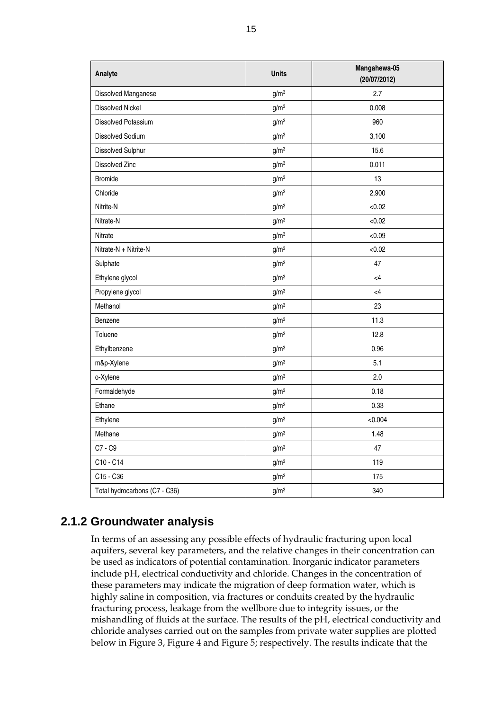| Analyte                       | <b>Units</b>     | Mangahewa-05<br>(20/07/2012) |
|-------------------------------|------------------|------------------------------|
| Dissolved Manganese           | g/m <sup>3</sup> | 2.7                          |
| <b>Dissolved Nickel</b>       | g/m <sup>3</sup> | 0.008                        |
| Dissolved Potassium           | g/m <sup>3</sup> | 960                          |
| Dissolved Sodium              | g/m <sup>3</sup> | 3,100                        |
| Dissolved Sulphur             | g/m <sup>3</sup> | 15.6                         |
| Dissolved Zinc                | g/m <sup>3</sup> | 0.011                        |
| <b>Bromide</b>                | g/m <sup>3</sup> | 13                           |
| Chloride                      | g/m <sup>3</sup> | 2,900                        |
| Nitrite-N                     | g/m <sup>3</sup> | < 0.02                       |
| Nitrate-N                     | g/m <sup>3</sup> | < 0.02                       |
| Nitrate                       | g/m <sup>3</sup> | < 0.09                       |
| Nitrate-N + Nitrite-N         | g/m <sup>3</sup> | < 0.02                       |
| Sulphate                      | g/m <sup>3</sup> | 47                           |
| Ethylene glycol               | g/m <sup>3</sup> | $\leq 4$                     |
| Propylene glycol              | g/m <sup>3</sup> | $\leq$ 4                     |
| Methanol                      | g/m <sup>3</sup> | 23                           |
| Benzene                       | g/m <sup>3</sup> | 11.3                         |
| Toluene                       | g/m <sup>3</sup> | 12.8                         |
| Ethylbenzene                  | g/m <sup>3</sup> | 0.96                         |
| m&p-Xylene                    | g/m <sup>3</sup> | 5.1                          |
| o-Xylene                      | g/m <sup>3</sup> | 2.0                          |
| Formaldehyde                  | g/m <sup>3</sup> | 0.18                         |
| Ethane                        | g/m <sup>3</sup> | 0.33                         |
| Ethylene                      | g/m <sup>3</sup> | < 0.004                      |
| Methane                       | g/m <sup>3</sup> | 1.48                         |
| C7 - C9                       | g/m <sup>3</sup> | 47                           |
| C10 - C14                     | g/m <sup>3</sup> | 119                          |
| C15 - C36                     | g/m <sup>3</sup> | 175                          |
| Total hydrocarbons (C7 - C36) | g/m <sup>3</sup> | 340                          |

# **2.1.2 Groundwater analysis**

In terms of an assessing any possible effects of hydraulic fracturing upon local aquifers, several key parameters, and the relative changes in their concentration can be used as indicators of potential contamination. Inorganic indicator parameters include pH, electrical conductivity and chloride. Changes in the concentration of these parameters may indicate the migration of deep formation water, which is highly saline in composition, via fractures or conduits created by the hydraulic fracturing process, leakage from the wellbore due to integrity issues, or the mishandling of fluids at the surface. The results of the pH, electrical conductivity and chloride analyses carried out on the samples from private water supplies are plotted below in Figure 3, Figure 4 and Figure 5; respectively. The results indicate that the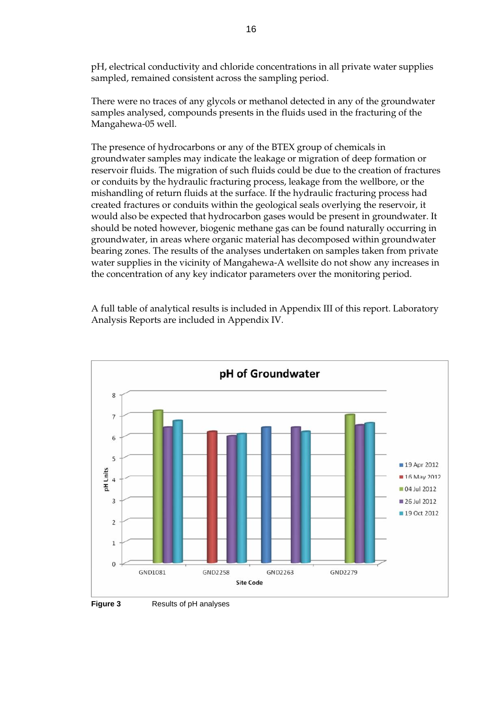pH, electrical conductivity and chloride concentrations in all private water supplies sampled, remained consistent across the sampling period.

There were no traces of any glycols or methanol detected in any of the groundwater samples analysed, compounds presents in the fluids used in the fracturing of the Mangahewa-05 well.

The presence of hydrocarbons or any of the BTEX group of chemicals in groundwater samples may indicate the leakage or migration of deep formation or reservoir fluids. The migration of such fluids could be due to the creation of fractures or conduits by the hydraulic fracturing process, leakage from the wellbore, or the mishandling of return fluids at the surface. If the hydraulic fracturing process had created fractures or conduits within the geological seals overlying the reservoir, it would also be expected that hydrocarbon gases would be present in groundwater. It should be noted however, biogenic methane gas can be found naturally occurring in groundwater, in areas where organic material has decomposed within groundwater bearing zones. The results of the analyses undertaken on samples taken from private water supplies in the vicinity of Mangahewa-A wellsite do not show any increases in the concentration of any key indicator parameters over the monitoring period.

A full table of analytical results is included in Appendix III of this report. Laboratory Analysis Reports are included in Appendix IV.



**Figure 3** Results of pH analyses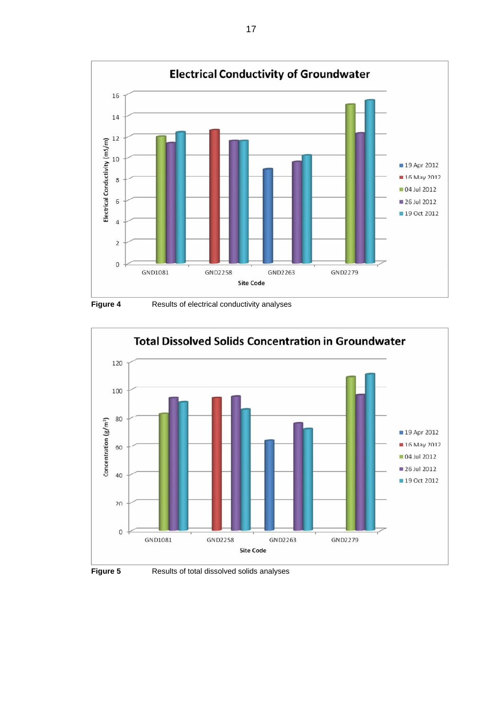

**Figure 4 Results of electrical conductivity analyses** 





**Figure 5 Results of total dissolved solids analyses**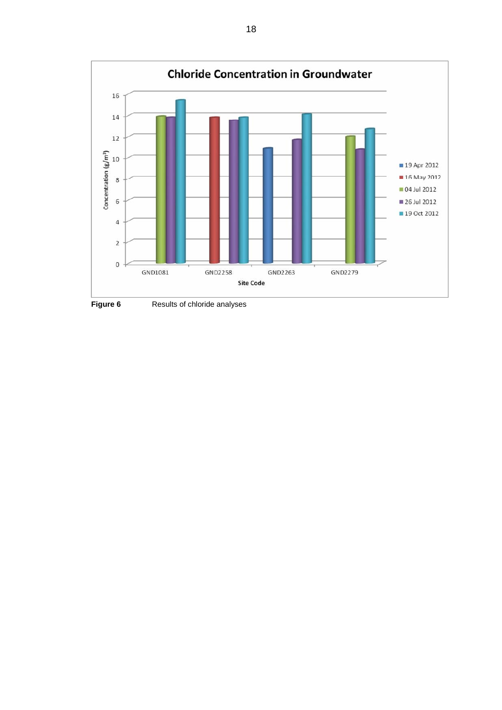

**Figure 6** Results of chloride analyses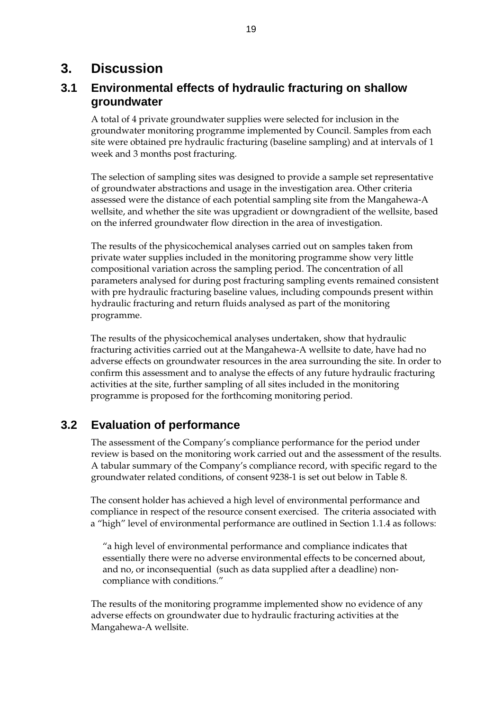# **3. Discussion**

## **3.1 Environmental effects of hydraulic fracturing on shallow groundwater**

A total of 4 private groundwater supplies were selected for inclusion in the groundwater monitoring programme implemented by Council. Samples from each site were obtained pre hydraulic fracturing (baseline sampling) and at intervals of 1 week and 3 months post fracturing.

The selection of sampling sites was designed to provide a sample set representative of groundwater abstractions and usage in the investigation area. Other criteria assessed were the distance of each potential sampling site from the Mangahewa-A wellsite, and whether the site was upgradient or downgradient of the wellsite, based on the inferred groundwater flow direction in the area of investigation.

The results of the physicochemical analyses carried out on samples taken from private water supplies included in the monitoring programme show very little compositional variation across the sampling period. The concentration of all parameters analysed for during post fracturing sampling events remained consistent with pre hydraulic fracturing baseline values, including compounds present within hydraulic fracturing and return fluids analysed as part of the monitoring programme.

The results of the physicochemical analyses undertaken, show that hydraulic fracturing activities carried out at the Mangahewa-A wellsite to date, have had no adverse effects on groundwater resources in the area surrounding the site. In order to confirm this assessment and to analyse the effects of any future hydraulic fracturing activities at the site, further sampling of all sites included in the monitoring programme is proposed for the forthcoming monitoring period.

## **3.2 Evaluation of performance**

The assessment of the Company's compliance performance for the period under review is based on the monitoring work carried out and the assessment of the results. A tabular summary of the Company's compliance record, with specific regard to the groundwater related conditions, of consent 9238-1 is set out below in Table 8.

The consent holder has achieved a high level of environmental performance and compliance in respect of the resource consent exercised. The criteria associated with a "high" level of environmental performance are outlined in Section 1.1.4 as follows:

"a high level of environmental performance and compliance indicates that essentially there were no adverse environmental effects to be concerned about, and no, or inconsequential (such as data supplied after a deadline) noncompliance with conditions."

The results of the monitoring programme implemented show no evidence of any adverse effects on groundwater due to hydraulic fracturing activities at the Mangahewa-A wellsite.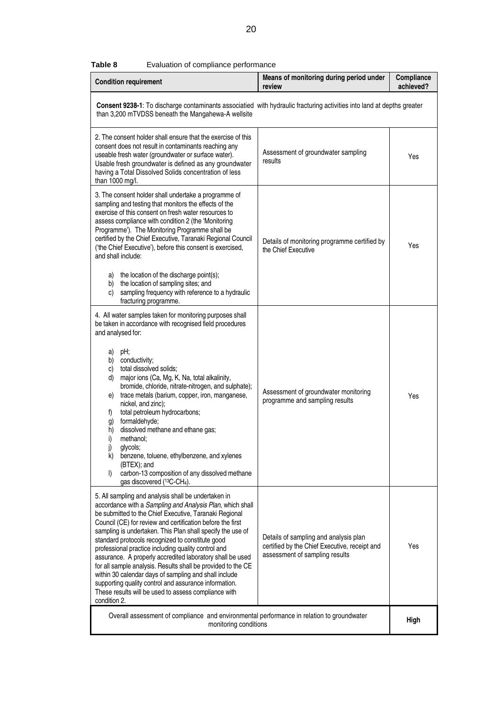| <b>Condition requirement</b>                                                                                                                                                                                                                                                                                                                                                                                                                                                                                                                                                                                                                                                                                                             | Means of monitoring during period under<br>review                                                                        | Compliance<br>achieved? |  |
|------------------------------------------------------------------------------------------------------------------------------------------------------------------------------------------------------------------------------------------------------------------------------------------------------------------------------------------------------------------------------------------------------------------------------------------------------------------------------------------------------------------------------------------------------------------------------------------------------------------------------------------------------------------------------------------------------------------------------------------|--------------------------------------------------------------------------------------------------------------------------|-------------------------|--|
| Consent 9238-1: To discharge contaminants associatied with hydraulic fracturing activities into land at depths greater<br>than 3,200 mTVDSS beneath the Mangahewa-A wellsite                                                                                                                                                                                                                                                                                                                                                                                                                                                                                                                                                             |                                                                                                                          |                         |  |
| 2. The consent holder shall ensure that the exercise of this<br>consent does not result in contaminants reaching any<br>useable fresh water (groundwater or surface water).<br>Usable fresh groundwater is defined as any groundwater<br>having a Total Dissolved Solids concentration of less<br>than 1000 mg/l.                                                                                                                                                                                                                                                                                                                                                                                                                        | Assessment of groundwater sampling<br>results                                                                            | Yes                     |  |
| 3. The consent holder shall undertake a programme of<br>sampling and testing that monitors the effects of the<br>exercise of this consent on fresh water resources to<br>assess compliance with condition 2 (the 'Monitoring<br>Programme'). The Monitoring Programme shall be<br>certified by the Chief Executive, Taranaki Regional Council<br>('the Chief Executive'), before this consent is exercised,<br>and shall include:<br>the location of the discharge point(s);<br>a)<br>the location of sampling sites; and<br>b)<br>sampling frequency with reference to a hydraulic<br>C)<br>fracturing programme.                                                                                                                       | Details of monitoring programme certified by<br>the Chief Executive                                                      | Yes                     |  |
| 4. All water samples taken for monitoring purposes shall<br>be taken in accordance with recognised field procedures<br>and analysed for:<br>pH;<br>a)<br>conductivity;<br>b)<br>total dissolved solids;<br>C)<br>major ions (Ca, Mg, K, Na, total alkalinity,<br>d)<br>bromide, chloride, nitrate-nitrogen, and sulphate);<br>trace metals (barium, copper, iron, manganese,<br>e)<br>nickel, and zinc);<br>total petroleum hydrocarbons;<br>f)<br>formaldehyde;<br>g)<br>dissolved methane and ethane gas;<br>h)<br>methanol:<br>i)<br>j)<br>glycols;<br>benzene, toluene, ethylbenzene, and xylenes<br>k)<br>(BTEX); and<br>carbon-13 composition of any dissolved methane<br>$\vert$<br>qas discovered (13C-CH <sub>4</sub> ).        | Assessment of groundwater monitoring<br>programme and sampling results                                                   | Yes                     |  |
| 5. All sampling and analysis shall be undertaken in<br>accordance with a Sampling and Analysis Plan, which shall<br>be submitted to the Chief Executive, Taranaki Regional<br>Council (CE) for review and certification before the first<br>sampling is undertaken. This Plan shall specify the use of<br>standard protocols recognized to constitute good<br>professional practice including quality control and<br>assurance. A properly accredited laboratory shall be used<br>for all sample analysis. Results shall be provided to the CE<br>within 30 calendar days of sampling and shall include<br>supporting quality control and assurance information.<br>These results will be used to assess compliance with<br>condition 2. | Details of sampling and analysis plan<br>certified by the Chief Executive, receipt and<br>assessment of sampling results | Yes                     |  |
| Overall assessment of compliance and environmental performance in relation to groundwater<br>monitoring conditions                                                                                                                                                                                                                                                                                                                                                                                                                                                                                                                                                                                                                       |                                                                                                                          | High                    |  |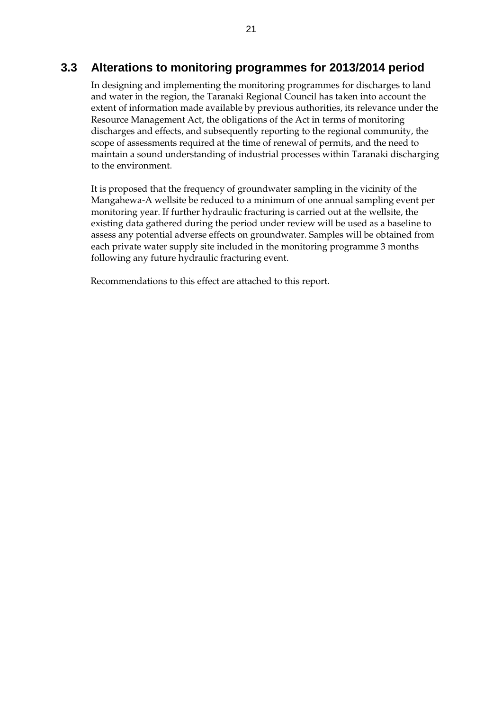## **3.3 Alterations to monitoring programmes for 2013/2014 period**

In designing and implementing the monitoring programmes for discharges to land and water in the region, the Taranaki Regional Council has taken into account the extent of information made available by previous authorities, its relevance under the Resource Management Act, the obligations of the Act in terms of monitoring discharges and effects, and subsequently reporting to the regional community, the scope of assessments required at the time of renewal of permits, and the need to maintain a sound understanding of industrial processes within Taranaki discharging to the environment.

It is proposed that the frequency of groundwater sampling in the vicinity of the Mangahewa-A wellsite be reduced to a minimum of one annual sampling event per monitoring year. If further hydraulic fracturing is carried out at the wellsite, the existing data gathered during the period under review will be used as a baseline to assess any potential adverse effects on groundwater. Samples will be obtained from each private water supply site included in the monitoring programme 3 months following any future hydraulic fracturing event.

Recommendations to this effect are attached to this report.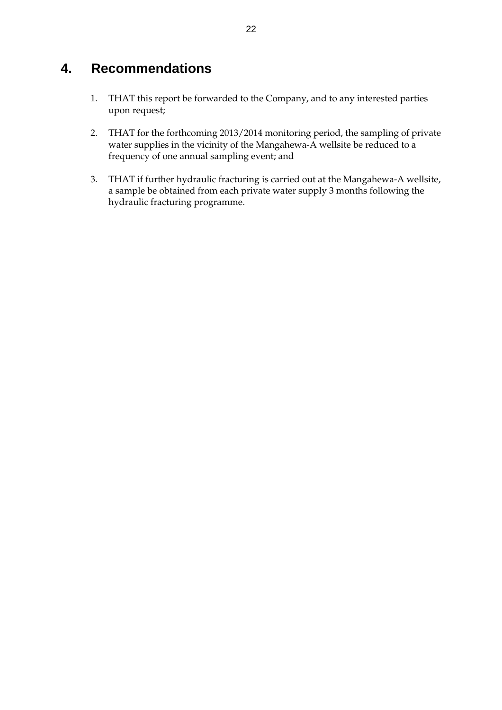# **4. Recommendations**

- 1. THAT this report be forwarded to the Company, and to any interested parties upon request;
- 2. THAT for the forthcoming 2013/2014 monitoring period, the sampling of private water supplies in the vicinity of the Mangahewa-A wellsite be reduced to a frequency of one annual sampling event; and
- 3. THAT if further hydraulic fracturing is carried out at the Mangahewa-A wellsite, a sample be obtained from each private water supply 3 months following the hydraulic fracturing programme.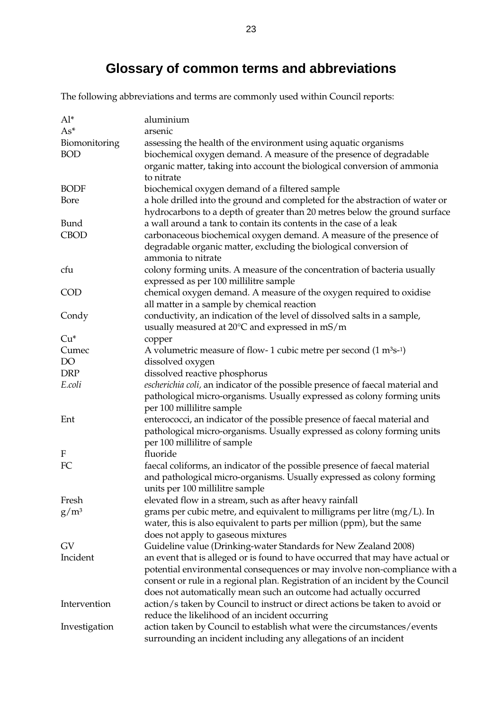# **Glossary of common terms and abbreviations**

The following abbreviations and terms are commonly used within Council reports:

| $Al^*$        | aluminium                                                                                                                                         |
|---------------|---------------------------------------------------------------------------------------------------------------------------------------------------|
| $As^*$        | arsenic                                                                                                                                           |
| Biomonitoring | assessing the health of the environment using aquatic organisms                                                                                   |
| <b>BOD</b>    | biochemical oxygen demand. A measure of the presence of degradable                                                                                |
|               | organic matter, taking into account the biological conversion of ammonia                                                                          |
|               | to nitrate                                                                                                                                        |
| <b>BODF</b>   | biochemical oxygen demand of a filtered sample                                                                                                    |
| Bore          | a hole drilled into the ground and completed for the abstraction of water or                                                                      |
|               | hydrocarbons to a depth of greater than 20 metres below the ground surface                                                                        |
| Bund          | a wall around a tank to contain its contents in the case of a leak                                                                                |
| <b>CBOD</b>   | carbonaceous biochemical oxygen demand. A measure of the presence of                                                                              |
|               | degradable organic matter, excluding the biological conversion of                                                                                 |
|               | ammonia to nitrate                                                                                                                                |
| cfu           | colony forming units. A measure of the concentration of bacteria usually                                                                          |
|               | expressed as per 100 millilitre sample                                                                                                            |
| <b>COD</b>    | chemical oxygen demand. A measure of the oxygen required to oxidise                                                                               |
|               | all matter in a sample by chemical reaction                                                                                                       |
| Condy         | conductivity, an indication of the level of dissolved salts in a sample,                                                                          |
|               | usually measured at $20^{\circ}$ C and expressed in mS/m                                                                                          |
| $Cu*$         | copper                                                                                                                                            |
| Cumec         | A volumetric measure of flow- 1 cubic metre per second $(1 \text{ m}^3 \text{s}^{-1})$                                                            |
| DO            | dissolved oxygen                                                                                                                                  |
| <b>DRP</b>    | dissolved reactive phosphorus                                                                                                                     |
| E.coli        | escherichia coli, an indicator of the possible presence of faecal material and                                                                    |
|               | pathological micro-organisms. Usually expressed as colony forming units                                                                           |
|               | per 100 millilitre sample                                                                                                                         |
| Ent           | enterococci, an indicator of the possible presence of faecal material and                                                                         |
|               | pathological micro-organisms. Usually expressed as colony forming units                                                                           |
|               | per 100 millilitre of sample                                                                                                                      |
| F             | fluoride                                                                                                                                          |
| FC            | faecal coliforms, an indicator of the possible presence of faecal material                                                                        |
|               | and pathological micro-organisms. Usually expressed as colony forming                                                                             |
|               | units per 100 millilitre sample                                                                                                                   |
| Fresh         | elevated flow in a stream, such as after heavy rainfall                                                                                           |
| $g/m^3$       | grams per cubic metre, and equivalent to milligrams per litre $(mg/L)$ . In                                                                       |
|               | water, this is also equivalent to parts per million (ppm), but the same                                                                           |
|               | does not apply to gaseous mixtures                                                                                                                |
| <b>GV</b>     | Guideline value (Drinking-water Standards for New Zealand 2008)                                                                                   |
| Incident      | an event that is alleged or is found to have occurred that may have actual or                                                                     |
|               | potential environmental consequences or may involve non-compliance with a                                                                         |
|               | consent or rule in a regional plan. Registration of an incident by the Council                                                                    |
| Intervention  | does not automatically mean such an outcome had actually occurred<br>action/s taken by Council to instruct or direct actions be taken to avoid or |
|               | reduce the likelihood of an incident occurring                                                                                                    |
| Investigation | action taken by Council to establish what were the circumstances/events                                                                           |
|               | surrounding an incident including any allegations of an incident                                                                                  |
|               |                                                                                                                                                   |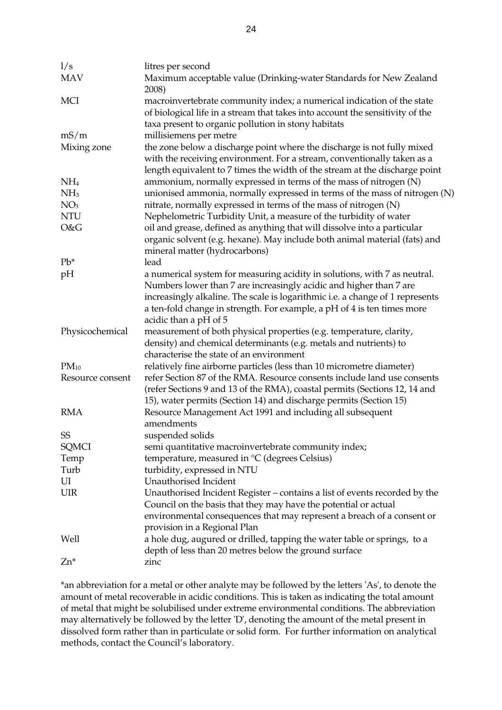| 1/s              | litres per second                                                                                                                                                                                                                                       |
|------------------|---------------------------------------------------------------------------------------------------------------------------------------------------------------------------------------------------------------------------------------------------------|
| <b>MAV</b>       | Maximum acceptable value (Drinking-water Standards for New Zealand<br>2008)                                                                                                                                                                             |
| <b>MCI</b>       | macroinvertebrate community index; a numerical indication of the state<br>of biological life in a stream that takes into account the sensitivity of the<br>taxa present to organic pollution in stony habitats                                          |
| mS/m             | millisiemens per metre                                                                                                                                                                                                                                  |
| Mixing zone      | the zone below a discharge point where the discharge is not fully mixed<br>with the receiving environment. For a stream, conventionally taken as a<br>length equivalent to 7 times the width of the stream at the discharge point                       |
| NH <sub>4</sub>  | ammonium, normally expressed in terms of the mass of nitrogen (N)                                                                                                                                                                                       |
| NH <sub>3</sub>  | unionised ammonia, normally expressed in terms of the mass of nitrogen (N)                                                                                                                                                                              |
| NO <sub>3</sub>  | nitrate, normally expressed in terms of the mass of nitrogen (N)                                                                                                                                                                                        |
| <b>NTU</b>       | Nephelometric Turbidity Unit, a measure of the turbidity of water                                                                                                                                                                                       |
| O&G              | oil and grease, defined as anything that will dissolve into a particular<br>organic solvent (e.g. hexane). May include both animal material (fats) and<br>mineral matter (hydrocarbons)                                                                 |
| $Pb^*$           | lead                                                                                                                                                                                                                                                    |
| pH               | a numerical system for measuring acidity in solutions, with 7 as neutral.                                                                                                                                                                               |
|                  | Numbers lower than 7 are increasingly acidic and higher than 7 are<br>increasingly alkaline. The scale is logarithmic i.e. a change of 1 represents<br>a ten-fold change in strength. For example, a pH of 4 is ten times more<br>acidic than a pH of 5 |
| Physicochemical  | measurement of both physical properties (e.g. temperature, clarity,<br>density) and chemical determinants (e.g. metals and nutrients) to                                                                                                                |
|                  | characterise the state of an environment                                                                                                                                                                                                                |
| $PM_{10}$        | relatively fine airborne particles (less than 10 micrometre diameter)                                                                                                                                                                                   |
| Resource consent | refer Section 87 of the RMA. Resource consents include land use consents<br>(refer Sections 9 and 13 of the RMA), coastal permits (Sections 12, 14 and<br>15), water permits (Section 14) and discharge permits (Section 15)                            |
| <b>RMA</b>       | Resource Management Act 1991 and including all subsequent<br>amendments                                                                                                                                                                                 |
| <b>SS</b>        | suspended solids                                                                                                                                                                                                                                        |
| <b>SQMCI</b>     | semi quantitative macroinvertebrate community index;                                                                                                                                                                                                    |
| Temp             | temperature, measured in °C (degrees Celsius)                                                                                                                                                                                                           |
| Turb             | turbidity, expressed in NTU                                                                                                                                                                                                                             |
| UI               | Unauthorised Incident                                                                                                                                                                                                                                   |
| <b>UIR</b>       | Unauthorised Incident Register – contains a list of events recorded by the<br>Council on the basis that they may have the potential or actual                                                                                                           |
|                  | environmental consequences that may represent a breach of a consent or<br>provision in a Regional Plan                                                                                                                                                  |
| Well             | a hole dug, augured or drilled, tapping the water table or springs, to a<br>depth of less than 20 metres below the ground surface                                                                                                                       |
| Zn*              | zinc                                                                                                                                                                                                                                                    |

\*an abbreviation for a metal or other analyte may be followed by the letters 'As', to denote the amount of metal recoverable in acidic conditions. This is taken as indicating the total amount of metal that might be solubilised under extreme environmental conditions. The abbreviation may alternatively be followed by the letter 'D', denoting the amount of the metal present in dissolved form rather than in particulate or solid form. For further information on analytical methods, contact the Council's laboratory.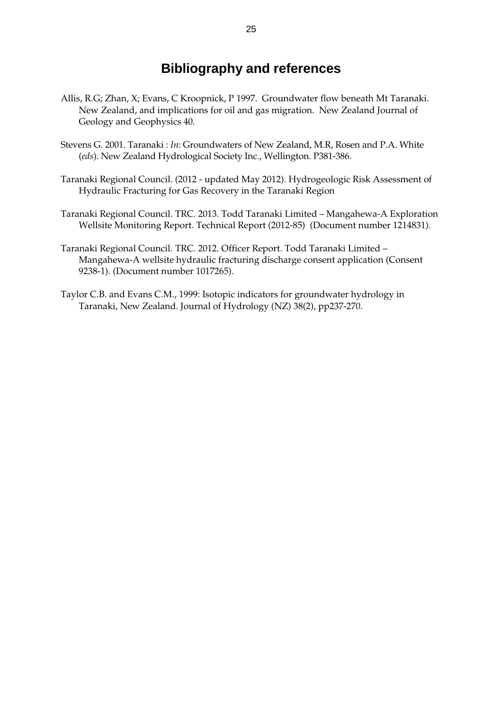# **Bibliography and references**

- Allis, R.G; Zhan, X; Evans, C Kroopnick, P 1997. Groundwater flow beneath Mt Taranaki. New Zealand, and implications for oil and gas migration. New Zealand Journal of Geology and Geophysics 40.
- Stevens G. 2001. Taranaki : *In*: Groundwaters of New Zealand, M.R, Rosen and P.A. White (*eds*). New Zealand Hydrological Society Inc., Wellington. P381-386.
- Taranaki Regional Council. (2012 updated May 2012). Hydrogeologic Risk Assessment of Hydraulic Fracturing for Gas Recovery in the Taranaki Region
- Taranaki Regional Council. TRC. 2013. Todd Taranaki Limited Mangahewa-A Exploration Wellsite Monitoring Report. Technical Report (2012-85) (Document number 1214831).
- Taranaki Regional Council. TRC. 2012. Officer Report. Todd Taranaki Limited Mangahewa-A wellsite hydraulic fracturing discharge consent application (Consent 9238-1). (Document number 1017265).
- Taylor C.B. and Evans C.M., 1999: Isotopic indicators for groundwater hydrology in Taranaki, New Zealand. Journal of Hydrology (NZ) 38(2), pp237-270.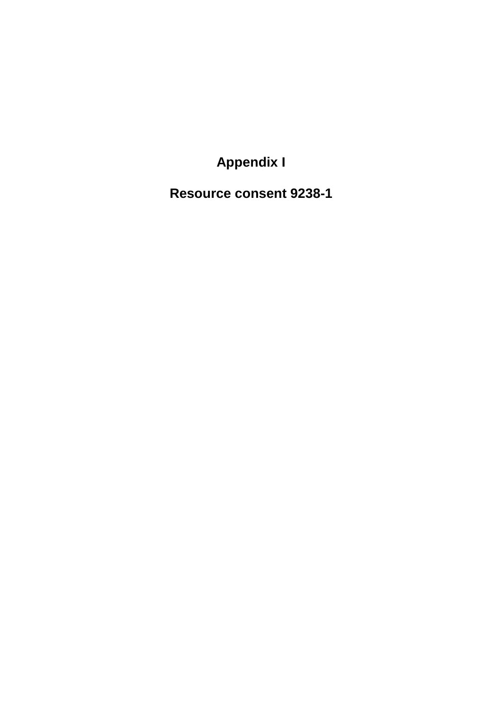**Appendix I** 

**Resource consent 9238-1**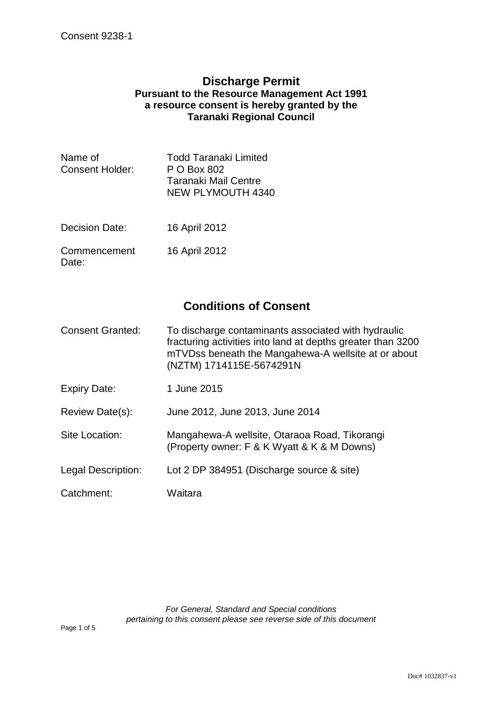## **Discharge Permit Pursuant to the Resource Management Act 1991 a resource consent is hereby granted by the Taranaki Regional Council**

| Name of<br>Consent Holder: | Todd Taranaki Limited<br>P O Box 802      |
|----------------------------|-------------------------------------------|
|                            | Taranaki Mail Centre<br>NEW PLYMOUTH 4340 |
|                            |                                           |

- Decision Date: 16 April 2012
- Commencement Date: 16 April 2012

## **Conditions of Consent**

- Consent Granted: To discharge contaminants associated with hydraulic fracturing activities into land at depths greater than 3200 mTVDss beneath the Mangahewa-A wellsite at or about (NZTM) 1714115E-5674291N
- Expiry Date: 1 June 2015
- Review Date(s): June 2012, June 2013, June 2014
- Site Location: Mangahewa-A wellsite, Otaraoa Road, Tikorangi (Property owner: F & K Wyatt & K & M Downs)
- Legal Description: Lot 2 DP 384951 (Discharge source & site)
- Catchment: Waitara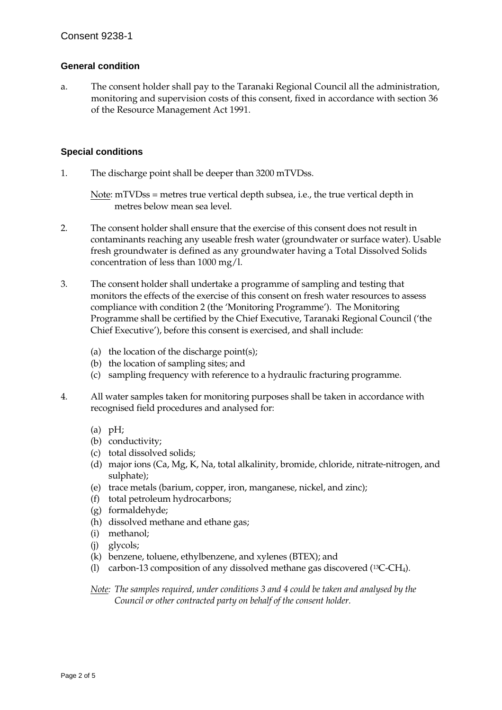#### **General condition**

a. The consent holder shall pay to the Taranaki Regional Council all the administration, monitoring and supervision costs of this consent, fixed in accordance with section 36 of the Resource Management Act 1991.

#### **Special conditions**

1. The discharge point shall be deeper than 3200 mTVDss.

Note: mTVDss = metres true vertical depth subsea, i.e., the true vertical depth in metres below mean sea level.

- 2. The consent holder shall ensure that the exercise of this consent does not result in contaminants reaching any useable fresh water (groundwater or surface water). Usable fresh groundwater is defined as any groundwater having a Total Dissolved Solids concentration of less than 1000 mg/l.
- 3. The consent holder shall undertake a programme of sampling and testing that monitors the effects of the exercise of this consent on fresh water resources to assess compliance with condition 2 (the 'Monitoring Programme'). The Monitoring Programme shall be certified by the Chief Executive, Taranaki Regional Council ('the Chief Executive'), before this consent is exercised, and shall include:
	- (a) the location of the discharge point(s);
	- (b) the location of sampling sites; and
	- (c) sampling frequency with reference to a hydraulic fracturing programme.
- 4. All water samples taken for monitoring purposes shall be taken in accordance with recognised field procedures and analysed for:
	- $(a)$  pH;
	- (b) conductivity;
	- (c) total dissolved solids;
	- (d) major ions (Ca, Mg, K, Na, total alkalinity, bromide, chloride, nitrate-nitrogen, and sulphate);
	- (e) trace metals (barium, copper, iron, manganese, nickel, and zinc);
	- (f) total petroleum hydrocarbons;
	- (g) formaldehyde;
	- (h) dissolved methane and ethane gas;
	- (i) methanol;
	- (j) glycols;
	- (k) benzene, toluene, ethylbenzene, and xylenes (BTEX); and
	- (l) carbon-13 composition of any dissolved methane gas discovered (13C-CH4).

*Note: The samples required, under conditions 3 and 4 could be taken and analysed by the Council or other contracted party on behalf of the consent holder.*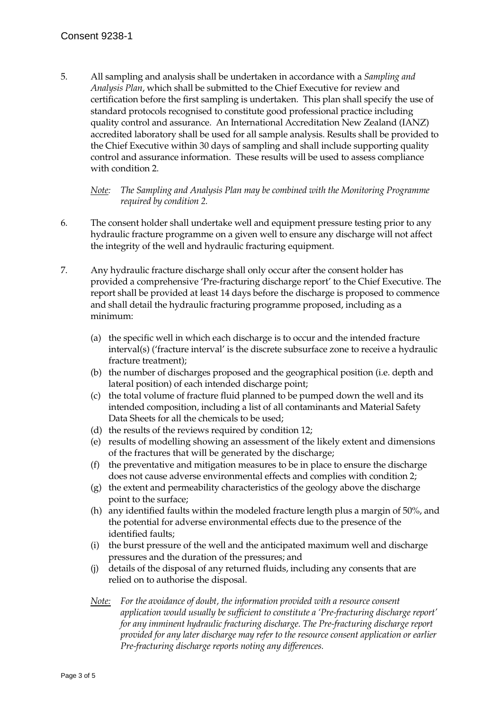5. All sampling and analysis shall be undertaken in accordance with a *Sampling and Analysis Plan*, which shall be submitted to the Chief Executive for review and certification before the first sampling is undertaken. This plan shall specify the use of standard protocols recognised to constitute good professional practice including quality control and assurance. An International Accreditation New Zealand (IANZ) accredited laboratory shall be used for all sample analysis. Results shall be provided to the Chief Executive within 30 days of sampling and shall include supporting quality control and assurance information. These results will be used to assess compliance with condition 2.

*Note: The Sampling and Analysis Plan may be combined with the Monitoring Programme required by condition 2.* 

- 6. The consent holder shall undertake well and equipment pressure testing prior to any hydraulic fracture programme on a given well to ensure any discharge will not affect the integrity of the well and hydraulic fracturing equipment.
- 7. Any hydraulic fracture discharge shall only occur after the consent holder has provided a comprehensive 'Pre-fracturing discharge report' to the Chief Executive. The report shall be provided at least 14 days before the discharge is proposed to commence and shall detail the hydraulic fracturing programme proposed, including as a minimum:
	- (a) the specific well in which each discharge is to occur and the intended fracture interval(s) ('fracture interval' is the discrete subsurface zone to receive a hydraulic fracture treatment);
	- (b) the number of discharges proposed and the geographical position (i.e. depth and lateral position) of each intended discharge point;
	- (c) the total volume of fracture fluid planned to be pumped down the well and its intended composition, including a list of all contaminants and Material Safety Data Sheets for all the chemicals to be used;
	- (d) the results of the reviews required by condition 12;
	- (e) results of modelling showing an assessment of the likely extent and dimensions of the fractures that will be generated by the discharge;
	- (f) the preventative and mitigation measures to be in place to ensure the discharge does not cause adverse environmental effects and complies with condition 2;
	- (g) the extent and permeability characteristics of the geology above the discharge point to the surface;
	- (h) any identified faults within the modeled fracture length plus a margin of 50%, and the potential for adverse environmental effects due to the presence of the identified faults;
	- (i) the burst pressure of the well and the anticipated maximum well and discharge pressures and the duration of the pressures; and
	- (j) details of the disposal of any returned fluids, including any consents that are relied on to authorise the disposal.
	- *Note: For the avoidance of doubt, the information provided with a resource consent application would usually be sufficient to constitute a 'Pre-fracturing discharge report' for any imminent hydraulic fracturing discharge. The Pre-fracturing discharge report provided for any later discharge may refer to the resource consent application or earlier Pre-fracturing discharge reports noting any differences.*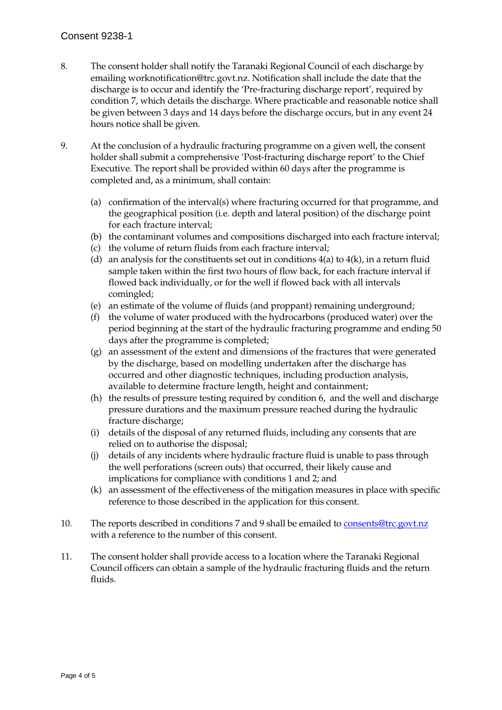### Consent 9238-1

- 8. The consent holder shall notify the Taranaki Regional Council of each discharge by emailing worknotification@trc.govt.nz. Notification shall include the date that the discharge is to occur and identify the 'Pre-fracturing discharge report', required by condition 7, which details the discharge. Where practicable and reasonable notice shall be given between 3 days and 14 days before the discharge occurs, but in any event 24 hours notice shall be given.
- 9. At the conclusion of a hydraulic fracturing programme on a given well, the consent holder shall submit a comprehensive 'Post-fracturing discharge report' to the Chief Executive. The report shall be provided within 60 days after the programme is completed and, as a minimum, shall contain:
	- (a) confirmation of the interval(s) where fracturing occurred for that programme, and the geographical position (i.e. depth and lateral position) of the discharge point for each fracture interval;
	- (b) the contaminant volumes and compositions discharged into each fracture interval;
	- (c) the volume of return fluids from each fracture interval;
	- (d) an analysis for the constituents set out in conditions  $4(a)$  to  $4(k)$ , in a return fluid sample taken within the first two hours of flow back, for each fracture interval if flowed back individually, or for the well if flowed back with all intervals comingled;
	- (e) an estimate of the volume of fluids (and proppant) remaining underground;
	- (f) the volume of water produced with the hydrocarbons (produced water) over the period beginning at the start of the hydraulic fracturing programme and ending 50 days after the programme is completed;
	- (g) an assessment of the extent and dimensions of the fractures that were generated by the discharge, based on modelling undertaken after the discharge has occurred and other diagnostic techniques, including production analysis, available to determine fracture length, height and containment;
	- (h) the results of pressure testing required by condition 6, and the well and discharge pressure durations and the maximum pressure reached during the hydraulic fracture discharge;
	- (i) details of the disposal of any returned fluids, including any consents that are relied on to authorise the disposal;
	- (j) details of any incidents where hydraulic fracture fluid is unable to pass through the well perforations (screen outs) that occurred, their likely cause and implications for compliance with conditions 1 and 2; and
	- (k) an assessment of the effectiveness of the mitigation measures in place with specific reference to those described in the application for this consent.
- 10. The reports described in conditions 7 and 9 shall be emailed to consents@trc.govt.nz with a reference to the number of this consent.
- 11. The consent holder shall provide access to a location where the Taranaki Regional Council officers can obtain a sample of the hydraulic fracturing fluids and the return fluids.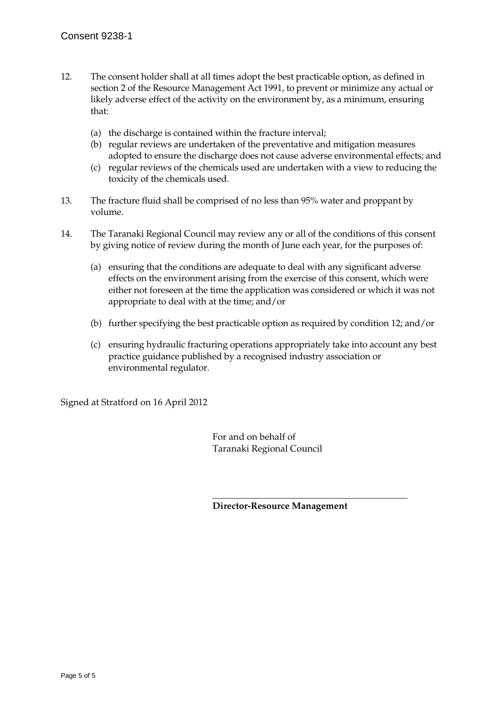- 12. The consent holder shall at all times adopt the best practicable option, as defined in section 2 of the Resource Management Act 1991, to prevent or minimize any actual or likely adverse effect of the activity on the environment by, as a minimum, ensuring that:
	- (a) the discharge is contained within the fracture interval;
	- (b) regular reviews are undertaken of the preventative and mitigation measures adopted to ensure the discharge does not cause adverse environmental effects; and
	- (c) regular reviews of the chemicals used are undertaken with a view to reducing the toxicity of the chemicals used.
- 13. The fracture fluid shall be comprised of no less than 95% water and proppant by volume.
- 14. The Taranaki Regional Council may review any or all of the conditions of this consent by giving notice of review during the month of June each year, for the purposes of:
	- (a) ensuring that the conditions are adequate to deal with any significant adverse effects on the environment arising from the exercise of this consent, which were either not foreseen at the time the application was considered or which it was not appropriate to deal with at the time; and/or
	- (b) further specifying the best practicable option as required by condition 12; and/or
	- (c) ensuring hydraulic fracturing operations appropriately take into account any best practice guidance published by a recognised industry association or environmental regulator.

Signed at Stratford on 16 April 2012

 For and on behalf of Taranaki Regional Council

 $\frac{1}{\sqrt{2}}$  ,  $\frac{1}{\sqrt{2}}$  ,  $\frac{1}{\sqrt{2}}$  ,  $\frac{1}{\sqrt{2}}$  ,  $\frac{1}{\sqrt{2}}$  ,  $\frac{1}{\sqrt{2}}$  ,  $\frac{1}{\sqrt{2}}$  ,  $\frac{1}{\sqrt{2}}$  ,  $\frac{1}{\sqrt{2}}$  ,  $\frac{1}{\sqrt{2}}$  ,  $\frac{1}{\sqrt{2}}$  ,  $\frac{1}{\sqrt{2}}$  ,  $\frac{1}{\sqrt{2}}$  ,  $\frac{1}{\sqrt{2}}$  ,  $\frac{1}{\sqrt{2}}$ 

**Director-Resource Management**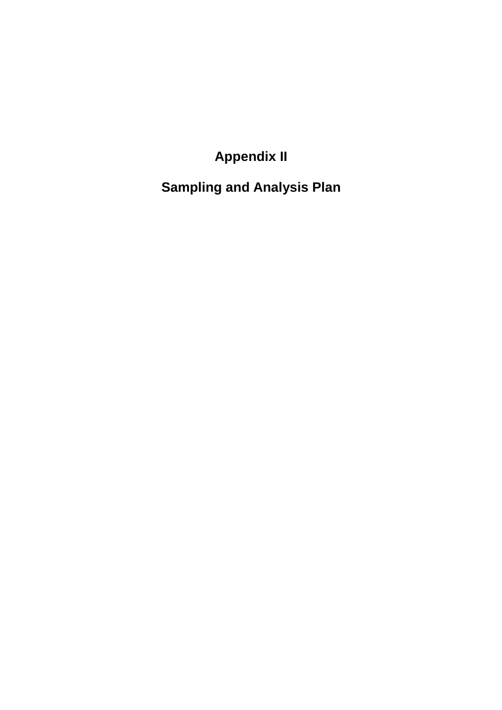**Appendix II** 

**Sampling and Analysis Plan**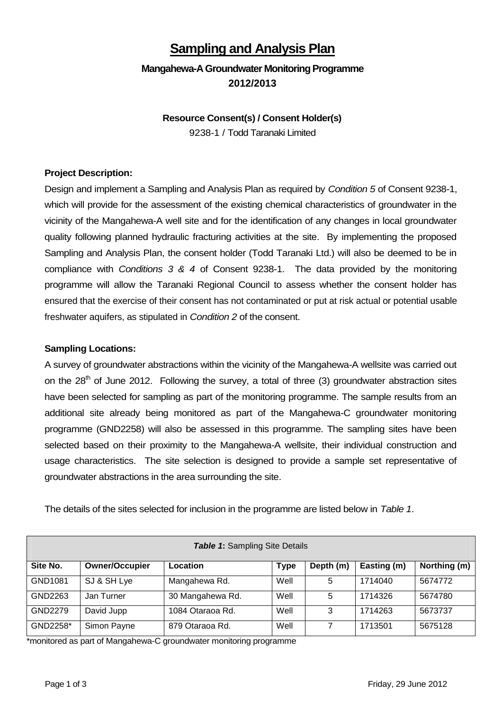## **Sampling and Analysis Plan**

## **Mangahewa-AGroundwater Monitoring Programme 2012/2013**

### **Resource Consent(s) / Consent Holder(s)** 9238-1 / Todd Taranaki Limited

### **Project Description:**

Design and implement a Sampling and Analysis Plan as required by *Condition 5* of Consent 9238-1, which will provide for the assessment of the existing chemical characteristics of groundwater in the vicinity of the Mangahewa-A well site and for the identification of any changes in local groundwater quality following planned hydraulic fracturing activities at the site. By implementing the proposed Sampling and Analysis Plan, the consent holder (Todd Taranaki Ltd.) will also be deemed to be in compliance with *Conditions 3 & 4* of Consent 9238-1. The data provided by the monitoring programme will allow the Taranaki Regional Council to assess whether the consent holder has ensured that the exercise of their consent has not contaminated or put at risk actual or potential usable freshwater aquifers, as stipulated in *Condition 2* of the consent.

#### **Sampling Locations:**

A survey of groundwater abstractions within the vicinity of the Mangahewa-A wellsite was carried out on the  $28<sup>th</sup>$  of June 2012. Following the survey, a total of three (3) groundwater abstraction sites have been selected for sampling as part of the monitoring programme. The sample results from an additional site already being monitored as part of the Mangahewa-C groundwater monitoring programme (GND2258) will also be assessed in this programme. The sampling sites have been selected based on their proximity to the Mangahewa-A wellsite, their individual construction and usage characteristics. The site selection is designed to provide a sample set representative of groundwater abstractions in the area surrounding the site.

The details of the sites selected for inclusion in the programme are listed below in *Table 1*.

| <b>Table 1: Sampling Site Details</b> |                       |                  |             |           |             |              |  |  |  |  |
|---------------------------------------|-----------------------|------------------|-------------|-----------|-------------|--------------|--|--|--|--|
| Site No.                              | <b>Owner/Occupier</b> | Location         | <b>Type</b> | Depth (m) | Easting (m) | Northing (m) |  |  |  |  |
| GND1081                               | SJ & SH Lye           | Mangahewa Rd.    | Well        | 5         | 1714040     | 5674772      |  |  |  |  |
| GND2263                               | Jan Turner            | 30 Mangahewa Rd. | Well        | 5         | 1714326     | 5674780      |  |  |  |  |
| GND2279                               | David Jupp            | 1084 Otaraoa Rd. | Well        | 3         | 1714263     | 5673737      |  |  |  |  |
| GND2258*                              | Simon Payne           | 879 Otaraoa Rd.  | Well        | 7         | 1713501     | 5675128      |  |  |  |  |

\*monitored as part of Mangahewa-C groundwater monitoring programme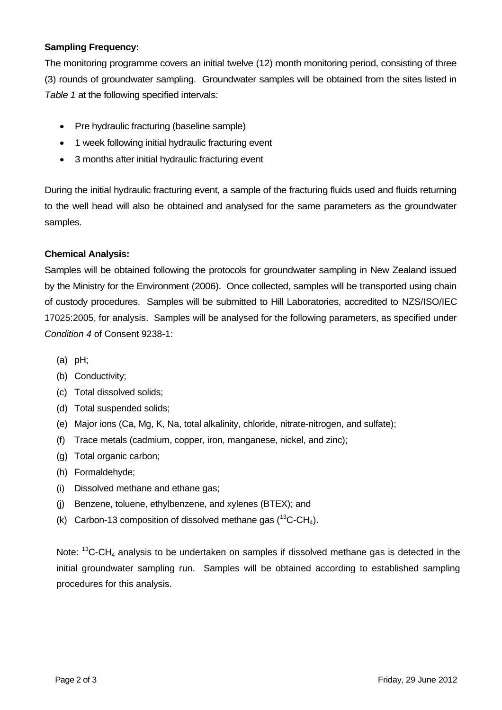### **Sampling Frequency:**

The monitoring programme covers an initial twelve (12) month monitoring period, consisting of three (3) rounds of groundwater sampling. Groundwater samples will be obtained from the sites listed in *Table 1* at the following specified intervals:

- Pre hydraulic fracturing (baseline sample)
- 1 week following initial hydraulic fracturing event
- 3 months after initial hydraulic fracturing event

During the initial hydraulic fracturing event, a sample of the fracturing fluids used and fluids returning to the well head will also be obtained and analysed for the same parameters as the groundwater samples.

### **Chemical Analysis:**

Samples will be obtained following the protocols for groundwater sampling in New Zealand issued by the Ministry for the Environment (2006). Once collected, samples will be transported using chain of custody procedures. Samples will be submitted to Hill Laboratories, accredited to NZS/ISO/IEC 17025:2005, for analysis. Samples will be analysed for the following parameters, as specified under *Condition 4* of Consent 9238-1:

- (a) pH;
- (b) Conductivity;
- (c) Total dissolved solids;
- (d) Total suspended solids;
- (e) Major ions (Ca, Mg, K, Na, total alkalinity, chloride, nitrate-nitrogen, and sulfate);
- (f) Trace metals (cadmium, copper, iron, manganese, nickel, and zinc);
- (g) Total organic carbon;
- (h) Formaldehyde;
- (i) Dissolved methane and ethane gas;
- (j) Benzene, toluene, ethylbenzene, and xylenes (BTEX); and
- (k) Carbon-13 composition of dissolved methane gas  $(^{13}C\text{-}CH<sub>4</sub>)$ .

Note:  $13C$ -CH<sub>4</sub> analysis to be undertaken on samples if dissolved methane gas is detected in the initial groundwater sampling run. Samples will be obtained according to established sampling procedures for this analysis.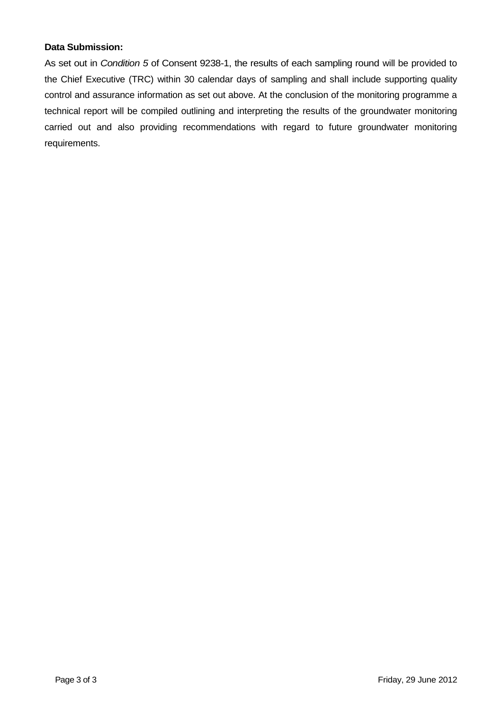### **Data Submission:**

As set out in *Condition 5* of Consent 9238-1, the results of each sampling round will be provided to the Chief Executive (TRC) within 30 calendar days of sampling and shall include supporting quality control and assurance information as set out above. At the conclusion of the monitoring programme a technical report will be compiled outlining and interpreting the results of the groundwater monitoring carried out and also providing recommendations with regard to future groundwater monitoring requirements.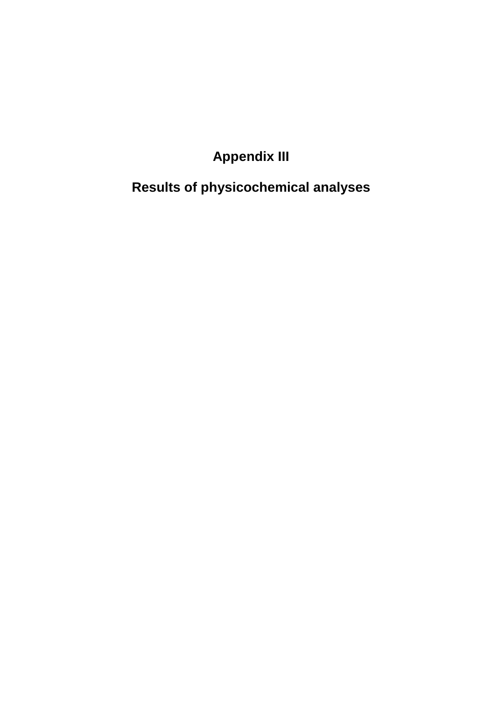**Appendix III** 

**Results of physicochemical analyses**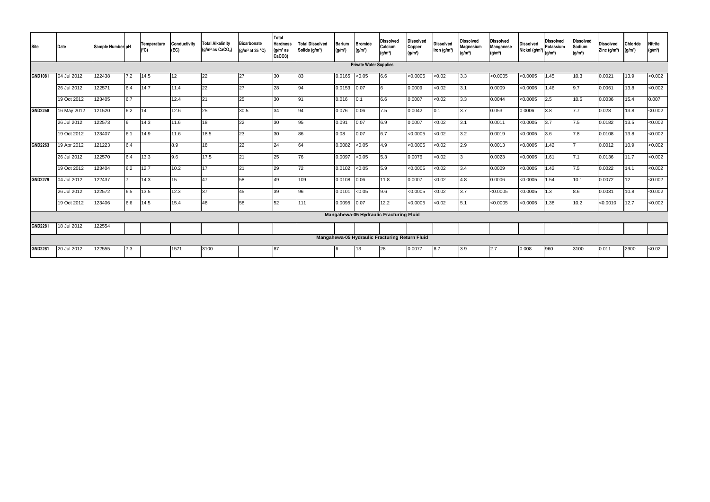|        | Sample Number pH                                                                                                                                                                                               | Temperature<br>(°C) | Conductivity<br>(EC) | <b>Total Alkalinity</b><br>(g/m <sup>3</sup> as CaCO <sub>3</sub> ) | <b>Bicarbonate</b><br>(g/m <sup>3</sup> at 25 $^{\circ}$ C) | Total<br><b>Hardness</b><br>(g/m <sup>3</sup> as<br>CaCO3) | <b>Total Dissolved</b><br>Solids (g/m <sup>3</sup> ) | <b>Barium</b><br>(g/m <sup>3</sup> ) | <b>Bromide</b><br>(g/m <sup>3</sup> ) | <b>Dissolved</b><br>Calcium<br>(g/m <sup>3</sup> ) | <b>Dissolved</b><br>Copper<br>(q/m <sup>3</sup> ) | <b>Dissolved</b><br>Iron (g/m <sup>3</sup> )                                              | <b>Dissolved</b><br>Magnesium<br>(g/m <sup>3</sup> ) | <b>Dissolved</b><br>Manganese<br>$(g/m^3)$ | <b>Dissolved</b><br>Nickel (g/m <sup>3</sup> ) | Dissolved<br>Potassium<br>(q/m <sup>3</sup> ) | <b>Dissolved</b><br>Sodium<br>(g/m <sup>3</sup> ) | <b>Dissolved</b><br>Zinc $(g/m3)$ | <b>Chloride</b><br>(g/m <sup>3</sup> ) | <b>Nitrite</b><br>(g/m <sup>3</sup> ) |
|--------|----------------------------------------------------------------------------------------------------------------------------------------------------------------------------------------------------------------|---------------------|----------------------|---------------------------------------------------------------------|-------------------------------------------------------------|------------------------------------------------------------|------------------------------------------------------|--------------------------------------|---------------------------------------|----------------------------------------------------|---------------------------------------------------|-------------------------------------------------------------------------------------------|------------------------------------------------------|--------------------------------------------|------------------------------------------------|-----------------------------------------------|---------------------------------------------------|-----------------------------------|----------------------------------------|---------------------------------------|
|        |                                                                                                                                                                                                                |                     |                      |                                                                     |                                                             |                                                            |                                                      |                                      |                                       |                                                    |                                                   |                                                                                           |                                                      |                                            |                                                |                                               |                                                   |                                   |                                        |                                       |
| 122438 | 7.2                                                                                                                                                                                                            | 14.5                | 12                   | 22                                                                  | 27                                                          | 30                                                         | 83                                                   | 0.0165                               | < 0.05                                | 6.6                                                | < 0.0005                                          | < 0.02                                                                                    | 3.3                                                  | < 0.0005                                   | < 0.0005                                       | 1.45                                          | 10.3                                              | 0.0021                            | 13.9                                   | <0.002                                |
| 122571 | 6.4                                                                                                                                                                                                            | 14.7                | 11.4                 | 22                                                                  | 27                                                          | 28                                                         | 94                                                   | 0.0153                               | 0.07                                  |                                                    | 0.0009                                            | < 0.02                                                                                    | 3.1                                                  | 0.0009                                     | < 0.0005                                       | 1.46                                          | 9.7                                               | 0.0061                            | 13.8                                   | <0.002                                |
| 123405 | 6.7                                                                                                                                                                                                            |                     | 12.4                 | 21                                                                  | 25                                                          | 30                                                         | 91                                                   | 0.016                                | 0.1                                   | 6.6                                                | 0.0007                                            | < 0.02                                                                                    | 3.3                                                  | 0.0044                                     | < 0.0005                                       | 2.5                                           | 10.5                                              | 0.0036                            | 15.4                                   | 0.007                                 |
| 121520 | 6.2                                                                                                                                                                                                            | 14                  | 12.6                 | 25                                                                  | 30.5                                                        | 34                                                         | 94                                                   | 0.076                                | 0.06                                  | 7.5                                                | 0.0042                                            | 0.1                                                                                       | 3.7                                                  | 0.053                                      | 0.0006                                         | 3.8                                           | 7.7                                               | 0.028                             | 13.8                                   | < 0.002                               |
| 122573 |                                                                                                                                                                                                                | 14.3                | 11.6                 | 18                                                                  | 22                                                          | 30                                                         | 95                                                   | 0.091                                | 0.07                                  | 6.9                                                | 0.0007                                            | < 0.02                                                                                    | 3.1                                                  | 0.0011                                     | < 0.0005                                       | 3.7                                           | 7.5                                               | 0.0182                            | 13.5                                   | < 0.002                               |
| 123407 | 6.1                                                                                                                                                                                                            | 14.9                | 11.6                 | 18.5                                                                | 23                                                          | 30                                                         | 86                                                   | 0.08                                 | 0.07                                  | 6.7                                                | < 0.0005                                          | <0.02                                                                                     | 3.2                                                  | 0.0019                                     | < 0.0005                                       |                                               | <b>7.8</b>                                        | 0.0108                            | 13.8                                   | < 0.002                               |
| 121223 | 6.4                                                                                                                                                                                                            |                     | 8.9                  | 18                                                                  | 22                                                          | 24                                                         | 64                                                   | 0.0082                               | < 0.05                                | 4.9                                                | $\sqrt{0.0005}$                                   | < 0.02                                                                                    | 2.9                                                  | 0.0013                                     | < 0.0005                                       | .42                                           |                                                   | 0.0012                            | 10.9                                   | < 0.002                               |
| 122570 | 6.4                                                                                                                                                                                                            | 13.3                | 9.6                  | 17.5                                                                | 21                                                          | 25                                                         | 76                                                   | 0.0097                               | < 0.05                                | 5.3                                                | 0.0076                                            | < 0.02                                                                                    |                                                      | 0.0023                                     | < 0.0005                                       | 1.61                                          | $\overline{7.1}$                                  | 0.0136                            | 11.7                                   | < 0.002                               |
| 123404 | 6.2                                                                                                                                                                                                            | 12.7                | 10.2                 | 17                                                                  | 21                                                          | 29                                                         | 72                                                   | 0.0102                               | < 0.05                                | 5.9                                                | < 0.0005                                          | <0.02                                                                                     | 3.4                                                  | 0.0009                                     | < 0.0005                                       | 1.42                                          | 7.5                                               | 0.0022                            | 14.1                                   | < 0.002                               |
| 122437 |                                                                                                                                                                                                                | 14.3                | 15                   | 47                                                                  | 58                                                          | 49                                                         | 109                                                  | 0.0108                               | 0.06                                  | 11.8                                               | 0.0007                                            | <0.02                                                                                     | 4.8                                                  | 0.0006                                     | < 0.0005                                       | 1.54                                          | 10.1                                              | 0.0072                            | 12 <sup>°</sup>                        | < 0.002                               |
| 122572 | 6.5                                                                                                                                                                                                            | 13.5                | 12.3                 | 37                                                                  | 45                                                          | 39                                                         | 96                                                   | 0.0101                               | < 0.05                                | 9.6                                                | < 0.0005                                          | < 0.02                                                                                    | 3.7                                                  | < 0.0005                                   | < 0.0005                                       | 1.3                                           | 8.6                                               | 0.0031                            | 10.8                                   | < 0.002                               |
| 123406 | 6.6                                                                                                                                                                                                            | 14.5                | 15.4                 | 48                                                                  | 58                                                          | 52                                                         | 111                                                  | 0.0095                               | 0.07                                  | 12.2                                               | < 0.0005                                          | < 0.02                                                                                    | 5.1                                                  | < 0.0005                                   | < 0.0005                                       | 1.38                                          | 10.2                                              | < 0.0010                          | 12.7                                   | < 0.002                               |
|        |                                                                                                                                                                                                                |                     |                      |                                                                     |                                                             |                                                            |                                                      |                                      |                                       |                                                    |                                                   |                                                                                           |                                                      |                                            |                                                |                                               |                                                   |                                   |                                        |                                       |
| 122554 |                                                                                                                                                                                                                |                     |                      |                                                                     |                                                             |                                                            |                                                      |                                      |                                       |                                                    |                                                   |                                                                                           |                                                      |                                            |                                                |                                               |                                                   |                                   |                                        |                                       |
|        |                                                                                                                                                                                                                |                     |                      |                                                                     |                                                             |                                                            |                                                      |                                      |                                       |                                                    |                                                   |                                                                                           |                                                      |                                            |                                                |                                               |                                                   |                                   |                                        |                                       |
| 122555 | 7.3                                                                                                                                                                                                            |                     | 1571                 | 3100                                                                |                                                             | 87                                                         |                                                      |                                      | 13                                    | 28                                                 | 0.0077                                            | 8.7                                                                                       | 3.9                                                  | 2.7                                        | 0.008                                          | 960                                           | 3100                                              | 0.011                             | 2900                                   | < 0.02                                |
|        | 04 Jul 2012<br>26 Jul 2012<br>19 Oct 2012<br>16 May 2012<br>26 Jul 2012<br>19 Oct 2012<br>19 Apr 2012<br>26 Jul 2012<br>19 Oct 2012<br>04 Jul 2012<br>26 Jul 2012<br>19 Oct 2012<br>18 Jul 2012<br>20 Jul 2012 |                     |                      |                                                                     |                                                             |                                                            |                                                      |                                      |                                       |                                                    | <b>Private Water Supplies</b>                     | Mangahewa-05 Hydraulic Fracturing Fluid<br>Mangahewa-05 Hydraulic Fracturing Return Fluid |                                                      |                                            |                                                |                                               | 3.6                                               |                                   |                                        |                                       |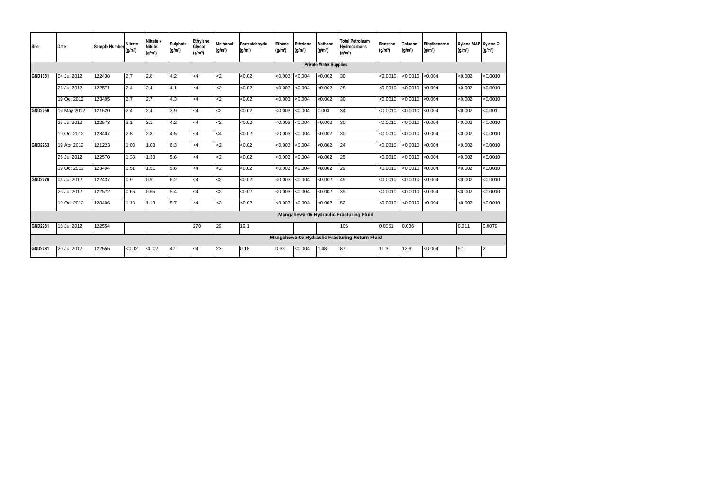| <b>Site</b>    | <b>Date</b> | <b>Sample Number</b> | <b>Nitrate</b><br>(q/m <sup>3</sup> ) | Nitrate +<br><b>Nitrite</b><br>(g/m <sup>3</sup> ) | <b>Sulphate</b><br>$(g/m^3)$ | <b>Ethylene</b><br>Glycol<br>(g/m <sup>3</sup> ) | <b>Methanol</b><br>(g/m <sup>3</sup> ) | Formaldehyde<br>(g/m <sup>3</sup> ) | Ethane<br>(g/m <sup>3</sup> ) | <b>Ethylene</b><br>(g/m <sup>3</sup> ) | <b>Methane</b><br>(g/m <sup>3</sup> ) | <b>Total Petroleum</b><br><b>Hydrocarbons</b><br>(g/m <sup>3</sup> ) | Benzene<br>(g/m <sup>3</sup> ) | <b>Toluene</b><br>(g/m <sup>3</sup> ) | Ethylbenzene<br>(g/m <sup>3</sup> ) | Xylene-M&P Xylene-O<br>(g/m <sup>3</sup> ) | (g/m <sup>3</sup> ) |
|----------------|-------------|----------------------|---------------------------------------|----------------------------------------------------|------------------------------|--------------------------------------------------|----------------------------------------|-------------------------------------|-------------------------------|----------------------------------------|---------------------------------------|----------------------------------------------------------------------|--------------------------------|---------------------------------------|-------------------------------------|--------------------------------------------|---------------------|
|                |             |                      |                                       |                                                    |                              |                                                  |                                        |                                     |                               |                                        | <b>Private Water Supplies</b>         |                                                                      |                                |                                       |                                     |                                            |                     |
| GND1081        | 04 Jul 2012 | 122438               | 2.7                                   | 2.8                                                | 4.2                          | $<$ 4                                            | $<$ 2                                  | < 0.02                              | < 0.003                       | < 0.004                                | < 0.002                               | 30                                                                   | < 0.0010                       | < 0.0010                              | < 0.004                             | < 0.002                                    | < 0.0010            |
|                | 26 Jul 2012 | 122571               | 2.4                                   | 2.4                                                | 4.1                          | $\overline{\overline{}}$                         | $\overline{c}$                         | < 0.02                              | < 0.003                       | < 0.004                                | < 0.002                               | 28                                                                   | < 0.0010                       | < 0.0010                              | < 0.004                             | < 0.002                                    | < 0.0010            |
|                | 19 Oct 2012 | 123405               | 2.7                                   | 2.7                                                | 4.3                          | $<$ 4                                            | $\overline{c}$                         | < 0.02                              | $\sqrt{0.003}$                | <0.004                                 | < 0.002                               | 30                                                                   | < 0.0010                       | < 0.0010                              | < 0.004                             | < 0.002                                    | < 0.0010            |
| <b>GND2258</b> | 16 May 2012 | 121520               | 2.4                                   | 2.4                                                | 3.9                          | $<$ 4                                            | $2$                                    | < 0.02                              | < 0.003                       | < 0.004                                | 0.003                                 | 34                                                                   | < 0.0010                       | < 0.0010                              | < 0.004                             | < 0.002                                    | < 0.001             |
|                | 26 Jul 2012 | 122573               | 3.1                                   | 3.1                                                | 4.2                          | $\leq 4$                                         | $2$                                    | < 0.02                              | < 0.003                       | < 0.004                                | < 0.002                               | 30                                                                   | < 0.0010                       | < 0.0010                              | < 0.004                             | < 0.002                                    | < 0.0010            |
|                | 19 Oct 2012 | 123407               | 2.8                                   | 2.8                                                | 4.5                          | $\leq 4$                                         | $<$ 4                                  | < 0.02                              | <0.003                        | < 0.004                                | < 0.002                               | 30                                                                   | < 0.0010                       | < 0.0010                              | < 0.004                             | < 0.002                                    | < 0.0010            |
| <b>GND2263</b> | 19 Apr 2012 | 121223               | 1.03                                  | 1.03                                               | 6.3                          | <4                                               | $2$                                    | < 0.02                              | < 0.003                       | < 0.004                                | < 0.002                               | 24                                                                   | < 0.0010                       | < 0.0010                              | < 0.004                             | < 0.002                                    | < 0.0010            |
|                | 26 Jul 2012 | 122570               | 1.33                                  | 1.33                                               | 5.6                          | <4                                               | <                                      | $\sqrt{50.02}$                      | < 0.003                       | < 0.004                                | < 0.002                               | 25                                                                   | < 0.0010                       | < 0.0010                              | < 0.004                             | < 0.002                                    | < 0.0010            |
|                | 19 Oct 2012 | 123404               | 1.51                                  | 1.51                                               | 5.6                          | $\leq 4$                                         | $2$                                    | < 0.02                              | < 0.003                       | < 0.004                                | < 0.002                               | 29                                                                   | < 0.0010                       | < 0.0010                              | < 0.004                             | < 0.002                                    | < 0.0010            |
| <b>GND2279</b> | 04 Jul 2012 | 122437               | 0.9                                   | 0.9                                                | 6.2                          | <4                                               | $2$                                    | < 0.02                              | < 0.003                       | < 0.004                                | < 0.002                               | 49                                                                   | < 0.0010                       | < 0.0010                              | < 0.004                             | < 0.002                                    | < 0.0010            |
|                | 26 Jul 2012 | 122572               | 0.65                                  | 0.65                                               | 5.4                          | $<$ 4                                            | $2$                                    | < 0.02                              | < 0.003                       | < 0.004                                | <0.002                                | 39                                                                   | < 0.0010                       | < 0.0010                              | < 0.004                             | < 0.002                                    | < 0.0010            |
|                | 19 Oct 2012 | 123406               | 1.13                                  | 1.13                                               | 5.7                          | <4                                               | $2$                                    | < 0.02                              | < 0.003                       | < 0.004                                | < 0.002                               | 52                                                                   | < 0.0010                       | < 0.0010                              | < 0.004                             | < 0.002                                    | < 0.0010            |
|                |             |                      |                                       |                                                    |                              |                                                  |                                        |                                     |                               |                                        |                                       | Mangahewa-05 Hydraulic Fracturing Fluid                              |                                |                                       |                                     |                                            |                     |
| <b>GND2281</b> | 18 Jul 2012 | 122554               |                                       |                                                    |                              | 270                                              | 29                                     | 19.1                                |                               |                                        |                                       | 106                                                                  | 0.0061                         | 0.036                                 |                                     | 0.011                                      | 0.0079              |
|                |             |                      |                                       |                                                    |                              |                                                  |                                        |                                     |                               |                                        |                                       | Mangahewa-05 Hydraulic Fracturing Return Fluid                       |                                |                                       |                                     |                                            |                     |
| <b>GND2281</b> | 20 Jul 2012 | 122555               | <0.02                                 | < 0.02                                             | 47                           | $<$ 4                                            | 23                                     | 0.18                                | 0.33                          | < 0.004                                | 1.48                                  | 87                                                                   | 11.3                           | 12.8                                  | < 0.004                             | 5.1                                        | $\overline{2}$      |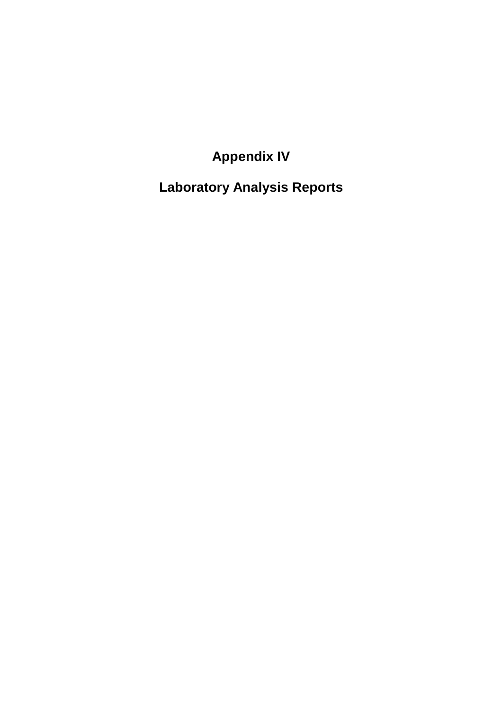**Appendix IV** 

**Laboratory Analysis Reports**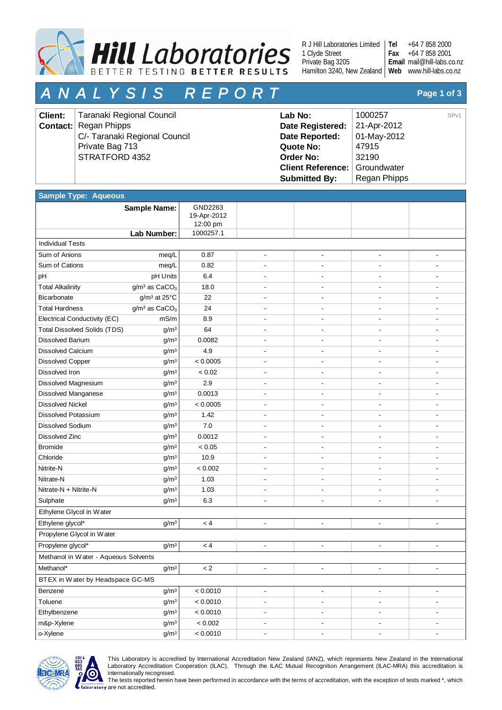

R J Hill Laboratories Limited 1 Clyde Street Private Bag 3205 Hamilton 3240, New Zealand | Web [www.hill-labs.co.nz](http://www.hill-labs.co.nz/)

+64 7 858 2000 +64 7 858 2001 [mail@hill-labs.co.nz](mailto:mail@hill-labs.co.nz) **Email Tel Fax**

# *A N A L Y S I S R E P O R T* **Page 1 of 3**

| Client: | Taranaki Regional Council     | Lab No:                              | 1000257      | SP <sub>v1</sub> |
|---------|-------------------------------|--------------------------------------|--------------|------------------|
|         | <b>Contact:</b> Regan Phipps  | Date Registered:                     | 21-Apr-2012  |                  |
|         | C/- Taranaki Regional Council | Date Reported:                       | 01-May-2012  |                  |
|         | Private Bag 713               | Quote No:                            | 47915        |                  |
|         | STRATFORD 4352                | Order No:                            | 32190        |                  |
|         |                               | <b>Client Reference: Groundwater</b> |              |                  |
|         |                               | <b>Submitted By:</b>                 | Regan Phipps |                  |

| <b>Sample Type: Aqueous</b>          |                                       |                                    |                          |                          |                          |                          |  |  |  |
|--------------------------------------|---------------------------------------|------------------------------------|--------------------------|--------------------------|--------------------------|--------------------------|--|--|--|
|                                      | <b>Sample Name:</b>                   | GND2263<br>19-Apr-2012<br>12:00 pm |                          |                          |                          |                          |  |  |  |
|                                      | Lab Number:                           | 1000257.1                          |                          |                          |                          |                          |  |  |  |
| <b>Individual Tests</b>              |                                       |                                    |                          |                          |                          |                          |  |  |  |
| Sum of Anions                        | meq/L                                 | 0.87                               | $\overline{\phantom{a}}$ | $\overline{\phantom{a}}$ | $\overline{\phantom{a}}$ |                          |  |  |  |
| Sum of Cations                       | meq/L                                 | 0.82                               | L,                       |                          |                          |                          |  |  |  |
| pH                                   | pH Units                              | 6.4                                | $\blacksquare$           | $\overline{\phantom{a}}$ |                          |                          |  |  |  |
| <b>Total Alkalinity</b>              | g/m <sup>3</sup> as CaCO <sub>3</sub> | 18.0                               |                          |                          |                          |                          |  |  |  |
| Bicarbonate                          | g/m <sup>3</sup> at 25°C              | 22                                 |                          |                          |                          |                          |  |  |  |
| <b>Total Hardness</b>                | $g/m^3$ as $CaCO3$                    | 24                                 |                          |                          |                          |                          |  |  |  |
| Electrical Conductivity (EC)         | mS/m                                  | 8.9                                |                          |                          |                          |                          |  |  |  |
| <b>Total Dissolved Solids (TDS)</b>  | g/m <sup>3</sup>                      | 64                                 |                          |                          |                          |                          |  |  |  |
| <b>Dissolved Barium</b>              | g/m <sup>3</sup>                      | 0.0082                             |                          |                          |                          |                          |  |  |  |
| Dissolved Calcium                    | g/m <sup>3</sup>                      | 4.9                                |                          |                          |                          |                          |  |  |  |
| <b>Dissolved Copper</b>              | g/m <sup>3</sup>                      | < 0.0005                           |                          |                          |                          |                          |  |  |  |
| Dissolved Iron                       | g/m <sup>3</sup>                      | < 0.02                             |                          |                          |                          |                          |  |  |  |
| Dissolved Magnesium                  | g/m <sup>3</sup>                      | 2.9                                |                          |                          |                          |                          |  |  |  |
| Dissolved Manganese                  | g/m <sup>3</sup>                      | 0.0013                             | $\blacksquare$           | $\blacksquare$           | $\overline{\phantom{a}}$ |                          |  |  |  |
| <b>Dissolved Nickel</b>              | g/m <sup>3</sup>                      | < 0.0005                           |                          |                          |                          |                          |  |  |  |
| Dissolved Potassium                  | g/m <sup>3</sup>                      | 1.42                               | ٠                        | $\overline{a}$           |                          |                          |  |  |  |
| <b>Dissolved Sodium</b>              | g/m <sup>3</sup>                      | 7.0                                |                          |                          |                          |                          |  |  |  |
| Dissolved Zinc                       | g/m <sup>3</sup>                      | 0.0012                             |                          | $\overline{\phantom{a}}$ |                          |                          |  |  |  |
| <b>Bromide</b>                       | g/m <sup>3</sup>                      | < 0.05                             |                          |                          |                          |                          |  |  |  |
| Chloride                             | g/m <sup>3</sup>                      | 10.9                               | ä,                       | L.                       |                          |                          |  |  |  |
| Nitrite-N                            | g/m <sup>3</sup>                      | < 0.002                            | $\blacksquare$           | $\overline{\phantom{a}}$ | $\overline{\phantom{a}}$ |                          |  |  |  |
| Nitrate-N                            | g/m <sup>3</sup>                      | 1.03                               |                          |                          |                          |                          |  |  |  |
| Nitrate-N + Nitrite-N                | g/m <sup>3</sup>                      | 1.03                               |                          |                          |                          |                          |  |  |  |
| Sulphate                             | g/m <sup>3</sup>                      | 6.3                                |                          |                          |                          |                          |  |  |  |
| Ethylene Glycol in Water             |                                       |                                    |                          |                          |                          |                          |  |  |  |
| Ethylene glycol*                     | g/m <sup>3</sup>                      | < 4                                | $\overline{\phantom{a}}$ | $\overline{\phantom{a}}$ | $\overline{\phantom{a}}$ | $\overline{\phantom{a}}$ |  |  |  |
| Propylene Glycol in Water            |                                       |                                    |                          |                          |                          |                          |  |  |  |
| Propylene glycol*                    | g/m <sup>3</sup>                      | < 4                                | $\overline{\phantom{a}}$ |                          |                          |                          |  |  |  |
| Methanol in Water - Aqueous Solvents |                                       |                                    |                          |                          |                          |                          |  |  |  |
| Methanol*                            | $g/m^3$                               | < 2                                |                          |                          |                          |                          |  |  |  |
| BTEX in Water by Headspace GC-MS     |                                       |                                    |                          |                          |                          |                          |  |  |  |
| Benzene                              | g/m <sup>3</sup>                      | < 0.0010                           | $\overline{\phantom{a}}$ | $\overline{\phantom{a}}$ | $\overline{\phantom{a}}$ | $\overline{\phantom{a}}$ |  |  |  |
| Toluene                              | g/m <sup>3</sup>                      | < 0.0010                           | $\blacksquare$           | $\blacksquare$           | $\overline{a}$           |                          |  |  |  |
| Ethylbenzene                         | g/m <sup>3</sup>                      | < 0.0010                           | $\overline{\phantom{a}}$ | $\blacksquare$           | $\overline{\phantom{a}}$ | $\overline{\phantom{a}}$ |  |  |  |
| m&p-Xylene                           | g/m <sup>3</sup>                      | < 0.002                            | $\overline{\phantom{a}}$ | $\overline{\phantom{a}}$ | $\overline{\phantom{a}}$ | $\blacksquare$           |  |  |  |
| o-Xylene                             | g/m <sup>3</sup>                      | < 0.0010                           | $\overline{\phantom{a}}$ | $\overline{\phantom{a}}$ | $\blacksquare$           | $\overline{\phantom{a}}$ |  |  |  |



This Laboratory is accredited by International Accreditation New Zealand (IANZ), which represents New Zealand in the International Laboratory Accreditation Cooperation (ILAC). Through the ILAC Mutual Recognition Arrangement (ILAC-MRA) this accreditation is internationally recognised.

The tests reported herein have been performed in accordance with the terms of accreditation, with the exception of tests marked \*, which are not accredited.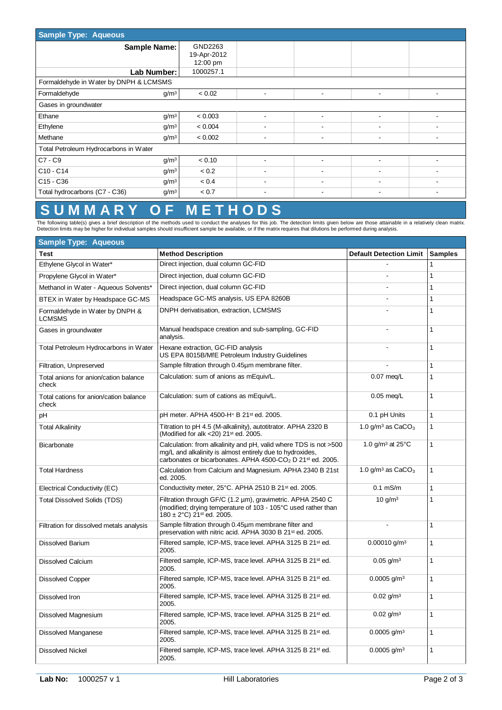| <b>Sample Type: Aqueous</b>                           |                                    |                          |                          |                          |  |  |  |  |  |
|-------------------------------------------------------|------------------------------------|--------------------------|--------------------------|--------------------------|--|--|--|--|--|
| <b>Sample Name:</b>                                   | GND2263<br>19-Apr-2012<br>12:00 pm |                          |                          |                          |  |  |  |  |  |
| Lab Number:                                           | 1000257.1                          |                          |                          |                          |  |  |  |  |  |
| Formaldehyde in Water by DNPH & LCMSMS                |                                    |                          |                          |                          |  |  |  |  |  |
| Formaldehyde<br>g/m <sup>3</sup>                      | < 0.02                             | $\overline{\phantom{a}}$ | ٠                        | $\overline{\phantom{a}}$ |  |  |  |  |  |
| Gases in groundwater                                  |                                    |                          |                          |                          |  |  |  |  |  |
| Ethane<br>g/m <sup>3</sup>                            | < 0.003                            |                          | $\overline{\phantom{a}}$ |                          |  |  |  |  |  |
| Ethylene<br>g/m <sup>3</sup>                          | < 0.004                            |                          |                          |                          |  |  |  |  |  |
| Methane<br>g/m <sup>3</sup>                           | < 0.002                            | ۰                        | ٠                        |                          |  |  |  |  |  |
| Total Petroleum Hydrocarbons in Water                 |                                    |                          |                          |                          |  |  |  |  |  |
| C7 - C9<br>g/m <sup>3</sup>                           | < 0.10                             |                          |                          |                          |  |  |  |  |  |
| $C10 - C14$<br>g/m <sup>3</sup>                       | < 0.2                              |                          |                          |                          |  |  |  |  |  |
| C <sub>15</sub> - C <sub>36</sub><br>g/m <sup>3</sup> | < 0.4                              | $\overline{\phantom{0}}$ | $\overline{\phantom{a}}$ | $\overline{\phantom{a}}$ |  |  |  |  |  |
| Total hydrocarbons (C7 - C36)<br>g/m <sup>3</sup>     | < 0.7                              |                          |                          |                          |  |  |  |  |  |

# **S U M M A R Y O F M E T H O D S**

The following table(s) gives a brief description of the methods used to conduct the analyses for this job. The detection limits given below are those attainable in a relatively clean matrix.<br>Detection limits may be higher

| <b>Sample Type: Aqueous</b>                      |                                                                                                                                                                                                                     |                                        |                |
|--------------------------------------------------|---------------------------------------------------------------------------------------------------------------------------------------------------------------------------------------------------------------------|----------------------------------------|----------------|
| Test                                             | <b>Method Description</b>                                                                                                                                                                                           | <b>Default Detection Limit</b>         | <b>Samples</b> |
| Ethylene Glycol in Water*                        | Direct injection, dual column GC-FID                                                                                                                                                                                |                                        | $\mathbf{1}$   |
| Propylene Glycol in Water*                       | Direct injection, dual column GC-FID                                                                                                                                                                                |                                        | $\mathbf{1}$   |
| Methanol in Water - Aqueous Solvents*            | Direct injection, dual column GC-FID                                                                                                                                                                                | ÷                                      | $\mathbf{1}$   |
| BTEX in Water by Headspace GC-MS                 | Headspace GC-MS analysis, US EPA 8260B                                                                                                                                                                              |                                        | $\mathbf{1}$   |
| Formaldehyde in Water by DNPH &<br><b>LCMSMS</b> | DNPH derivatisation, extraction, LCMSMS                                                                                                                                                                             |                                        | $\mathbf{1}$   |
| Gases in groundwater                             | Manual headspace creation and sub-sampling, GC-FID<br>analysis.                                                                                                                                                     |                                        | $\mathbf{1}$   |
| Total Petroleum Hydrocarbons in Water            | Hexane extraction, GC-FID analysis<br>US EPA 8015B/MfE Petroleum Industry Guidelines                                                                                                                                |                                        | $\mathbf{1}$   |
| Filtration, Unpreserved                          | Sample filtration through 0.45um membrane filter.                                                                                                                                                                   |                                        | $\mathbf{1}$   |
| Total anions for anion/cation balance<br>check   | Calculation: sum of anions as mEquiv/L.                                                                                                                                                                             | $0.07$ meg/L                           | $\mathbf{1}$   |
| Total cations for anion/cation balance<br>check  | Calculation: sum of cations as mEquiv/L.                                                                                                                                                                            | $0.05$ meg/L                           | $\mathbf{1}$   |
| pH                                               | pH meter. APHA 4500-H+ B 21st ed. 2005.                                                                                                                                                                             | 0.1 pH Units                           | $\mathbf{1}$   |
| <b>Total Alkalinity</b>                          | Titration to pH 4.5 (M-alkalinity), autotitrator. APHA 2320 B<br>(Modified for alk <20) 21 <sup>st</sup> ed. 2005.                                                                                                  | 1.0 $g/m^3$ as $CaCO3$                 | 1              |
| <b>Bicarbonate</b>                               | Calculation: from alkalinity and pH, valid where TDS is not >500<br>mg/L and alkalinity is almost entirely due to hydroxides,<br>carbonates or bicarbonates. APHA 4500-CO <sub>2</sub> D 21 <sup>st</sup> ed. 2005. | 1.0 g/m <sup>3</sup> at $25^{\circ}$ C | $\mathbf{1}$   |
| <b>Total Hardness</b>                            | Calculation from Calcium and Magnesium. APHA 2340 B 21st<br>ed. 2005.                                                                                                                                               | 1.0 g/m <sup>3</sup> as $CaCO3$        | $\mathbf{1}$   |
| Electrical Conductivity (EC)                     | Conductivity meter, 25°C. APHA 2510 B 21 <sup>st</sup> ed. 2005.                                                                                                                                                    | $0.1$ mS/m                             | $\mathbf{1}$   |
| <b>Total Dissolved Solids (TDS)</b>              | Filtration through GF/C (1.2 µm), gravimetric. APHA 2540 C<br>(modified; drying temperature of 103 - 105°C used rather than<br>$180 \pm 2$ °C) 21 <sup>st</sup> ed. 2005.                                           | $10 \text{ q/m}^3$                     | $\mathbf{1}$   |
| Filtration for dissolved metals analysis         | Sample filtration through 0.45µm membrane filter and<br>preservation with nitric acid. APHA 3030 B 21 <sup>st</sup> ed. 2005.                                                                                       | $\overline{\phantom{a}}$               | $\mathbf{1}$   |
| <b>Dissolved Barium</b>                          | Filtered sample, ICP-MS, trace level. APHA 3125 B 21st ed.<br>2005.                                                                                                                                                 | $0.00010$ g/m <sup>3</sup>             | $\mathbf{1}$   |
| <b>Dissolved Calcium</b>                         | Filtered sample, ICP-MS, trace level. APHA 3125 B 21 <sup>st</sup> ed.<br>2005.                                                                                                                                     | $0.05$ g/m <sup>3</sup>                | $\mathbf{1}$   |
| <b>Dissolved Copper</b>                          | Filtered sample, ICP-MS, trace level. APHA 3125 B 21 <sup>st</sup> ed.<br>2005.                                                                                                                                     | $0.0005$ g/m <sup>3</sup>              | $\mathbf{1}$   |
| Dissolved Iron                                   | Filtered sample, ICP-MS, trace level. APHA 3125 B 21 <sup>st</sup> ed.<br>2005.                                                                                                                                     | $0.02$ g/m <sup>3</sup>                | $\mathbf{1}$   |
| Dissolved Magnesium                              | Filtered sample, ICP-MS, trace level. APHA 3125 B 21 <sup>st</sup> ed.<br>2005.                                                                                                                                     | $0.02$ g/m <sup>3</sup>                | 1              |
| <b>Dissolved Manganese</b>                       | Filtered sample, ICP-MS, trace level. APHA 3125 B 21st ed.<br>2005.                                                                                                                                                 | $0.0005$ g/m <sup>3</sup>              | $\mathbf{1}$   |
| <b>Dissolved Nickel</b>                          | Filtered sample, ICP-MS, trace level. APHA 3125 B 21 <sup>st</sup> ed.<br>2005.                                                                                                                                     | $0.0005$ g/m <sup>3</sup>              | $\mathbf{1}$   |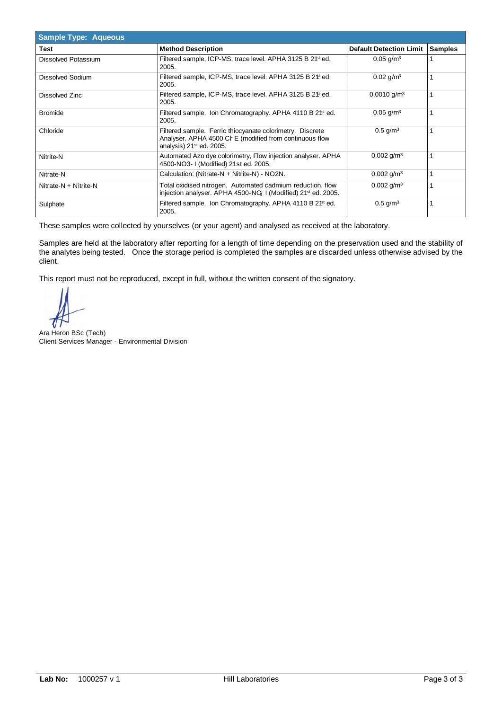| <b>Sample Type: Aqueous</b> |                                                                                                                                                              |                                |                |
|-----------------------------|--------------------------------------------------------------------------------------------------------------------------------------------------------------|--------------------------------|----------------|
| <b>Test</b>                 | <b>Method Description</b>                                                                                                                                    | <b>Default Detection Limit</b> | <b>Samples</b> |
| Dissolved Potassium         | Filtered sample, ICP-MS, trace level. APHA 3125 B 2 <sup>fst</sup> ed.<br>2005.                                                                              | $0.05$ g/m <sup>3</sup>        |                |
| <b>Dissolved Sodium</b>     | Filtered sample, ICP-MS, trace level. APHA 3125 B 2 <sup>\$t</sup> ed.<br>2005.                                                                              | $0.02$ g/m <sup>3</sup>        |                |
| Dissolved Zinc              | Filtered sample, ICP-MS, trace level. APHA 3125 B 2 <sup>\$t</sup> ed.<br>2005.                                                                              | $0.0010$ g/m <sup>3</sup>      |                |
| <b>Bromide</b>              | Filtered sample. Ion Chromatography. APHA 4110 B 2 <sup>ft</sup> ed.<br>2005.                                                                                | $0.05$ g/m <sup>3</sup>        |                |
| Chloride                    | Filtered sample. Ferric thiocyanate colorimetry. Discrete<br>Analyser. APHA 4500 CI E (modified from continuous flow<br>analysis) 21 <sup>st</sup> ed. 2005. | $0.5$ g/m <sup>3</sup>         |                |
| Nitrite-N                   | Automated Azo dye colorimetry, Flow injection analyser. APHA<br>4500-NO3-1 (Modified) 21st ed. 2005.                                                         | $0.002$ g/m <sup>3</sup>       |                |
| Nitrate-N                   | Calculation: (Nitrate-N + Nitrite-N) - NO2N.                                                                                                                 | $0.002$ g/m <sup>3</sup>       |                |
| Nitrate-N + Nitrite-N       | Total oxidised nitrogen. Automated cadmium reduction, flow<br>injection analyser. APHA 4500-NQ-1 (Modified) 21 <sup>st</sup> ed. 2005.                       | $0.002$ g/m <sup>3</sup>       |                |
| Sulphate                    | Filtered sample. Ion Chromatography. APHA 4110 B 2 <sup>ft</sup> ed.<br>2005.                                                                                | $0.5$ g/m <sup>3</sup>         |                |

Samples are held at the laboratory after reporting for a length of time depending on the preservation used and the stability of the analytes being tested. Once the storage period is completed the samples are discarded unless otherwise advised by the client.

 $\left\langle \right\rangle$ 

Ara Heron BSc (Tech) Client Services Manager - Environmental Division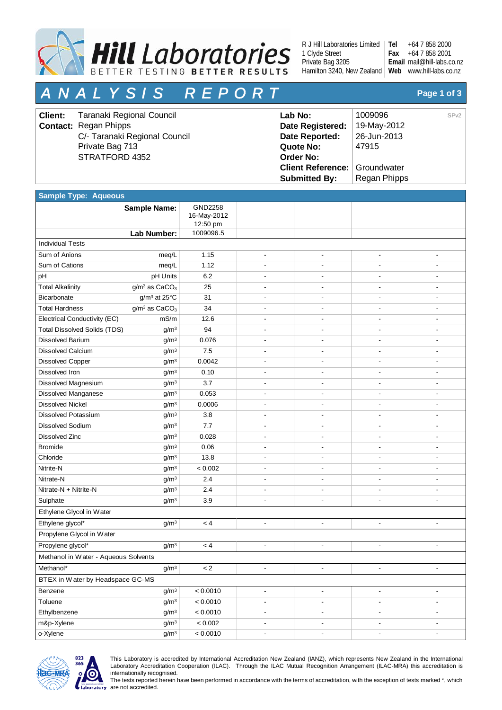

R J Hill Laboratories Limited 1 Clyde Street Private Bag 3205 Hamilton 3240, New Zealand | Web www.hill-labs.co.nz

+64 7 858 2000 +64 7 858 2001 mail@hill-labs.co.nz **Email Tel Fax**

# *A N A L Y S I S R E P O R T* **Page 1 of 3**

| <b>Client:</b> | Taranaki Regional Council     | Lab No:                              | 1009096      | SP <sub>v2</sub> |
|----------------|-------------------------------|--------------------------------------|--------------|------------------|
|                | <b>Contact:</b> Regan Phipps  | Date Registered:                     | 19-May-2012  |                  |
|                | C/- Taranaki Regional Council | Date Reported:                       | 26-Jun-2013  |                  |
|                | Private Bag 713               | Quote No:                            | 47915        |                  |
|                | STRATFORD 4352                | Order No:                            |              |                  |
|                |                               | <b>Client Reference: Groundwater</b> |              |                  |
|                |                               | <b>Submitted By:</b>                 | Regan Phipps |                  |

| <b>Sample Type: Aqueous</b>          |                                       |                                    |                          |                          |                              |                          |  |  |  |
|--------------------------------------|---------------------------------------|------------------------------------|--------------------------|--------------------------|------------------------------|--------------------------|--|--|--|
|                                      | Sample Name:                          | GND2258<br>16-May-2012<br>12:50 pm |                          |                          |                              |                          |  |  |  |
|                                      | Lab Number:                           | 1009096.5                          |                          |                          |                              |                          |  |  |  |
| <b>Individual Tests</b>              |                                       |                                    |                          |                          |                              |                          |  |  |  |
| Sum of Anions                        | meq/L                                 | 1.15                               | $\overline{\phantom{a}}$ | $\overline{\phantom{a}}$ | ä,                           |                          |  |  |  |
| Sum of Cations                       | meq/L                                 | 1.12                               |                          |                          |                              |                          |  |  |  |
| pH                                   | pH Units                              | 6.2                                |                          |                          |                              |                          |  |  |  |
| <b>Total Alkalinity</b>              | g/m <sup>3</sup> as CaCO <sub>3</sub> | 25                                 |                          |                          |                              |                          |  |  |  |
| Bicarbonate                          | g/m <sup>3</sup> at 25°C              | 31                                 |                          |                          |                              |                          |  |  |  |
| <b>Total Hardness</b>                | $g/m3$ as CaCO <sub>3</sub>           | 34                                 |                          |                          |                              |                          |  |  |  |
| Electrical Conductivity (EC)         | mS/m                                  | 12.6                               |                          |                          |                              |                          |  |  |  |
| <b>Total Dissolved Solids (TDS)</b>  | g/m <sup>3</sup>                      | 94                                 |                          |                          |                              |                          |  |  |  |
| <b>Dissolved Barium</b>              | g/m <sup>3</sup>                      | 0.076                              |                          |                          |                              |                          |  |  |  |
| <b>Dissolved Calcium</b>             | g/m <sup>3</sup>                      | 7.5                                |                          |                          |                              |                          |  |  |  |
| <b>Dissolved Copper</b>              | g/m <sup>3</sup>                      | 0.0042                             |                          |                          |                              |                          |  |  |  |
| Dissolved Iron                       | g/m <sup>3</sup>                      | 0.10                               |                          |                          |                              |                          |  |  |  |
| Dissolved Magnesium                  | g/m <sup>3</sup>                      | 3.7                                |                          |                          |                              |                          |  |  |  |
| <b>Dissolved Manganese</b>           | g/m <sup>3</sup>                      | 0.053                              |                          |                          |                              |                          |  |  |  |
| <b>Dissolved Nickel</b>              | g/m <sup>3</sup>                      | 0.0006                             |                          |                          |                              |                          |  |  |  |
| <b>Dissolved Potassium</b>           | g/m <sup>3</sup>                      | 3.8                                |                          |                          |                              |                          |  |  |  |
| <b>Dissolved Sodium</b>              | g/m <sup>3</sup>                      | 7.7                                |                          |                          | ٠                            |                          |  |  |  |
| Dissolved Zinc                       | g/m <sup>3</sup>                      | 0.028                              |                          |                          | $\overline{\phantom{a}}$     |                          |  |  |  |
| <b>Bromide</b>                       | g/m <sup>3</sup>                      | 0.06                               |                          |                          |                              |                          |  |  |  |
| Chloride                             | g/m <sup>3</sup>                      | 13.8                               |                          |                          |                              |                          |  |  |  |
| Nitrite-N                            | g/m <sup>3</sup>                      | < 0.002                            |                          |                          |                              |                          |  |  |  |
| Nitrate-N                            | g/m <sup>3</sup>                      | 2.4                                |                          |                          |                              |                          |  |  |  |
| Nitrate-N + Nitrite-N                | g/m <sup>3</sup>                      | 2.4                                |                          |                          |                              |                          |  |  |  |
| Sulphate                             | g/m <sup>3</sup>                      | 3.9                                |                          |                          |                              |                          |  |  |  |
| Ethylene Glycol in Water             |                                       |                                    |                          |                          |                              |                          |  |  |  |
| Ethylene glycol*                     | g/m <sup>3</sup>                      | < 4                                | $\blacksquare$           | $\overline{\phantom{a}}$ | $\overline{a}$               | $\overline{\phantom{a}}$ |  |  |  |
| Propylene Glycol in Water            |                                       |                                    |                          |                          |                              |                          |  |  |  |
| Propylene glycol*                    | g/m <sup>3</sup>                      | < 4                                | $\overline{\phantom{a}}$ | $\overline{\phantom{a}}$ | $\overline{a}$               | ä,                       |  |  |  |
| Methanol in Water - Aqueous Solvents |                                       |                                    |                          |                          |                              |                          |  |  |  |
| Methanol*                            | $g/m^3$                               | < 2                                |                          |                          |                              |                          |  |  |  |
| BTEX in Water by Headspace GC-MS     |                                       |                                    |                          |                          |                              |                          |  |  |  |
| Benzene                              | g/m <sup>3</sup>                      | < 0.0010                           | $\blacksquare$           | $\blacksquare$           | $\qquad \qquad \blacksquare$ |                          |  |  |  |
| Toluene                              | g/m <sup>3</sup>                      | < 0.0010                           |                          | $\overline{\phantom{a}}$ |                              |                          |  |  |  |
| Ethylbenzene                         | g/m <sup>3</sup>                      | < 0.0010                           | $\blacksquare$           | $\blacksquare$           | $\overline{\phantom{a}}$     | $\overline{\phantom{a}}$ |  |  |  |
| m&p-Xylene                           | g/m <sup>3</sup>                      | $< 0.002$                          | $\frac{1}{2}$            | $\overline{\phantom{a}}$ | $\overline{\phantom{a}}$     | $\overline{\phantom{a}}$ |  |  |  |
| o-Xylene                             | g/m <sup>3</sup>                      | < 0.0010                           | $\overline{\phantom{m}}$ | $\overline{\phantom{m}}$ | -                            | ۰                        |  |  |  |



This Laboratory is accredited by International Accreditation New Zealand (IANZ), which represents New Zealand in the International Laboratory Accreditation Cooperation (ILAC). Through the ILAC Mutual Recognition Arrangement (ILAC-MRA) this accreditation is internationally recognised.

The tests reported herein have been performed in accordance with the terms of accreditation, with the exception of tests marked \*, which are not accredited.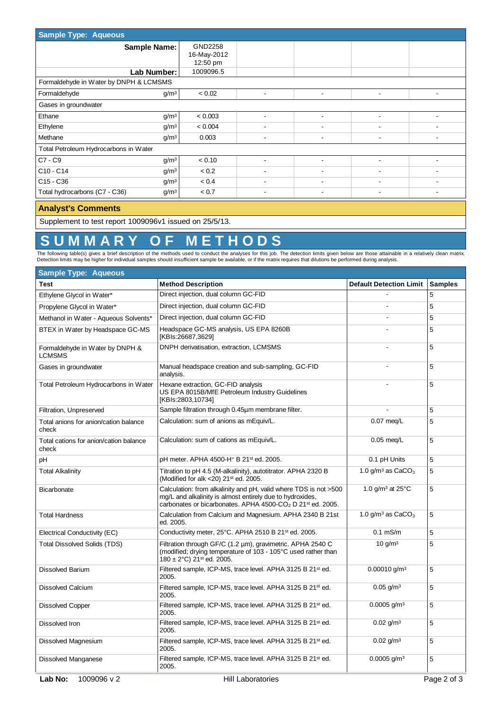| <b>Sample Type: Aqueous</b>            |                                    |                          |                          |   |  |  |  |  |  |  |
|----------------------------------------|------------------------------------|--------------------------|--------------------------|---|--|--|--|--|--|--|
| <b>Sample Name:</b>                    | GND2258<br>16-May-2012<br>12:50 pm |                          |                          |   |  |  |  |  |  |  |
| Lab Number:                            | 1009096.5                          |                          |                          |   |  |  |  |  |  |  |
| Formaldehyde in Water by DNPH & LCMSMS |                                    |                          |                          |   |  |  |  |  |  |  |
| Formaldehyde                           | g/m <sup>3</sup><br>< 0.02         | $\blacksquare$           | $\overline{\phantom{a}}$ |   |  |  |  |  |  |  |
| Gases in groundwater                   |                                    |                          |                          |   |  |  |  |  |  |  |
| Ethane                                 | g/m <sup>3</sup><br>< 0.003        |                          |                          |   |  |  |  |  |  |  |
| Ethylene                               | g/m <sup>3</sup><br>< 0.004        |                          |                          |   |  |  |  |  |  |  |
| Methane                                | g/m <sup>3</sup><br>0.003          | $\overline{\phantom{a}}$ | $\overline{\phantom{a}}$ | ۰ |  |  |  |  |  |  |
| Total Petroleum Hydrocarbons in Water  |                                    |                          |                          |   |  |  |  |  |  |  |
| $ C7-C9 $                              | g/m <sup>3</sup><br>< 0.10         |                          | $\overline{\phantom{a}}$ |   |  |  |  |  |  |  |
| C <sub>10</sub> - C <sub>14</sub>      | g/m <sup>3</sup><br>< 0.2          |                          |                          |   |  |  |  |  |  |  |
| C <sub>15</sub> - C <sub>36</sub>      | g/m <sup>3</sup><br>< 0.4          |                          |                          |   |  |  |  |  |  |  |
| Total hydrocarbons (C7 - C36)          | < 0.7<br>g/m <sup>3</sup>          | $\overline{\phantom{a}}$ | $\overline{\phantom{a}}$ | ۰ |  |  |  |  |  |  |
|                                        |                                    |                          |                          |   |  |  |  |  |  |  |

#### **Analyst's Comments**

Supplement to test report 1009096v1 issued on 25/5/13.

# **S U M M A R Y O F M E T H O D S**

The following table(s) gives a brief description of the methods used to conduct the analyses for this job. The detection limits given below are those attainable in a relatively clean matrix.<br>Detection limits may be higher

| <b>Sample Type: Aqueous</b>                      |                                                                                                                                                                                                                     |                                 |                |
|--------------------------------------------------|---------------------------------------------------------------------------------------------------------------------------------------------------------------------------------------------------------------------|---------------------------------|----------------|
| Test                                             | <b>Method Description</b>                                                                                                                                                                                           | <b>Default Detection Limit</b>  | <b>Samples</b> |
| Ethylene Glycol in Water*                        | Direct injection, dual column GC-FID                                                                                                                                                                                |                                 | 5              |
| Propylene Glycol in Water*                       | Direct injection, dual column GC-FID                                                                                                                                                                                |                                 | 5              |
| Methanol in Water - Aqueous Solvents*            | Direct injection, dual column GC-FID                                                                                                                                                                                |                                 | 5              |
| BTEX in Water by Headspace GC-MS                 | Headspace GC-MS analysis, US EPA 8260B<br>[KBIs:26687,3629]                                                                                                                                                         |                                 | 5              |
| Formaldehyde in Water by DNPH &<br><b>LCMSMS</b> | DNPH derivatisation, extraction, LCMSMS                                                                                                                                                                             |                                 | 5              |
| Gases in groundwater                             | Manual headspace creation and sub-sampling, GC-FID<br>analysis.                                                                                                                                                     |                                 | 5              |
| Total Petroleum Hydrocarbons in Water            | Hexane extraction, GC-FID analysis<br>US EPA 8015B/MfE Petroleum Industry Guidelines<br>[KBIs:2803,10734]                                                                                                           |                                 | 5              |
| Filtration, Unpreserved                          | Sample filtration through 0.45um membrane filter.                                                                                                                                                                   |                                 | 5              |
| Total anions for anion/cation balance<br>check   | Calculation: sum of anions as mEquiv/L.                                                                                                                                                                             | $0.07$ meg/L                    | 5              |
| Total cations for anion/cation balance<br>check  | Calculation: sum of cations as mEquiv/L.                                                                                                                                                                            | $0.05$ meg/L                    | 5              |
| рH                                               | pH meter. APHA 4500-H+ B 21st ed. 2005.                                                                                                                                                                             | 0.1 pH Units                    | 5              |
| <b>Total Alkalinity</b>                          | Titration to pH 4.5 (M-alkalinity), autotitrator. APHA 2320 B<br>(Modified for alk <20) 21 <sup>st</sup> ed. 2005.                                                                                                  | 1.0 g/m <sup>3</sup> as $CaCO3$ | 5              |
| Bicarbonate                                      | Calculation: from alkalinity and pH, valid where TDS is not >500<br>mg/L and alkalinity is almost entirely due to hydroxides,<br>carbonates or bicarbonates. APHA 4500-CO <sub>2</sub> D 21 <sup>st</sup> ed. 2005. | 1.0 $q/m^3$ at 25 $°C$          | 5              |
| <b>Total Hardness</b>                            | Calculation from Calcium and Magnesium. APHA 2340 B 21st<br>ed. 2005.                                                                                                                                               | 1.0 g/m <sup>3</sup> as $CaCO3$ | 5              |
| Electrical Conductivity (EC)                     | Conductivity meter, 25°C. APHA 2510 B 21 <sup>st</sup> ed. 2005.                                                                                                                                                    | $0.1$ mS/m                      | 5              |
| <b>Total Dissolved Solids (TDS)</b>              | Filtration through GF/C (1.2 µm), gravimetric. APHA 2540 C<br>(modified; drying temperature of 103 - 105°C used rather than<br>$180 \pm 2$ °C) 21 <sup>st</sup> ed. 2005.                                           | 10 g/m <sup>3</sup>             | 5              |
| <b>Dissolved Barium</b>                          | Filtered sample, ICP-MS, trace level. APHA 3125 B 21st ed.<br>2005.                                                                                                                                                 | $0.00010$ g/m <sup>3</sup>      | 5              |
| <b>Dissolved Calcium</b>                         | Filtered sample, ICP-MS, trace level. APHA 3125 B 21 <sup>st</sup> ed.<br>2005.                                                                                                                                     | $0.05$ g/m <sup>3</sup>         | 5              |
| <b>Dissolved Copper</b>                          | Filtered sample, ICP-MS, trace level. APHA 3125 B 21 <sup>st</sup> ed.<br>2005.                                                                                                                                     | $0.0005$ g/m <sup>3</sup>       | 5              |
| Dissolved Iron                                   | Filtered sample, ICP-MS, trace level. APHA 3125 B 21 <sup>st</sup> ed.<br>2005.                                                                                                                                     | $0.02$ g/m <sup>3</sup>         | 5              |
| Dissolved Magnesium                              | Filtered sample, ICP-MS, trace level. APHA 3125 B 21 <sup>st</sup> ed.<br>2005.                                                                                                                                     | $0.02$ g/m <sup>3</sup>         | 5              |
| <b>Dissolved Manganese</b>                       | Filtered sample, ICP-MS, trace level. APHA 3125 B 21st ed.<br>2005.                                                                                                                                                 | $0.0005$ g/m <sup>3</sup>       | 5              |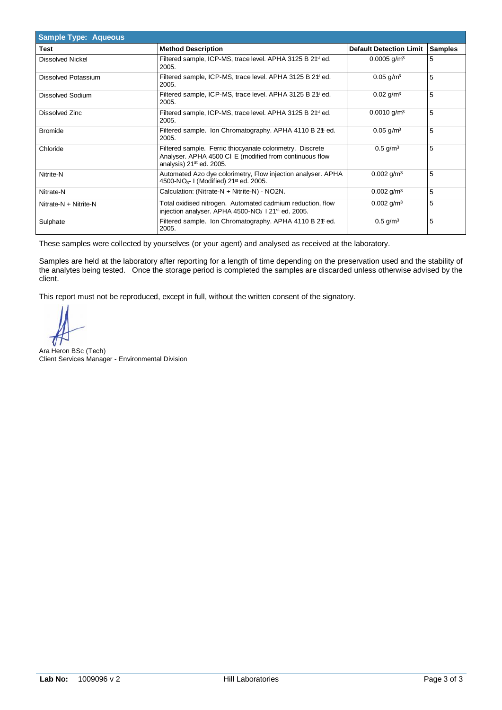| <b>Sample Type: Aqueous</b> |                                                                                                                                                              |                                |                |  |  |  |  |
|-----------------------------|--------------------------------------------------------------------------------------------------------------------------------------------------------------|--------------------------------|----------------|--|--|--|--|
| <b>Test</b>                 | <b>Method Description</b>                                                                                                                                    | <b>Default Detection Limit</b> | <b>Samples</b> |  |  |  |  |
| Dissolved Nickel            | Filtered sample, ICP-MS, trace level. APHA 3125 B 2 <sup>1st</sup> ed.<br>2005.                                                                              | $0.0005$ g/m <sup>3</sup>      | 5              |  |  |  |  |
| Dissolved Potassium         | Filtered sample, ICP-MS, trace level. APHA 3125 B 2 <sup>\$t</sup> ed.<br>2005.                                                                              | $0.05$ g/m <sup>3</sup>        | 5              |  |  |  |  |
| Dissolved Sodium            | Filtered sample, ICP-MS, trace level. APHA 3125 B 2 <sup>\$t</sup> ed.<br>2005.                                                                              | $0.02$ g/m <sup>3</sup>        | 5              |  |  |  |  |
| Dissolved Zinc              | Filtered sample, ICP-MS, trace level. APHA 3125 B 2 <sup>1st</sup> ed.<br>2005.                                                                              | $0.0010$ g/m <sup>3</sup>      | 5              |  |  |  |  |
| <b>Bromide</b>              | Filtered sample. Ion Chromatography. APHA 4110 B 2 <sup>#</sup> ed.<br>2005.                                                                                 | $0.05$ g/m <sup>3</sup>        | 5              |  |  |  |  |
| Chloride                    | Filtered sample. Ferric thiocyanate colorimetry. Discrete<br>Analyser. APHA 4500 CI E (modified from continuous flow<br>analysis) 21 <sup>st</sup> ed. 2005. | $0.5$ g/m <sup>3</sup>         | 5              |  |  |  |  |
| Nitrite-N                   | Automated Azo dye colorimetry, Flow injection analyser. APHA<br>4500-NO <sub>3</sub> -1 (Modified) 21 <sup>st</sup> ed. 2005.                                | $0.002$ g/m <sup>3</sup>       | 5              |  |  |  |  |
| Nitrate-N                   | Calculation: (Nitrate-N + Nitrite-N) - NO2N.                                                                                                                 | $0.002$ g/m <sup>3</sup>       | 5              |  |  |  |  |
| Nitrate-N + Nitrite-N       | Total oxidised nitrogen. Automated cadmium reduction, flow<br>injection analyser. APHA 4500-NO <sub>3</sub> 121 <sup>st</sup> ed. 2005.                      | $0.002$ g/m <sup>3</sup>       | 5              |  |  |  |  |
| Sulphate                    | Filtered sample. Ion Chromatography. APHA 4110 B 2 <sup>#</sup> ed.<br>2005.                                                                                 | $0.5$ g/m <sup>3</sup>         | 5              |  |  |  |  |

Samples are held at the laboratory after reporting for a length of time depending on the preservation used and the stability of the analytes being tested. Once the storage period is completed the samples are discarded unless otherwise advised by the client.

Ara Heron BSc (Tech) Client Services Manager - Environmental Division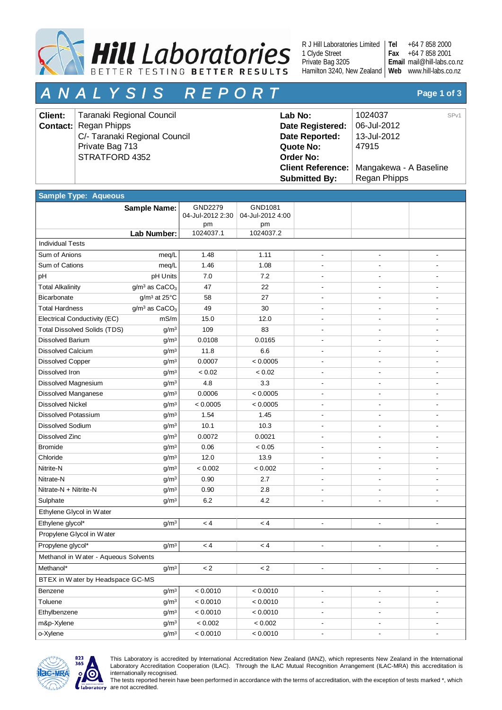

R J Hill Laboratories Limited 1 Clyde Street Private Bag 3205 Hamilton 3240, New Zealand | Web www.hill-labs.co.nz **Tel**

+64 7 858 2000 +64 7 858 2001 mail@hill-labs.co.nz **Email Fax**

# *A N A L Y S I S R E P O R T* **Page 1 of 3**

| <b>Client:</b> | Taranaki Regional Council     | Lab No:              | SP <sub>v1</sub><br>1024037                |
|----------------|-------------------------------|----------------------|--------------------------------------------|
|                | <b>Contact:</b> Regan Phipps  | Date Registered:     | 06-Jul-2012                                |
|                | C/- Taranaki Regional Council | Date Reported:       | 13-Jul-2012                                |
|                | Private Bag 713               | Quote No:            | 47915                                      |
|                | STRATFORD 4352                | <b>Order No:</b>     |                                            |
|                |                               |                      | Client Reference:   Mangakewa - A Baseline |
|                |                               | <b>Submitted By:</b> | Regan Phipps                               |

| <b>Sample Type: Aqueous</b>          |                                       |                             |                             |                          |                          |                          |  |
|--------------------------------------|---------------------------------------|-----------------------------|-----------------------------|--------------------------|--------------------------|--------------------------|--|
|                                      | <b>Sample Name:</b>                   | GND2279<br>04-Jul-2012 2:30 | GND1081<br>04-Jul-2012 4:00 |                          |                          |                          |  |
|                                      |                                       | pm                          | pm                          |                          |                          |                          |  |
|                                      | Lab Number:                           | 1024037.1                   | 1024037.2                   |                          |                          |                          |  |
| <b>Individual Tests</b>              |                                       |                             |                             |                          |                          |                          |  |
| Sum of Anions                        | meq/L                                 | 1.48                        | 1.11                        | $\overline{\phantom{a}}$ | $\overline{\phantom{a}}$ |                          |  |
| Sum of Cations                       | meg/L                                 | 1.46                        | 1.08                        | $\overline{\phantom{a}}$ | $\overline{\phantom{a}}$ |                          |  |
| рH                                   | pH Units                              | 7.0                         | 7.2                         | $\overline{\phantom{a}}$ |                          |                          |  |
| <b>Total Alkalinity</b>              | g/m <sup>3</sup> as CaCO <sub>3</sub> | 47                          | 22                          | $\overline{\phantom{a}}$ |                          |                          |  |
| Bicarbonate                          | $g/m^3$ at 25 $°C$                    | 58                          | 27                          |                          |                          |                          |  |
| <b>Total Hardness</b>                | g/m <sup>3</sup> as CaCO <sub>3</sub> | 49                          | 30                          |                          |                          |                          |  |
| Electrical Conductivity (EC)         | mS/m                                  | 15.0                        | 12.0                        |                          |                          |                          |  |
| <b>Total Dissolved Solids (TDS)</b>  | g/m <sup>3</sup>                      | 109                         | 83                          |                          |                          |                          |  |
| <b>Dissolved Barium</b>              | g/m <sup>3</sup>                      | 0.0108                      | 0.0165                      |                          |                          |                          |  |
| <b>Dissolved Calcium</b>             | g/m <sup>3</sup>                      | 11.8                        | 6.6                         |                          |                          |                          |  |
| <b>Dissolved Copper</b>              | g/m <sup>3</sup>                      | 0.0007                      | < 0.0005                    |                          |                          |                          |  |
| Dissolved Iron                       | g/m <sup>3</sup>                      | < 0.02                      | < 0.02                      |                          |                          |                          |  |
| Dissolved Magnesium                  | g/m <sup>3</sup>                      | 4.8                         | 3.3                         | $\overline{a}$           | ٠                        |                          |  |
| Dissolved Manganese                  | g/m <sup>3</sup>                      | 0.0006                      | < 0.0005                    |                          |                          |                          |  |
| <b>Dissolved Nickel</b>              | g/m <sup>3</sup>                      | < 0.0005                    | < 0.0005                    | $\overline{\phantom{a}}$ | $\overline{\phantom{a}}$ |                          |  |
| Dissolved Potassium                  | g/m <sup>3</sup>                      | 1.54                        | 1.45                        |                          |                          |                          |  |
| <b>Dissolved Sodium</b>              | g/m <sup>3</sup>                      | 10.1                        | 10.3                        |                          |                          |                          |  |
| <b>Dissolved Zinc</b>                | g/m <sup>3</sup>                      | 0.0072                      | 0.0021                      |                          |                          |                          |  |
| <b>Bromide</b>                       | g/m <sup>3</sup>                      | 0.06                        | < 0.05                      |                          |                          |                          |  |
| Chloride                             | g/m <sup>3</sup>                      | 12.0                        | 13.9                        |                          |                          |                          |  |
| Nitrite-N                            | g/m <sup>3</sup>                      | < 0.002                     | < 0.002                     |                          |                          |                          |  |
| Nitrate-N                            | g/m <sup>3</sup>                      | 0.90                        | 2.7                         | ÷,                       | ٠                        |                          |  |
| Nitrate-N + Nitrite-N                | g/m <sup>3</sup>                      | 0.90                        | 2.8                         |                          |                          |                          |  |
| Sulphate                             | g/m <sup>3</sup>                      | 6.2                         | 4.2                         | ÷,                       |                          |                          |  |
| Ethylene Glycol in Water             |                                       |                             |                             |                          |                          |                          |  |
| Ethylene glycol*                     | g/m <sup>3</sup>                      | < 4                         | < 4                         | $\overline{\phantom{a}}$ | $\blacksquare$           | $\overline{\phantom{a}}$ |  |
| Propylene Glycol in Water            |                                       |                             |                             |                          |                          |                          |  |
| Propylene glycol*                    | g/m <sup>3</sup>                      | < 4                         | < 4                         | $\overline{\phantom{a}}$ |                          |                          |  |
| Methanol in Water - Aqueous Solvents |                                       |                             |                             |                          |                          |                          |  |
| Methanol*                            | $g/m^3$                               | $\lt 2$                     | $\lt 2$                     | $\blacksquare$           | $\blacksquare$           |                          |  |
| BTEX in Water by Headspace GC-MS     |                                       |                             |                             |                          |                          |                          |  |
| Benzene                              | g/m <sup>3</sup>                      | < 0.0010                    | < 0.0010                    | $\overline{\phantom{a}}$ | $\blacksquare$           | $\blacksquare$           |  |
| Toluene                              | g/m <sup>3</sup>                      | < 0.0010                    | < 0.0010                    | $\overline{\phantom{a}}$ | -                        |                          |  |
| Ethylbenzene                         | g/m <sup>3</sup>                      | < 0.0010                    | < 0.0010                    | $\overline{\phantom{a}}$ |                          |                          |  |
| m&p-Xylene                           | g/m <sup>3</sup>                      | $< 0.002$                   | $< 0.002$                   | $\overline{\phantom{a}}$ | $\overline{\phantom{a}}$ | $\overline{\phantom{a}}$ |  |
| o-Xylene                             | g/m <sup>3</sup>                      | < 0.0010                    | < 0.0010                    | $\overline{\phantom{a}}$ | $\overline{\phantom{a}}$ | $\blacksquare$           |  |



This Laboratory is accredited by International Accreditation New Zealand (IANZ), which represents New Zealand in the International Laboratory Accreditation Cooperation (ILAC). Through the ILAC Mutual Recognition Arrangement (ILAC-MRA) this accreditation is internationally recognised.

The tests reported herein have been performed in accordance with the terms of accreditation, with the exception of tests marked \*, which are not accredited.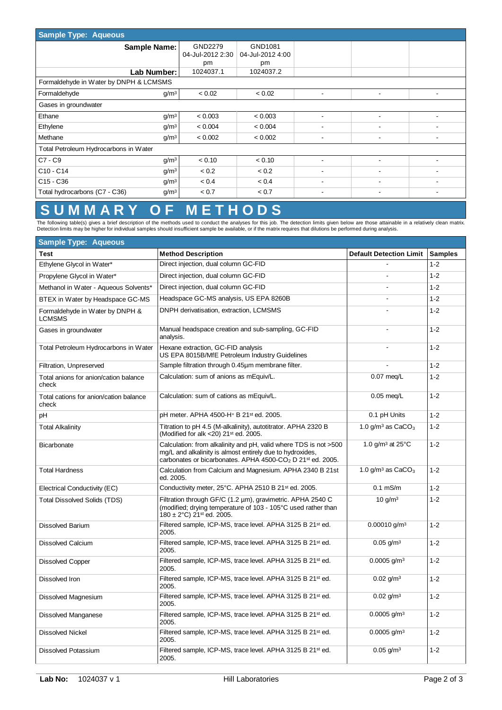| <b>Sample Type: Aqueous</b>                           |                             |                             |                          |                          |                          |
|-------------------------------------------------------|-----------------------------|-----------------------------|--------------------------|--------------------------|--------------------------|
| <b>Sample Name:</b>                                   | GND2279<br>04-Jul-2012 2:30 | GND1081<br>04-Jul-2012 4:00 |                          |                          |                          |
|                                                       | pm                          | pm                          |                          |                          |                          |
| Lab Number:                                           | 1024037.1                   | 1024037.2                   |                          |                          |                          |
| Formaldehyde in Water by DNPH & LCMSMS                |                             |                             |                          |                          |                          |
| g/m <sup>3</sup><br>Formaldehyde                      | < 0.02                      | < 0.02                      | $\overline{\phantom{0}}$ | $\overline{\phantom{a}}$ | $\overline{\phantom{a}}$ |
| Gases in groundwater                                  |                             |                             |                          |                          |                          |
| Ethane<br>g/m <sup>3</sup>                            | < 0.003                     | < 0.003                     | ۰                        | ٠                        |                          |
| Ethylene<br>g/m <sup>3</sup>                          | < 0.004                     | < 0.004                     | -                        | ۰                        |                          |
| Methane<br>g/m <sup>3</sup>                           | < 0.002                     | < 0.002                     | $\overline{\phantom{a}}$ | ٠                        |                          |
| Total Petroleum Hydrocarbons in Water                 |                             |                             |                          |                          |                          |
| $C7 - C9$<br>g/m <sup>3</sup>                         | < 0.10                      | < 0.10                      |                          |                          |                          |
| $C10 - C14$<br>g/m <sup>3</sup>                       | < 0.2                       | < 0.2                       | ۰                        | ۰                        |                          |
| C <sub>15</sub> - C <sub>36</sub><br>g/m <sup>3</sup> | < 0.4                       | < 0.4                       | ۰                        | ۰                        |                          |
| Total hydrocarbons (C7 - C36)<br>g/m <sup>3</sup>     | < 0.7                       | < 0.7                       |                          | ۰                        |                          |

# **S U M M A R Y O F M E T H O D S**

The following table(s) gives a brief description of the methods used to conduct the analyses for this job. The detection limits given below are those attainable in a relatively clean matrix.<br>Detection limits may be higher

| <b>Sample Type: Aqueous</b>                      |                                                                                                                                                                                                                     |                                 |                |  |  |  |  |  |
|--------------------------------------------------|---------------------------------------------------------------------------------------------------------------------------------------------------------------------------------------------------------------------|---------------------------------|----------------|--|--|--|--|--|
| Test                                             | <b>Method Description</b>                                                                                                                                                                                           | <b>Default Detection Limit</b>  | <b>Samples</b> |  |  |  |  |  |
| Ethylene Glycol in Water*                        | Direct injection, dual column GC-FID                                                                                                                                                                                |                                 | $1 - 2$        |  |  |  |  |  |
| Propylene Glycol in Water*                       | Direct injection, dual column GC-FID                                                                                                                                                                                |                                 | $1 - 2$        |  |  |  |  |  |
| Methanol in Water - Aqueous Solvents*            | Direct injection, dual column GC-FID                                                                                                                                                                                | ÷.                              | $1 - 2$        |  |  |  |  |  |
| BTEX in Water by Headspace GC-MS                 | Headspace GC-MS analysis, US EPA 8260B                                                                                                                                                                              |                                 | $1 - 2$        |  |  |  |  |  |
| Formaldehyde in Water by DNPH &<br><b>LCMSMS</b> | DNPH derivatisation, extraction, LCMSMS                                                                                                                                                                             |                                 | $1 - 2$        |  |  |  |  |  |
| Gases in groundwater                             | Manual headspace creation and sub-sampling, GC-FID<br>analysis.                                                                                                                                                     |                                 | $1 - 2$        |  |  |  |  |  |
| Total Petroleum Hydrocarbons in Water            | Hexane extraction, GC-FID analysis<br>US EPA 8015B/MfE Petroleum Industry Guidelines                                                                                                                                |                                 | $1 - 2$        |  |  |  |  |  |
| Filtration, Unpreserved                          | Sample filtration through 0.45µm membrane filter.                                                                                                                                                                   |                                 | $1 - 2$        |  |  |  |  |  |
| Total anions for anion/cation balance<br>check   | Calculation: sum of anions as mEquiv/L.                                                                                                                                                                             | $0.07$ meg/L                    | $1 - 2$        |  |  |  |  |  |
| Total cations for anion/cation balance<br>check  | Calculation: sum of cations as mEquiv/L.                                                                                                                                                                            | $0.05$ meg/L                    | $1 - 2$        |  |  |  |  |  |
| рH                                               | pH meter, APHA 4500-H <sup>+</sup> B 21 <sup>st</sup> ed. 2005.                                                                                                                                                     | 0.1 pH Units                    | $1 - 2$        |  |  |  |  |  |
| <b>Total Alkalinity</b>                          | Titration to pH 4.5 (M-alkalinity), autotitrator. APHA 2320 B<br>(Modified for alk <20) 21 <sup>st</sup> ed. 2005.                                                                                                  | 1.0 $q/m^3$ as $CaCO3$          | $1 - 2$        |  |  |  |  |  |
| Bicarbonate                                      | Calculation: from alkalinity and pH, valid where TDS is not >500<br>mg/L and alkalinity is almost entirely due to hydroxides,<br>carbonates or bicarbonates. APHA 4500-CO <sub>2</sub> D 21 <sup>st</sup> ed. 2005. | 1.0 $q/m3$ at 25 $°C$           | $1 - 2$        |  |  |  |  |  |
| <b>Total Hardness</b>                            | Calculation from Calcium and Magnesium. APHA 2340 B 21st<br>ed. 2005.                                                                                                                                               | 1.0 g/m <sup>3</sup> as $CaCO3$ | $1 - 2$        |  |  |  |  |  |
| Electrical Conductivity (EC)                     | Conductivity meter, 25°C. APHA 2510 B 21 <sup>st</sup> ed. 2005.                                                                                                                                                    | $0.1$ mS/m                      | $1 - 2$        |  |  |  |  |  |
| <b>Total Dissolved Solids (TDS)</b>              | Filtration through GF/C (1.2 µm), gravimetric. APHA 2540 C<br>(modified; drying temperature of 103 - 105°C used rather than<br>$180 \pm 2$ °C) 21 <sup>st</sup> ed. 2005.                                           | 10 g/m <sup>3</sup>             | $1 - 2$        |  |  |  |  |  |
| <b>Dissolved Barium</b>                          | Filtered sample, ICP-MS, trace level. APHA 3125 B 21st ed.<br>2005.                                                                                                                                                 | $0.00010$ g/m <sup>3</sup>      | $1 - 2$        |  |  |  |  |  |
| <b>Dissolved Calcium</b>                         | Filtered sample, ICP-MS, trace level. APHA 3125 B 21st ed.<br>2005.                                                                                                                                                 | $0.05$ g/m <sup>3</sup>         | $1 - 2$        |  |  |  |  |  |
| <b>Dissolved Copper</b>                          | Filtered sample, ICP-MS, trace level. APHA 3125 B 21 <sup>st</sup> ed.<br>2005.                                                                                                                                     | $0.0005$ g/m <sup>3</sup>       | $1 - 2$        |  |  |  |  |  |
| Dissolved Iron                                   | Filtered sample, ICP-MS, trace level. APHA 3125 B 21 <sup>st</sup> ed.<br>2005.                                                                                                                                     | $0.02$ g/m <sup>3</sup>         | $1 - 2$        |  |  |  |  |  |
| Dissolved Magnesium                              | Filtered sample, ICP-MS, trace level. APHA 3125 B 21 <sup>st</sup> ed.<br>2005.                                                                                                                                     | $0.02$ g/m <sup>3</sup>         | $1 - 2$        |  |  |  |  |  |
| <b>Dissolved Manganese</b>                       | Filtered sample, ICP-MS, trace level. APHA 3125 B 21 <sup>st</sup> ed.<br>2005.                                                                                                                                     | $0.0005$ g/m <sup>3</sup>       | $1 - 2$        |  |  |  |  |  |
| <b>Dissolved Nickel</b>                          | Filtered sample, ICP-MS, trace level. APHA 3125 B 21st ed.<br>2005.                                                                                                                                                 | $0.0005$ g/m <sup>3</sup>       | $1 - 2$        |  |  |  |  |  |
| <b>Dissolved Potassium</b>                       | Filtered sample, ICP-MS, trace level. APHA 3125 B 21 <sup>st</sup> ed.<br>2005.                                                                                                                                     | $0.05$ g/m <sup>3</sup>         | $1 - 2$        |  |  |  |  |  |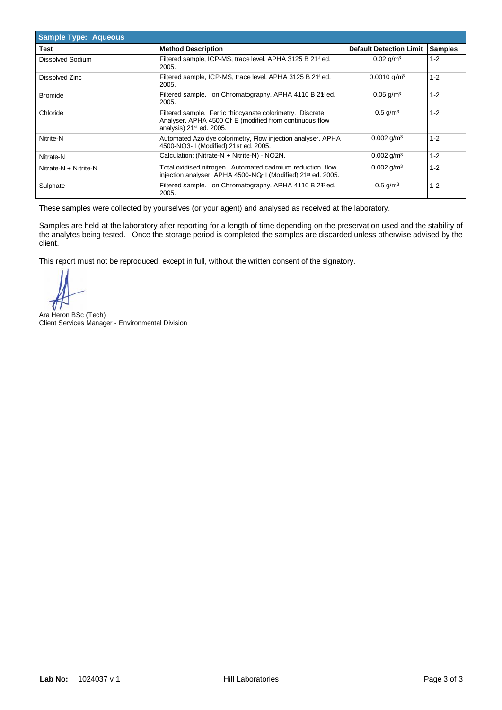| <b>Sample Type: Aqueous</b> |                                                                                                                                                    |                                |                |  |  |  |  |
|-----------------------------|----------------------------------------------------------------------------------------------------------------------------------------------------|--------------------------------|----------------|--|--|--|--|
| Test                        | <b>Method Description</b>                                                                                                                          | <b>Default Detection Limit</b> | <b>Samples</b> |  |  |  |  |
| Dissolved Sodium            | Filtered sample, ICP-MS, trace level. APHA 3125 B 2 <sup>1st</sup> ed.<br>2005.                                                                    | $0.02$ g/m <sup>3</sup>        | $1 - 2$        |  |  |  |  |
| Dissolved Zinc              | Filtered sample, ICP-MS, trace level. APHA 3125 B 2 <sup>\$t</sup> ed.<br>2005.                                                                    | $0.0010$ g/m <sup>3</sup>      | $1 - 2$        |  |  |  |  |
| <b>Bromide</b>              | Filtered sample. Ion Chromatography. APHA 4110 B 2 <sup>\$</sup> ted.<br>2005.                                                                     | $0.05$ g/m <sup>3</sup>        | $1 - 2$        |  |  |  |  |
| Chloride                    | Filtered sample. Ferric thiocyanate colorimetry. Discrete<br>Analyser. APHA 4500 CI E (modified from continuous flow<br>analysis) $21st$ ed. 2005. | $0.5$ g/m <sup>3</sup>         | $1 - 2$        |  |  |  |  |
| Nitrite-N                   | Automated Azo dye colorimetry, Flow injection analyser. APHA<br>4500-NO3-1 (Modified) 21st ed. 2005.                                               | $0.002$ g/m <sup>3</sup>       | $1 - 2$        |  |  |  |  |
| Nitrate-N                   | Calculation: (Nitrate-N + Nitrite-N) - NO2N.                                                                                                       | $0.002$ g/m <sup>3</sup>       | $1 - 2$        |  |  |  |  |
| Nitrate-N + Nitrite-N       | Total oxidised nitrogen. Automated cadmium reduction, flow<br>injection analyser. APHA 4500-NQ-1 (Modified) 21 <sup>st</sup> ed. 2005.             | $0.002$ g/m <sup>3</sup>       | $1 - 2$        |  |  |  |  |
| Sulphate                    | Filtered sample. Ion Chromatography. APHA 4110 B 2 <sup>#</sup> ed.<br>2005.                                                                       | $0.5$ g/m <sup>3</sup>         | $1 - 2$        |  |  |  |  |

Samples are held at the laboratory after reporting for a length of time depending on the preservation used and the stability of the analytes being tested. Once the storage period is completed the samples are discarded unless otherwise advised by the client.

Ara Heron BSc (Tech) Client Services Manager - Environmental Division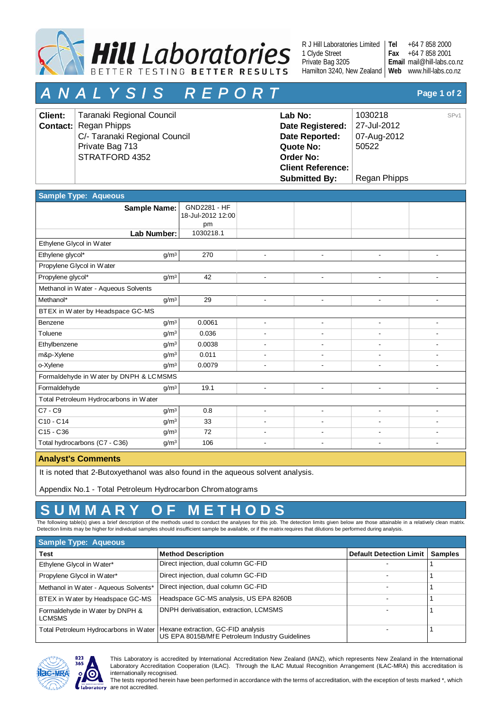

R J Hill Laboratories Limited 1 Clyde Street Private Bag 3205 Hamilton 3240, New Zealand | Web www.hill-labs.co.nz **Tel**

+64 7 858 2000 +64 7 858 2001 mail@hill-labs.co.nz **Email Fax**

# *A N A L Y S I S R E P O R T* **Page 1 of 2**

| <b>Client:</b> | Taranaki Regional Council     | Lab No:                  | 1030218      | SP <sub>v1</sub> |
|----------------|-------------------------------|--------------------------|--------------|------------------|
|                | <b>Contact:</b> Regan Phipps  | Date Registered:         | 27-Jul-2012  |                  |
|                | C/- Taranaki Regional Council | Date Reported:           | 07-Aug-2012  |                  |
|                | Private Bag 713               | Quote No:                | 50522        |                  |
|                | STRATFORD 4352                | <b>Order No:</b>         |              |                  |
|                |                               | <b>Client Reference:</b> |              |                  |
|                |                               | <b>Submitted By:</b>     | Regan Phipps |                  |

| <b>Sample Type: Aqueous</b>            |                     |                                   |                          |                          |                          |                          |
|----------------------------------------|---------------------|-----------------------------------|--------------------------|--------------------------|--------------------------|--------------------------|
|                                        | <b>Sample Name:</b> | GND2281 - HF<br>18-Jul-2012 12:00 |                          |                          |                          |                          |
|                                        |                     | pm                                |                          |                          |                          |                          |
|                                        | Lab Number:         | 1030218.1                         |                          |                          |                          |                          |
| Ethylene Glycol in Water               |                     |                                   |                          |                          |                          |                          |
| Ethylene glycol*                       | g/m <sup>3</sup>    | 270                               | $\overline{\phantom{a}}$ | ÷,                       | $\overline{\phantom{a}}$ |                          |
| Propylene Glycol in Water              |                     |                                   |                          |                          |                          |                          |
| Propylene glycol*                      | $g/m^3$             | 42                                | $\overline{\phantom{a}}$ | $\overline{\phantom{a}}$ | $\overline{\phantom{a}}$ | $\blacksquare$           |
| Methanol in Water - Aqueous Solvents   |                     |                                   |                          |                          |                          |                          |
| Methanol*                              | g/m <sup>3</sup>    | 29                                | $\overline{\phantom{a}}$ | ÷.                       | $\overline{\phantom{0}}$ |                          |
| BTEX in Water by Headspace GC-MS       |                     |                                   |                          |                          |                          |                          |
| Benzene                                | g/m <sup>3</sup>    | 0.0061                            | ٠                        | ٠                        | $\overline{\phantom{a}}$ | ۰                        |
| Toluene                                | g/m <sup>3</sup>    | 0.036                             |                          |                          |                          |                          |
| Ethylbenzene                           | g/m <sup>3</sup>    | 0.0038                            |                          |                          |                          |                          |
| m&p-Xylene                             | g/m <sup>3</sup>    | 0.011                             |                          |                          |                          |                          |
| o-Xylene                               | g/m <sup>3</sup>    | 0.0079                            |                          |                          | ۰                        |                          |
| Formaldehyde in Water by DNPH & LCMSMS |                     |                                   |                          |                          |                          |                          |
| Formaldehyde                           | g/m <sup>3</sup>    | 19.1                              | $\overline{\phantom{0}}$ | $\overline{\phantom{0}}$ | $\overline{\phantom{a}}$ | $\overline{\phantom{0}}$ |
| Total Petroleum Hydrocarbons in Water  |                     |                                   |                          |                          |                          |                          |
| $C7 - C9$                              | $g/m^3$             | 0.8                               | ٠                        | ٠                        | $\overline{\phantom{0}}$ | ۰                        |
| $C10 - C14$                            | g/m <sup>3</sup>    | 33                                |                          |                          |                          |                          |
| $C15 - C36$                            | g/m <sup>3</sup>    | 72                                |                          |                          |                          |                          |
| Total hydrocarbons (C7 - C36)          | g/m <sup>3</sup>    | 106                               |                          |                          |                          |                          |
| and the company                        |                     |                                   |                          |                          |                          |                          |

#### **Analyst's Comments**

It is noted that 2-Butoxyethanol was also found in the aqueous solvent analysis.

Appendix No.1 - Total Petroleum Hydrocarbon Chromatograms

# **S U M M A R Y O F M E T H O D S**

The following table(s) gives a brief description of the methods used to conduct the analyses for this job. The detection limits given below are those attainable in a relatively clean matrix. Detection limits may be higher for individual samples should insufficient sample be available, or if the matrix requires that dilutions be performed during analysis.

| <b>Sample Type: Aqueous</b>                      |                                                                                       |                                |                |  |  |  |  |  |
|--------------------------------------------------|---------------------------------------------------------------------------------------|--------------------------------|----------------|--|--|--|--|--|
| <b>Test</b>                                      | <b>Method Description</b>                                                             | <b>Default Detection Limit</b> | <b>Samples</b> |  |  |  |  |  |
| Ethylene Glycol in Water*                        | Direct injection, dual column GC-FID                                                  |                                |                |  |  |  |  |  |
| Propylene Glycol in Water*                       | Direct injection, dual column GC-FID                                                  |                                |                |  |  |  |  |  |
| Methanol in Water - Aqueous Solvents*            | Direct injection, dual column GC-FID                                                  |                                |                |  |  |  |  |  |
| BTEX in Water by Headspace GC-MS                 | Headspace GC-MS analysis, US EPA 8260B                                                |                                |                |  |  |  |  |  |
| Formaldehyde in Water by DNPH &<br><b>LCMSMS</b> | DNPH derivatisation, extraction, LCMSMS                                               |                                |                |  |  |  |  |  |
| Total Petroleum Hydrocarbons in Water            | Hexane extraction, GC-FID analysis<br>US EPA 8015B/Mf E Petroleum Industry Guidelines |                                |                |  |  |  |  |  |



This Laboratory is accredited by International Accreditation New Zealand (IANZ), which represents New Zealand in the International Laboratory Accreditation Cooperation (ILAC). Through the ILAC Mutual Recognition Arrangement (ILAC-MRA) this accreditation is internationally recognised.

The tests reported herein have been performed in accordance with the terms of accreditation, with the exception of tests marked \*, which laboratory are not accredited.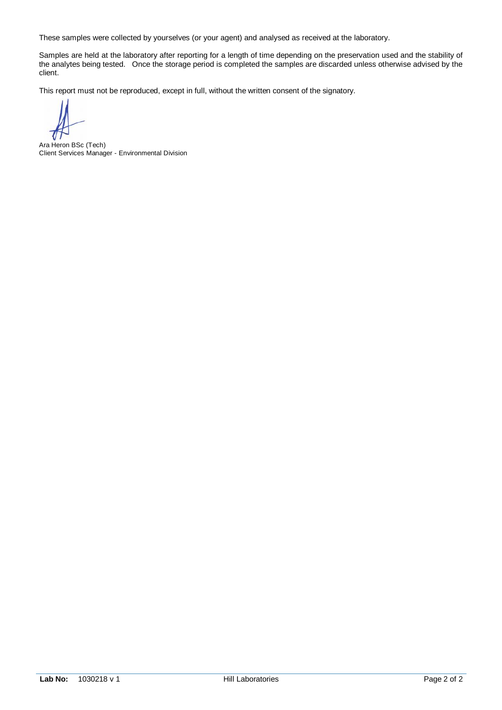Samples are held at the laboratory after reporting for a length of time depending on the preservation used and the stability of the analytes being tested. Once the storage period is completed the samples are discarded unless otherwise advised by the client.

Ara Heron BSc (Tech) Client Services Manager - Environmental Division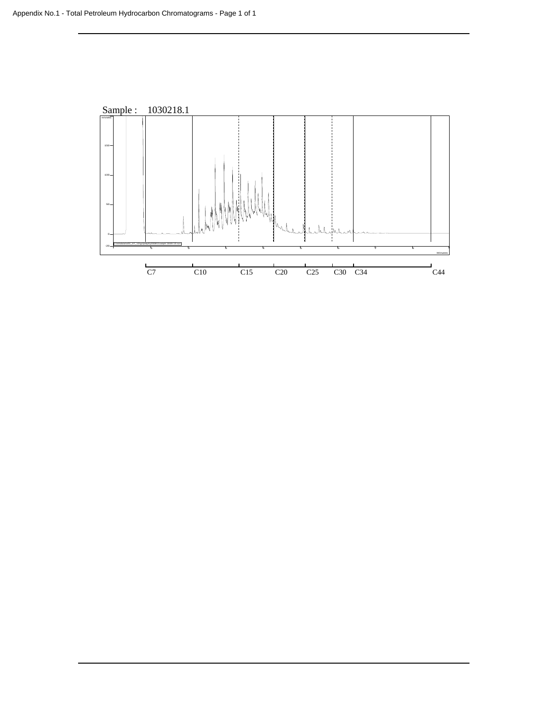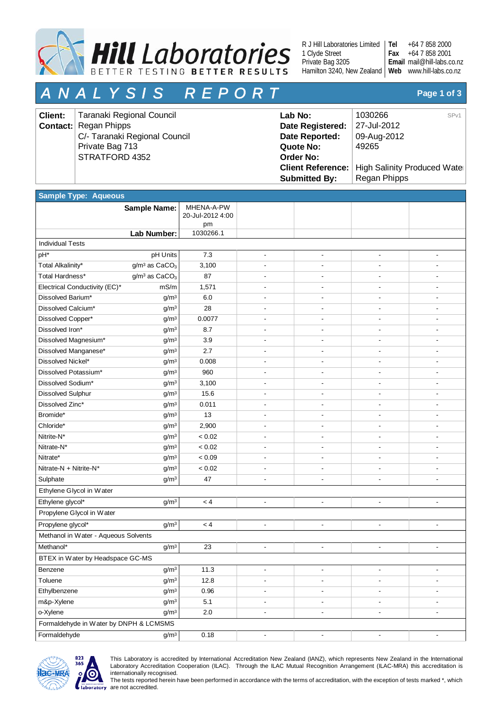

R J Hill Laboratories Limited 1 Clyde Street Private Bag 3205 Hamilton 3240, New Zealand | Web www.hill-labs.co.nz

+64 7 858 2000 +64 7 858 2001 mail@hill-labs.co.nz **Email Tel Fax**

# *A N A L Y S I S R E P O R T* **Page 1 of 3**

| <b>Client:</b> | Taranaki Regional Council     | Lab No:              | 1030266<br>SP <sub>v1</sub>                     |
|----------------|-------------------------------|----------------------|-------------------------------------------------|
|                | <b>Contact:</b> Regan Phipps  | Date Registered:     | 27-Jul-2012                                     |
|                | C/- Taranaki Regional Council | Date Reported:       | 09-Aug-2012                                     |
|                | Private Bag 713               | Quote No:            | 49265                                           |
|                | STRATFORD 4352                | <b>Order No:</b>     |                                                 |
|                |                               |                      | Client Reference:   High Salinity Produced Wate |
|                |                               | <b>Submitted By:</b> | Regan Phipps                                    |

| <b>Sample Type: Aqueous</b>            |                                       |                                      |                          |                          |                              |                          |
|----------------------------------------|---------------------------------------|--------------------------------------|--------------------------|--------------------------|------------------------------|--------------------------|
|                                        | <b>Sample Name:</b>                   | MHENA-A-PW<br>20-Jul-2012 4:00<br>pm |                          |                          |                              |                          |
|                                        | Lab Number:                           | 1030266.1                            |                          |                          |                              |                          |
| <b>Individual Tests</b>                |                                       |                                      |                          |                          |                              |                          |
| pH*                                    | pH Units                              | 7.3                                  | $\overline{\phantom{a}}$ | $\overline{\phantom{a}}$ | $\overline{\phantom{a}}$     | $\overline{\phantom{a}}$ |
| Total Alkalinity*                      | g/m <sup>3</sup> as CaCO <sub>3</sub> | 3,100                                |                          |                          |                              |                          |
| Total Hardness*                        | $g/m3$ as CaCO <sub>3</sub>           | 87                                   |                          |                          |                              |                          |
| Electrical Conductivity (EC)*          | mS/m                                  | 1,571                                |                          |                          |                              |                          |
| Dissolved Barium*                      | g/m <sup>3</sup>                      | 6.0                                  |                          |                          |                              |                          |
| Dissolved Calcium*                     | g/m <sup>3</sup>                      | 28                                   |                          |                          |                              |                          |
| Dissolved Copper*                      | g/m <sup>3</sup>                      | 0.0077                               |                          |                          |                              |                          |
| Dissolved Iron*                        | g/m <sup>3</sup>                      | 8.7                                  |                          |                          |                              |                          |
| Dissolved Magnesium*                   | g/m <sup>3</sup>                      | 3.9                                  |                          |                          |                              |                          |
| Dissolved Manganese*                   | g/m <sup>3</sup>                      | 2.7                                  |                          |                          |                              |                          |
| Dissolved Nickel*                      | g/m <sup>3</sup>                      | 0.008                                |                          |                          |                              |                          |
| Dissolved Potassium*                   | g/m <sup>3</sup>                      | 960                                  |                          |                          |                              |                          |
| Dissolved Sodium*                      | g/m <sup>3</sup>                      | 3,100                                |                          |                          |                              |                          |
| <b>Dissolved Sulphur</b>               | g/m <sup>3</sup>                      | 15.6                                 |                          | $\overline{\phantom{a}}$ |                              |                          |
| Dissolved Zinc*                        | g/m <sup>3</sup>                      | 0.011                                |                          |                          |                              |                          |
| Bromide*                               | g/m <sup>3</sup>                      | 13                                   |                          |                          |                              |                          |
| Chloride*                              | g/m <sup>3</sup>                      | 2,900                                |                          |                          |                              |                          |
| Nitrite-N*                             | g/m <sup>3</sup>                      | < 0.02                               |                          |                          |                              |                          |
| Nitrate-N*                             | g/m <sup>3</sup>                      | < 0.02                               | $\overline{\phantom{a}}$ | $\overline{\phantom{a}}$ | $\overline{\phantom{a}}$     |                          |
| Nitrate*                               | g/m <sup>3</sup>                      | < 0.09                               |                          |                          |                              |                          |
| Nitrate-N + Nitrite-N*                 | g/m <sup>3</sup>                      | < 0.02                               |                          |                          |                              |                          |
| Sulphate                               | g/m <sup>3</sup>                      | 47                                   |                          |                          |                              |                          |
| Ethylene Glycol in Water               |                                       |                                      |                          |                          |                              |                          |
| Ethylene glycol*                       | g/m <sup>3</sup>                      | < 4                                  | $\overline{\phantom{a}}$ | $\overline{\phantom{a}}$ |                              |                          |
| Propylene Glycol in Water              |                                       |                                      |                          |                          |                              |                          |
| Propylene glycol*                      | g/m <sup>3</sup>                      | < 4                                  | $\overline{\phantom{a}}$ | $\overline{\phantom{a}}$ | $\overline{\phantom{a}}$     |                          |
| Methanol in Water - Aqueous Solvents   |                                       |                                      |                          |                          |                              |                          |
| Methanol*                              | g/m <sup>3</sup>                      | 23                                   | $\overline{\phantom{a}}$ | $\overline{\phantom{a}}$ | $\overline{\phantom{a}}$     |                          |
| BTEX in Water by Headspace GC-MS       |                                       |                                      |                          |                          |                              |                          |
| Benzene                                | $g/m^3$                               | 11.3                                 |                          |                          |                              |                          |
| Toluene                                | g/m <sup>3</sup>                      | 12.8                                 | $\overline{\phantom{a}}$ | $\overline{\phantom{a}}$ | $\overline{\phantom{a}}$     |                          |
| Ethylbenzene                           | g/m <sup>3</sup>                      | 0.96                                 | $\overline{\phantom{a}}$ | $\overline{\phantom{a}}$ | $\overline{\phantom{a}}$     |                          |
| m&p-Xylene                             | g/m <sup>3</sup>                      | 5.1                                  | $\overline{\phantom{a}}$ | $\overline{\phantom{a}}$ | $\qquad \qquad \blacksquare$ |                          |
| o-Xylene                               | g/m <sup>3</sup>                      | $2.0\,$                              | $\overline{\phantom{a}}$ | $\blacksquare$           | $\overline{\phantom{a}}$     | $\overline{\phantom{a}}$ |
| Formaldehyde in Water by DNPH & LCMSMS |                                       |                                      |                          |                          |                              |                          |
| Formaldehyde                           | g/m <sup>3</sup>                      | 0.18                                 | $\blacksquare$           | $\blacksquare$           | $\blacksquare$               | $\overline{\phantom{a}}$ |



This Laboratory is accredited by International Accreditation New Zealand (IANZ), which represents New Zealand in the International Laboratory Accreditation Cooperation (ILAC). Through the ILAC Mutual Recognition Arrangement (ILAC-MRA) this accreditation is internationally recognised.

The tests reported herein have been performed in accordance with the terms of accreditation, with the exception of tests marked \*, which are not accredited.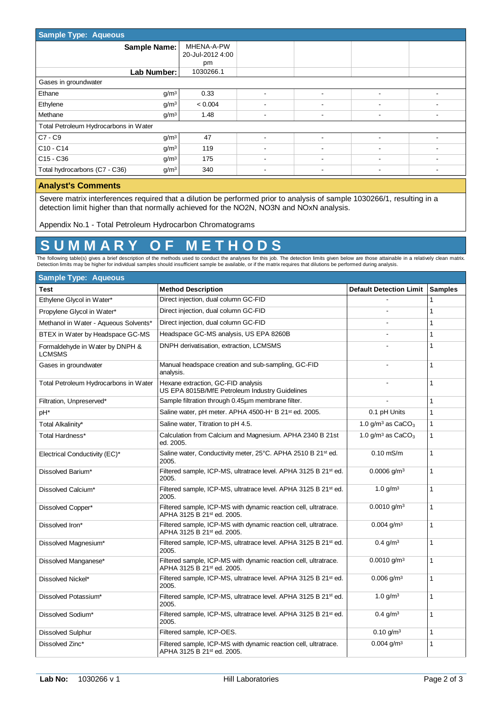| Sample Type: Aqueous                                      |                  |                          |   |   |                          |
|-----------------------------------------------------------|------------------|--------------------------|---|---|--------------------------|
| <b>Sample Name:</b>                                       | MHENA-A-PW       |                          |   |   |                          |
|                                                           | 20-Jul-2012 4:00 |                          |   |   |                          |
|                                                           | pm               |                          |   |   |                          |
| Lab Number:                                               | 1030266.1        |                          |   |   |                          |
| Gases in groundwater                                      |                  |                          |   |   |                          |
| Ethane<br>g/m <sup>3</sup>                                | 0.33             |                          |   |   |                          |
| Ethylene<br>g/m <sup>3</sup>                              | < 0.004          |                          |   |   |                          |
| Methane<br>g/m <sup>3</sup>                               | 1.48             |                          |   |   |                          |
| Total Petroleum Hydrocarbons in Water                     |                  |                          |   |   |                          |
| $ C7-C9 $<br>g/m <sup>3</sup>                             | 47               |                          |   |   |                          |
| $ $ C <sub>10</sub> - C <sub>14</sub><br>g/m <sup>3</sup> | 119              |                          |   |   |                          |
| $ C15 - C36$<br>g/m <sup>3</sup>                          | 175              |                          |   |   |                          |
| Total hydrocarbons (C7 - C36)<br>g/m <sup>3</sup>         | 340              | $\overline{\phantom{a}}$ | ۰ | ٠ | $\overline{\phantom{a}}$ |

#### **Analyst's Comments**

Severe matrix interferences required that a dilution be performed prior to analysis of sample 1030266/1, resulting in a detection limit higher than that normally achieved for the NO2N, NO3N and NOxN analysis.

Appendix No.1 - Total Petroleum Hydrocarbon Chromatograms

## **S U M M A R Y O F M E T H O D S**

The following table(s) gives a brief description of the methods used to conduct the analyses for this job. The detection limits given below are those attainable in a relatively clean matrix.<br>Detection limits may be higher

| <b>Sample Type: Aqueous</b>                      |                                                                                                           |                                 |                |  |  |
|--------------------------------------------------|-----------------------------------------------------------------------------------------------------------|---------------------------------|----------------|--|--|
| <b>Test</b>                                      | <b>Method Description</b>                                                                                 | <b>Default Detection Limit</b>  | <b>Samples</b> |  |  |
| Ethylene Glycol in Water*                        | Direct injection, dual column GC-FID                                                                      |                                 | 1              |  |  |
| Propylene Glycol in Water*                       | Direct injection, dual column GC-FID                                                                      |                                 | 1              |  |  |
| Methanol in Water - Aqueous Solvents*            | Direct injection, dual column GC-FID                                                                      |                                 | 1              |  |  |
| BTEX in Water by Headspace GC-MS                 | Headspace GC-MS analysis, US EPA 8260B                                                                    |                                 | 1              |  |  |
| Formaldehyde in Water by DNPH &<br><b>LCMSMS</b> | DNPH derivatisation, extraction, LCMSMS                                                                   |                                 | 1              |  |  |
| Gases in groundwater                             | Manual headspace creation and sub-sampling, GC-FID<br>analysis.                                           |                                 | $\mathbf{1}$   |  |  |
| Total Petroleum Hydrocarbons in Water            | Hexane extraction, GC-FID analysis<br>US EPA 8015B/MfE Petroleum Industry Guidelines                      |                                 | 1              |  |  |
| Filtration, Unpreserved*                         | Sample filtration through 0.45um membrane filter.                                                         |                                 | 1              |  |  |
| pH*                                              | Saline water, pH meter. APHA 4500-H+ B 21st ed. 2005.                                                     | 0.1 pH Units                    | 1              |  |  |
| Total Alkalinity*                                | Saline water, Titration to pH 4.5.                                                                        | 1.0 g/m <sup>3</sup> as $CaCO3$ | 1              |  |  |
| Total Hardness*                                  | Calculation from Calcium and Magnesium. APHA 2340 B 21st<br>ed. 2005.                                     | 1.0 g/m <sup>3</sup> as $CaCO3$ | $\mathbf{1}$   |  |  |
| Electrical Conductivity (EC)*                    | Saline water, Conductivity meter, 25°C. APHA 2510 B 21 <sup>st</sup> ed.<br>2005.                         | $0.10$ mS/m                     | 1              |  |  |
| Dissolved Barium*                                | Filtered sample, ICP-MS, ultratrace level. APHA 3125 B 21st ed.<br>2005.                                  | $0.0006$ g/m <sup>3</sup>       | 1              |  |  |
| Dissolved Calcium*                               | Filtered sample, ICP-MS, ultratrace level. APHA 3125 B 21st ed.<br>2005.                                  | 1.0 $g/m3$                      | 1              |  |  |
| Dissolved Copper*                                | Filtered sample, ICP-MS with dynamic reaction cell, ultratrace.<br>APHA 3125 B 21 <sup>st</sup> ed. 2005. | $0.0010$ g/m <sup>3</sup>       | 1              |  |  |
| Dissolved Iron*                                  | Filtered sample, ICP-MS with dynamic reaction cell, ultratrace.<br>APHA 3125 B 21st ed. 2005.             | $0.004$ g/m <sup>3</sup>        | 1              |  |  |
| Dissolved Magnesium*                             | Filtered sample, ICP-MS, ultratrace level. APHA 3125 B 21 <sup>st</sup> ed.<br>2005.                      | $0.4$ g/m <sup>3</sup>          | 1              |  |  |
| Dissolved Manganese*                             | Filtered sample, ICP-MS with dynamic reaction cell, ultratrace.<br>APHA 3125 B 21st ed. 2005.             | $0.0010$ g/m <sup>3</sup>       | $\mathbf{1}$   |  |  |
| Dissolved Nickel*                                | Filtered sample, ICP-MS, ultratrace level. APHA 3125 B 21st ed.<br>2005.                                  | $0.006$ g/m <sup>3</sup>        | $\mathbf{1}$   |  |  |
| Dissolved Potassium*                             | Filtered sample, ICP-MS, ultratrace level. APHA 3125 B 21st ed.<br>2005.                                  | 1.0 $g/m3$                      | 1              |  |  |
| Dissolved Sodium*                                | Filtered sample, ICP-MS, ultratrace level. APHA 3125 B 21st ed.<br>2005.                                  | $0.4$ g/m <sup>3</sup>          | 1              |  |  |
| <b>Dissolved Sulphur</b>                         | Filtered sample, ICP-OES.                                                                                 | $0.10$ g/m <sup>3</sup>         | 1              |  |  |
| Dissolved Zinc*                                  | Filtered sample, ICP-MS with dynamic reaction cell, ultratrace.<br>APHA 3125 B 21st ed. 2005.             | $0.004$ g/m <sup>3</sup>        | $\mathbf{1}$   |  |  |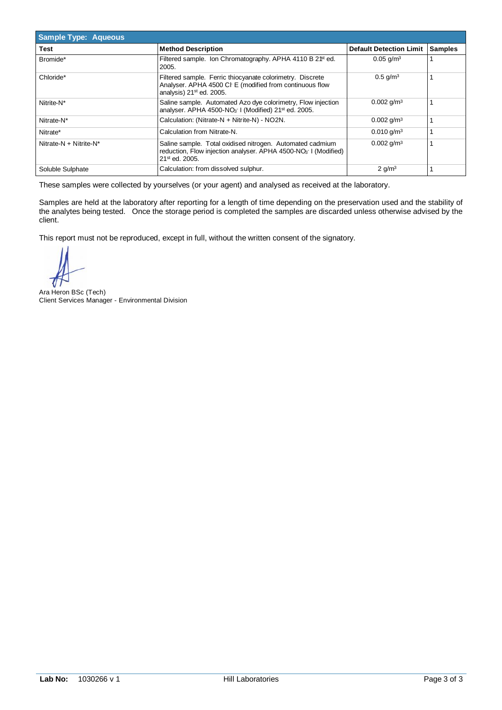| Sample Type: Aqueous   |                                                                                                                                                                       |                                |                |
|------------------------|-----------------------------------------------------------------------------------------------------------------------------------------------------------------------|--------------------------------|----------------|
| Test                   | <b>Method Description</b>                                                                                                                                             | <b>Default Detection Limit</b> | <b>Samples</b> |
| Bromide*               | Filtered sample. Ion Chromatography. APHA 4110 B 2 <sup>ft</sup> ed.<br>2005.                                                                                         | $0.05$ g/m <sup>3</sup>        |                |
| Chloride*              | Filtered sample. Ferric thiocyanate colorimetry. Discrete<br>Analyser. APHA 4500 Cl E (modified from continuous flow<br>analysis) 21 <sup>st</sup> ed. 2005.          | $0.5$ g/m <sup>3</sup>         |                |
| Nitrite-N*             | Saline sample. Automated Azo dye colorimetry, Flow injection<br>analyser. APHA 4500-NO <sub>3</sub> I (Modified) 21 <sup>st</sup> ed. 2005.                           | $0.002$ g/m <sup>3</sup>       |                |
| Nitrate-N*             | Calculation: (Nitrate-N + Nitrite-N) - NO2N.                                                                                                                          | $0.002$ g/m <sup>3</sup>       |                |
| Nitrate*               | Calculation from Nitrate-N.                                                                                                                                           | $0.010$ g/m <sup>3</sup>       |                |
| Nitrate-N + Nitrite-N* | Saline sample. Total oxidised nitrogen. Automated cadmium<br>reduction, Flow injection analyser. APHA 4500-NO <sub>3</sub> I (Modified)<br>21 <sup>st</sup> ed. 2005. | $0.002$ g/m <sup>3</sup>       |                |
| Soluble Sulphate       | Calculation: from dissolved sulphur.                                                                                                                                  | $2$ g/m <sup>3</sup>           |                |

Samples are held at the laboratory after reporting for a length of time depending on the preservation used and the stability of the analytes being tested. Once the storage period is completed the samples are discarded unless otherwise advised by the client.

Ara Heron BSc (Tech) Client Services Manager - Environmental Division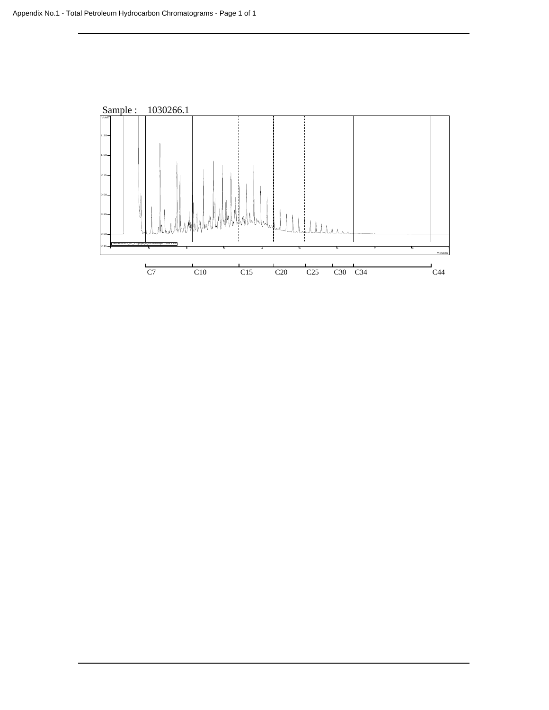![](_page_71_Figure_1.jpeg)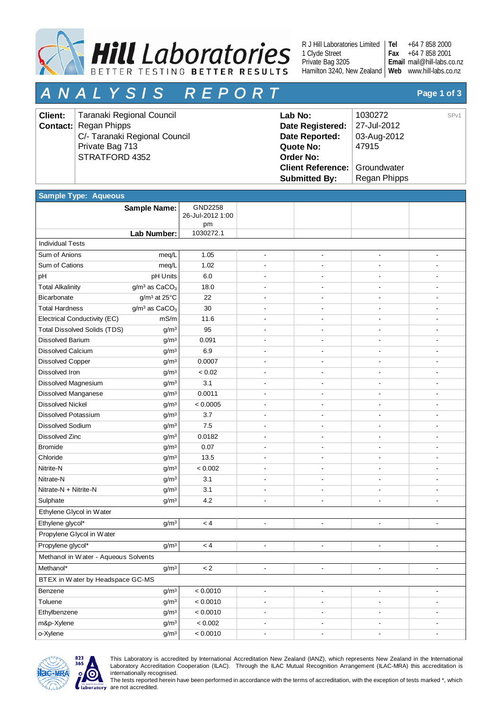

R J Hill Laboratories Limited 1 Clyde Street Private Bag 3205 Hamilton 3240, New Zealand | Web www.hill-labs.co.nz

+64 7 858 2000 +64 7 858 2001 mail@hill-labs.co.nz **Email Tel Fax**

# *A N A L Y S I S R E P O R T* **Page 1 of 3**

| <b>Client:</b> | Taranaki Regional Council     | Lab No:                                | 1030272             | SP <sub>v1</sub> |
|----------------|-------------------------------|----------------------------------------|---------------------|------------------|
|                | <b>Contact:</b> Regan Phipps  | Date Registered:                       | $\vert$ 27-Jul-2012 |                  |
|                | C/- Taranaki Regional Council | Date Reported:                         | 03-Aug-2012         |                  |
|                | Private Bag 713               | Quote No:                              | 47915               |                  |
|                | STRATFORD 4352                | <b>Order No:</b>                       |                     |                  |
|                |                               | <b>Client Reference:   Groundwater</b> |                     |                  |
|                |                               | <b>Submitted By:</b>                   | Regan Phipps        |                  |

| <b>Sample Type: Aqueous</b>          |                                       |                             |                          |                          |                              |                          |
|--------------------------------------|---------------------------------------|-----------------------------|--------------------------|--------------------------|------------------------------|--------------------------|
|                                      | <b>Sample Name:</b>                   | GND2258<br>26-Jul-2012 1:00 |                          |                          |                              |                          |
|                                      |                                       | pm                          |                          |                          |                              |                          |
|                                      | Lab Number:                           | 1030272.1                   |                          |                          |                              |                          |
| <b>Individual Tests</b>              |                                       |                             |                          |                          |                              |                          |
| Sum of Anions                        | meq/L                                 | 1.05                        | $\overline{\phantom{a}}$ | $\overline{\phantom{a}}$ | $\overline{\phantom{a}}$     |                          |
| Sum of Cations                       | meq/L                                 | 1.02                        |                          |                          |                              |                          |
| pH                                   | pH Units                              | 6.0                         |                          |                          |                              |                          |
| <b>Total Alkalinity</b>              | g/m <sup>3</sup> as CaCO <sub>3</sub> | 18.0                        | $\overline{\phantom{a}}$ | $\overline{\phantom{a}}$ |                              |                          |
| Bicarbonate                          | g/m <sup>3</sup> at 25°C              | 22                          |                          |                          |                              |                          |
| <b>Total Hardness</b>                | $g/m^3$ as $CaCO3$                    | 30                          |                          |                          |                              |                          |
| Electrical Conductivity (EC)         | mS/m                                  | 11.6                        |                          |                          |                              |                          |
| <b>Total Dissolved Solids (TDS)</b>  | g/m <sup>3</sup>                      | 95                          |                          |                          |                              |                          |
| <b>Dissolved Barium</b>              | g/m <sup>3</sup>                      | 0.091                       |                          | $\blacksquare$           |                              |                          |
| Dissolved Calcium                    | g/m <sup>3</sup>                      | 6.9                         |                          |                          |                              |                          |
| <b>Dissolved Copper</b>              | g/m <sup>3</sup>                      | 0.0007                      |                          |                          |                              |                          |
| Dissolved Iron                       | g/m <sup>3</sup>                      | < 0.02                      |                          |                          |                              |                          |
| Dissolved Magnesium                  | g/m <sup>3</sup>                      | 3.1                         |                          |                          |                              |                          |
| <b>Dissolved Manganese</b>           | g/m <sup>3</sup>                      | 0.0011                      |                          |                          |                              |                          |
| <b>Dissolved Nickel</b>              | g/m <sup>3</sup>                      | < 0.0005                    |                          |                          |                              |                          |
| <b>Dissolved Potassium</b>           | g/m <sup>3</sup>                      | 3.7                         |                          |                          |                              |                          |
| <b>Dissolved Sodium</b>              | g/m <sup>3</sup>                      | 7.5                         |                          |                          |                              |                          |
| Dissolved Zinc                       | g/m <sup>3</sup>                      | 0.0182                      | $\overline{\phantom{a}}$ | $\overline{\phantom{a}}$ | ٠                            |                          |
| <b>Bromide</b>                       | g/m <sup>3</sup>                      | 0.07                        | ÷,                       |                          |                              |                          |
| Chloride                             | g/m <sup>3</sup>                      | 13.5                        | $\overline{\phantom{a}}$ | $\overline{\phantom{a}}$ |                              |                          |
| Nitrite-N                            | g/m <sup>3</sup>                      | < 0.002                     |                          |                          |                              |                          |
| Nitrate-N                            | g/m <sup>3</sup>                      | 3.1                         |                          |                          |                              |                          |
| Nitrate-N + Nitrite-N                | g/m <sup>3</sup>                      | 3.1                         |                          |                          |                              |                          |
| Sulphate                             | g/m <sup>3</sup>                      | 4.2                         |                          |                          |                              |                          |
| Ethylene Glycol in Water             |                                       |                             |                          |                          |                              |                          |
| Ethylene glycol*                     | g/m <sup>3</sup>                      | < 4                         | ÷,                       | ÷,                       | $\overline{\phantom{a}}$     | $\overline{\phantom{a}}$ |
| Propylene Glycol in Water            |                                       |                             |                          |                          |                              |                          |
| Propylene glycol*                    | g/m <sup>3</sup>                      | < 4                         | $\overline{\phantom{a}}$ | ÷,                       |                              |                          |
| Methanol in Water - Aqueous Solvents |                                       |                             |                          |                          |                              |                          |
| Methanol*                            | $g/m^3$                               | $\lt 2$                     |                          |                          |                              |                          |
| BTEX in Water by Headspace GC-MS     |                                       |                             |                          |                          |                              |                          |
| Benzene                              | g/m <sup>3</sup>                      | < 0.0010                    | $\blacksquare$           | $\blacksquare$           | $\qquad \qquad \blacksquare$ |                          |
| Toluene                              | g/m <sup>3</sup>                      | < 0.0010                    | $\overline{\phantom{a}}$ | $\overline{\phantom{a}}$ | $\qquad \qquad \blacksquare$ |                          |
| Ethylbenzene                         | g/m <sup>3</sup>                      | < 0.0010                    | $\overline{\phantom{a}}$ | $\overline{\phantom{a}}$ | $\overline{\phantom{a}}$     | $\blacksquare$           |
| m&p-Xylene                           | g/m <sup>3</sup>                      | < 0.002                     | $\overline{\phantom{a}}$ | $\overline{\phantom{a}}$ | $\overline{\phantom{a}}$     | $\overline{\phantom{a}}$ |
| o-Xylene                             | g/m <sup>3</sup>                      | < 0.0010                    | $\overline{\phantom{a}}$ | $\overline{\phantom{a}}$ | $\overline{\phantom{a}}$     | $\overline{\phantom{a}}$ |



This Laboratory is accredited by International Accreditation New Zealand (IANZ), which represents New Zealand in the International Laboratory Accreditation Cooperation (ILAC). Through the ILAC Mutual Recognition Arrangement (ILAC-MRA) this accreditation is internationally recognised.

The tests reported herein have been performed in accordance with the terms of accreditation, with the exception of tests marked \*, which are not accredited.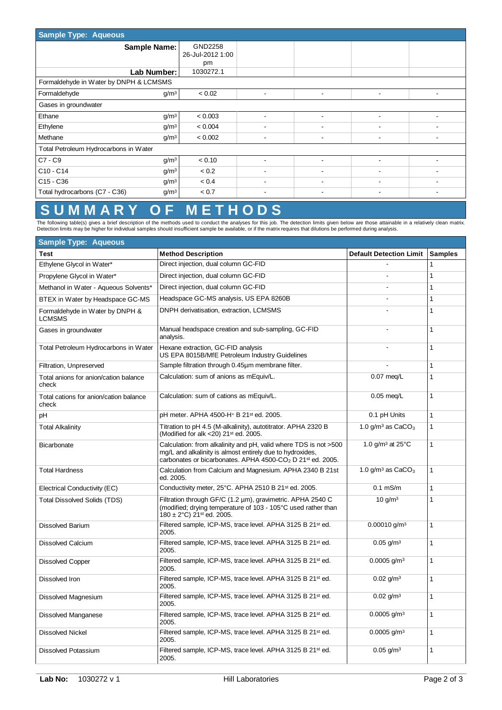| <b>Sample Type: Aqueous</b>                           |                  |                          |                          |                          |  |  |
|-------------------------------------------------------|------------------|--------------------------|--------------------------|--------------------------|--|--|
| <b>Sample Name:</b>                                   | GND2258          |                          |                          |                          |  |  |
|                                                       | 26-Jul-2012 1:00 |                          |                          |                          |  |  |
|                                                       | pm               |                          |                          |                          |  |  |
| Lab Number:                                           | 1030272.1        |                          |                          |                          |  |  |
| Formaldehyde in Water by DNPH & LCMSMS                |                  |                          |                          |                          |  |  |
| $g/m^3$<br>Formaldehyde                               | < 0.02           | ۰.                       | ٠                        | $\overline{\phantom{a}}$ |  |  |
| Gases in groundwater                                  |                  |                          |                          |                          |  |  |
| Ethane<br>g/m <sup>3</sup>                            | < 0.003          |                          | ۰                        |                          |  |  |
| Ethylene<br>g/m <sup>3</sup>                          | < 0.004          |                          |                          |                          |  |  |
| Methane<br>g/m <sup>3</sup>                           | < 0.002          | ٠                        | $\overline{\phantom{a}}$ |                          |  |  |
| Total Petroleum Hydrocarbons in Water                 |                  |                          |                          |                          |  |  |
| $C7 - C9$<br>g/m <sup>3</sup>                         | < 0.10           |                          |                          |                          |  |  |
| C10 - C14<br>g/m <sup>3</sup>                         | < 0.2            |                          | $\overline{\phantom{a}}$ |                          |  |  |
| C <sub>15</sub> - C <sub>36</sub><br>g/m <sup>3</sup> | < 0.4            | ۰                        | $\overline{\phantom{a}}$ |                          |  |  |
| g/m <sup>3</sup><br>Total hydrocarbons (C7 - C36)     | < 0.7            | $\overline{\phantom{a}}$ | $\overline{\phantom{0}}$ |                          |  |  |

### **S U M M A R Y O F M E T H O D S**

The following table(s) gives a brief description of the methods used to conduct the analyses for this job. The detection limits given below are those attainable in a relatively clean matrix.<br>Detection limits may be higher

| <b>Sample Type: Aqueous</b>                      |                                                                                                                                                                                                                     |                                        |                |  |  |  |  |
|--------------------------------------------------|---------------------------------------------------------------------------------------------------------------------------------------------------------------------------------------------------------------------|----------------------------------------|----------------|--|--|--|--|
| <b>Test</b>                                      | <b>Method Description</b>                                                                                                                                                                                           | <b>Default Detection Limit</b>         | <b>Samples</b> |  |  |  |  |
| Ethylene Glycol in Water*                        | Direct injection, dual column GC-FID                                                                                                                                                                                |                                        | $\mathbf{1}$   |  |  |  |  |
| Propylene Glycol in Water*                       | Direct injection, dual column GC-FID                                                                                                                                                                                | $\overline{\phantom{a}}$               | $\mathbf{1}$   |  |  |  |  |
| Methanol in Water - Aqueous Solvents*            | Direct injection, dual column GC-FID                                                                                                                                                                                | $\overline{\phantom{a}}$               | $\mathbf{1}$   |  |  |  |  |
| BTEX in Water by Headspace GC-MS                 | Headspace GC-MS analysis, US EPA 8260B                                                                                                                                                                              |                                        | $\mathbf{1}$   |  |  |  |  |
| Formaldehyde in Water by DNPH &<br><b>LCMSMS</b> | DNPH derivatisation, extraction, LCMSMS                                                                                                                                                                             |                                        | $\mathbf{1}$   |  |  |  |  |
| Gases in groundwater                             | Manual headspace creation and sub-sampling, GC-FID<br>analysis.                                                                                                                                                     |                                        | $\mathbf{1}$   |  |  |  |  |
| Total Petroleum Hydrocarbons in Water            | Hexane extraction, GC-FID analysis<br>US EPA 8015B/MfE Petroleum Industry Guidelines                                                                                                                                |                                        | $\mathbf{1}$   |  |  |  |  |
| Filtration, Unpreserved                          | Sample filtration through 0.45um membrane filter.                                                                                                                                                                   |                                        | $\mathbf{1}$   |  |  |  |  |
| Total anions for anion/cation balance<br>check   | Calculation: sum of anions as mEquiv/L.                                                                                                                                                                             | $0.07$ meg/L                           | $\mathbf{1}$   |  |  |  |  |
| Total cations for anion/cation balance<br>check  | Calculation: sum of cations as mEquiv/L.                                                                                                                                                                            | $0.05$ meg/L                           | $\mathbf{1}$   |  |  |  |  |
| pH                                               | pH meter. APHA 4500-H+ B 21st ed. 2005.                                                                                                                                                                             | 0.1 pH Units                           | $\mathbf{1}$   |  |  |  |  |
| <b>Total Alkalinity</b>                          | Titration to pH 4.5 (M-alkalinity), autotitrator. APHA 2320 B<br>(Modified for alk <20) 21 <sup>st</sup> ed. 2005.                                                                                                  | 1.0 $g/m3$ as CaCO <sub>3</sub>        | $\mathbf{1}$   |  |  |  |  |
| <b>Bicarbonate</b>                               | Calculation: from alkalinity and pH, valid where TDS is not >500<br>mg/L and alkalinity is almost entirely due to hydroxides,<br>carbonates or bicarbonates. APHA 4500-CO <sub>2</sub> D 21 <sup>st</sup> ed. 2005. | 1.0 g/m <sup>3</sup> at $25^{\circ}$ C | $\mathbf{1}$   |  |  |  |  |
| <b>Total Hardness</b>                            | Calculation from Calcium and Magnesium. APHA 2340 B 21st<br>ed. 2005.                                                                                                                                               | 1.0 g/m <sup>3</sup> as $CaCO3$        | $\mathbf{1}$   |  |  |  |  |
| Electrical Conductivity (EC)                     | Conductivity meter, 25°C. APHA 2510 B 21 <sup>st</sup> ed. 2005.                                                                                                                                                    | $0.1$ mS/m                             | $\mathbf{1}$   |  |  |  |  |
| <b>Total Dissolved Solids (TDS)</b>              | Filtration through GF/C (1.2 µm), gravimetric. APHA 2540 C<br>(modified; drying temperature of 103 - 105°C used rather than<br>180 ± 2°C) 21 <sup>st</sup> ed. 2005.                                                | 10 g/m <sup>3</sup>                    | $\mathbf{1}$   |  |  |  |  |
| <b>Dissolved Barium</b>                          | Filtered sample, ICP-MS, trace level. APHA 3125 B 21st ed.<br>2005.                                                                                                                                                 | $0.00010$ g/m <sup>3</sup>             | $\mathbf{1}$   |  |  |  |  |
| <b>Dissolved Calcium</b>                         | Filtered sample, ICP-MS, trace level. APHA 3125 B 21st ed.<br>2005.                                                                                                                                                 | $0.05$ g/m <sup>3</sup>                | $\mathbf{1}$   |  |  |  |  |
| <b>Dissolved Copper</b>                          | Filtered sample, ICP-MS, trace level. APHA 3125 B 21 <sup>st</sup> ed.<br>2005.                                                                                                                                     | $0.0005$ g/m <sup>3</sup>              | $\mathbf{1}$   |  |  |  |  |
| Dissolved Iron                                   | Filtered sample, ICP-MS, trace level. APHA 3125 B 21 <sup>st</sup> ed.<br>2005.                                                                                                                                     | $0.02$ g/m <sup>3</sup>                | $\mathbf{1}$   |  |  |  |  |
| Dissolved Magnesium                              | Filtered sample, ICP-MS, trace level. APHA 3125 B 21 <sup>st</sup> ed.<br>2005.                                                                                                                                     | $0.02$ g/m <sup>3</sup>                | $\mathbf{1}$   |  |  |  |  |
| <b>Dissolved Manganese</b>                       | Filtered sample, ICP-MS, trace level. APHA 3125 B 21 <sup>st</sup> ed.<br>2005.                                                                                                                                     | $0.0005$ g/m <sup>3</sup>              | $\mathbf{1}$   |  |  |  |  |
| <b>Dissolved Nickel</b>                          | Filtered sample, ICP-MS, trace level. APHA 3125 B 21st ed.<br>2005.                                                                                                                                                 | $0.0005$ g/m <sup>3</sup>              | $\mathbf{1}$   |  |  |  |  |
| <b>Dissolved Potassium</b>                       | Filtered sample, ICP-MS, trace level. APHA 3125 B 21 <sup>st</sup> ed.<br>2005.                                                                                                                                     | $0.05$ g/m <sup>3</sup>                | $\mathbf{1}$   |  |  |  |  |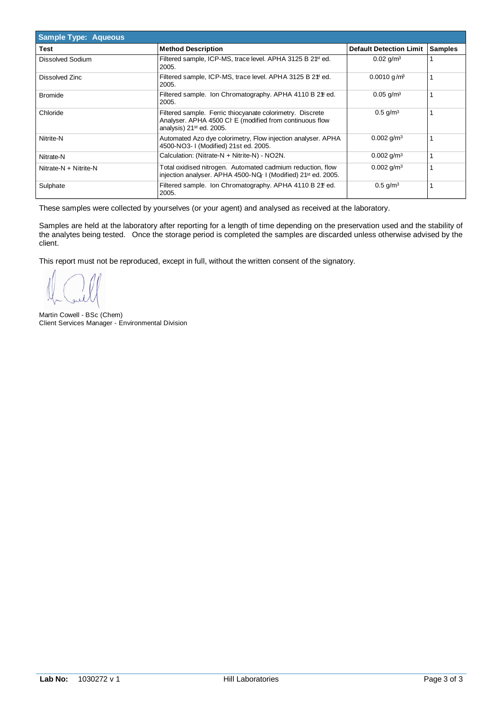| <b>Sample Type: Aqueous</b> |                                                                                                                                                              |                                |                |
|-----------------------------|--------------------------------------------------------------------------------------------------------------------------------------------------------------|--------------------------------|----------------|
| Test                        | <b>Method Description</b>                                                                                                                                    | <b>Default Detection Limit</b> | <b>Samples</b> |
| Dissolved Sodium            | Filtered sample, ICP-MS, trace level. APHA 3125 B 2 <sup>fst</sup> ed.<br>2005.                                                                              | $0.02$ g/m <sup>3</sup>        |                |
| Dissolved Zinc              | Filtered sample, ICP-MS, trace level. APHA 3125 B 2 <sup>\$t</sup> ed.<br>2005.                                                                              | $0.0010$ g/m <sup>3</sup>      |                |
| <b>Bromide</b>              | Filtered sample. Ion Chromatography. APHA 4110 B 2 <sup>#</sup> ed.<br>2005.                                                                                 | $0.05$ g/m <sup>3</sup>        |                |
| Chloride                    | Filtered sample. Ferric thiocyanate colorimetry. Discrete<br>Analyser. APHA 4500 CI E (modified from continuous flow<br>analysis) 21 <sup>st</sup> ed. 2005. | $0.5$ g/m <sup>3</sup>         |                |
| Nitrite-N                   | Automated Azo dye colorimetry, Flow injection analyser. APHA<br>4500-NO3-1 (Modified) 21st ed. 2005.                                                         | $0.002$ g/m <sup>3</sup>       |                |
| Nitrate-N                   | Calculation: (Nitrate-N + Nitrite-N) - NO2N.                                                                                                                 | $0.002$ g/m <sup>3</sup>       |                |
| Nitrate-N + Nitrite-N       | Total oxidised nitrogen. Automated cadmium reduction, flow<br>injection analyser. APHA 4500-NQ-1 (Modified) 21 <sup>st</sup> ed. 2005.                       | $0.002$ g/m <sup>3</sup>       |                |
| Sulphate                    | Filtered sample. Ion Chromatography. APHA 4110 B 2 <sup>4t</sup> ed.<br>2005.                                                                                | $0.5$ g/m <sup>3</sup>         |                |

These samples were collected by yourselves (or your agent) and analysed as received at the laboratory.

Samples are held at the laboratory after reporting for a length of time depending on the preservation used and the stability of the analytes being tested. Once the storage period is completed the samples are discarded unless otherwise advised by the client.

This report must not be reproduced, except in full, without the written consent of the signatory.

Martin Cowell - BSc (Chem) Client Services Manager - Environmental Division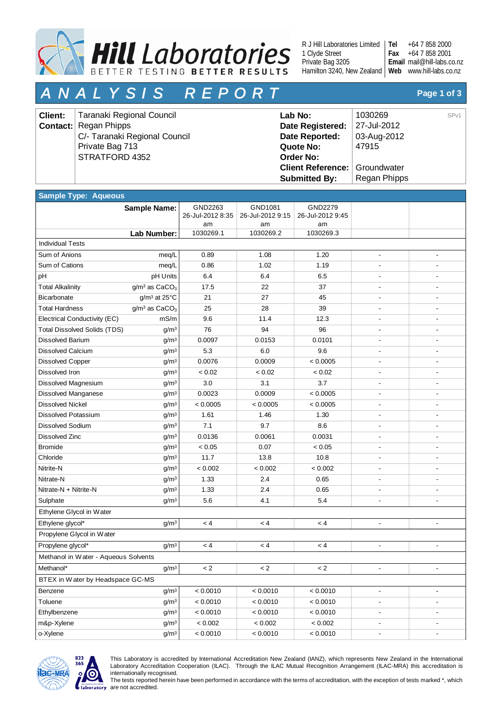

R J Hill Laboratories Limited 1 Clyde Street Private Bag 3205 Hamilton 3240, New Zealand | Web www.hill-labs.co.nz **Tel**

+64 7 858 2000 +64 7 858 2001 mail@hill-labs.co.nz **Email Fax**

# *A N A L Y S I S R E P O R T* **Page 1 of 3**

| <b>Client:</b> | Taranaki Regional Council     | Lab No:                              | 1030269      | SPV1 |
|----------------|-------------------------------|--------------------------------------|--------------|------|
|                | <b>Contact:</b> Regan Phipps  | Date Registered:                     | 27-Jul-2012  |      |
|                | C/- Taranaki Regional Council | Date Reported:                       | 03-Aug-2012  |      |
|                | Private Bag 713               | Quote No:                            | 47915        |      |
|                | STRATFORD 4352                | <b>Order No:</b>                     |              |      |
|                |                               | <b>Client Reference: Groundwater</b> |              |      |
|                |                               | <b>Submitted By:</b>                 | Regan Phipps |      |

| <b>Sample Type: Aqueous</b>          |                                       |                             |                             |                             |                              |                          |
|--------------------------------------|---------------------------------------|-----------------------------|-----------------------------|-----------------------------|------------------------------|--------------------------|
|                                      | <b>Sample Name:</b>                   | GND2263<br>26-Jul-2012 8:35 | GND1081<br>26-Jul-2012 9:15 | GND2279<br>26-Jul-2012 9:45 |                              |                          |
|                                      |                                       | am                          | am                          | am                          |                              |                          |
|                                      | Lab Number:                           | 1030269.1                   | 1030269.2                   | 1030269.3                   |                              |                          |
| <b>Individual Tests</b>              |                                       |                             |                             |                             |                              |                          |
| Sum of Anions                        | meq/L                                 | 0.89                        | 1.08                        | 1.20                        | $\qquad \qquad \blacksquare$ |                          |
| Sum of Cations                       | meg/L                                 | 0.86                        | 1.02                        | 1.19                        |                              |                          |
| pH                                   | pH Units                              | 6.4                         | 6.4                         | 6.5                         |                              |                          |
| <b>Total Alkalinity</b>              | g/m <sup>3</sup> as CaCO <sub>3</sub> | 17.5                        | 22                          | 37                          |                              |                          |
| Bicarbonate                          | $g/m^3$ at 25 $°C$                    | 21                          | 27                          | 45                          | ä,                           |                          |
| <b>Total Hardness</b>                | $g/m3$ as CaCO <sub>3</sub>           | 25                          | 28                          | 39                          | $\overline{\phantom{a}}$     |                          |
| Electrical Conductivity (EC)         | mS/m                                  | 9.6                         | 11.4                        | 12.3                        |                              |                          |
| <b>Total Dissolved Solids (TDS)</b>  | g/m <sup>3</sup>                      | 76                          | 94                          | 96                          |                              |                          |
| <b>Dissolved Barium</b>              | g/m <sup>3</sup>                      | 0.0097                      | 0.0153                      | 0.0101                      |                              |                          |
| <b>Dissolved Calcium</b>             | g/m <sup>3</sup>                      | 5.3                         | 6.0                         | 9.6                         |                              |                          |
| <b>Dissolved Copper</b>              | g/m <sup>3</sup>                      | 0.0076                      | 0.0009                      | < 0.0005                    |                              |                          |
| Dissolved Iron                       | g/m <sup>3</sup>                      | < 0.02                      | < 0.02                      | < 0.02                      |                              |                          |
| Dissolved Magnesium                  | g/m <sup>3</sup>                      | 3.0                         | 3.1                         | 3.7                         |                              |                          |
| Dissolved Manganese                  | g/m <sup>3</sup>                      | 0.0023                      | 0.0009                      | < 0.0005                    |                              |                          |
| <b>Dissolved Nickel</b>              | g/m <sup>3</sup>                      | < 0.0005                    | < 0.0005                    | < 0.0005                    | $\overline{\phantom{a}}$     | $\overline{\phantom{0}}$ |
| <b>Dissolved Potassium</b>           | g/m <sup>3</sup>                      | 1.61                        | 1.46                        | 1.30                        |                              |                          |
| <b>Dissolved Sodium</b>              | g/m <sup>3</sup>                      | 7.1                         | 9.7                         | 8.6                         |                              |                          |
| Dissolved Zinc                       | g/m <sup>3</sup>                      | 0.0136                      | 0.0061                      | 0.0031                      |                              |                          |
| <b>Bromide</b>                       | g/m <sup>3</sup>                      | < 0.05                      | 0.07                        | < 0.05                      |                              |                          |
| Chloride                             | g/m <sup>3</sup>                      | 11.7                        | 13.8                        | 10.8                        |                              |                          |
| Nitrite-N                            | g/m <sup>3</sup>                      | < 0.002                     | < 0.002                     | < 0.002                     |                              |                          |
| Nitrate-N                            | g/m <sup>3</sup>                      | 1.33                        | 2.4                         | 0.65                        |                              |                          |
| Nitrate-N + Nitrite-N                | g/m <sup>3</sup>                      | 1.33                        | 2.4                         | 0.65                        |                              |                          |
| Sulphate                             | g/m <sup>3</sup>                      | 5.6                         | 4.1                         | 5.4                         |                              |                          |
| Ethylene Glycol in Water             |                                       |                             |                             |                             |                              |                          |
| Ethylene glycol*                     | g/m <sup>3</sup>                      | < 4                         | < 4                         | < 4                         | $\qquad \qquad \blacksquare$ | $\overline{\phantom{a}}$ |
| Propylene Glycol in Water            |                                       |                             |                             |                             |                              |                          |
| Propylene glycol*                    | g/m <sup>3</sup>                      | < 4                         | < 4                         | < 4                         | ä,                           | $\blacksquare$           |
| Methanol in Water - Aqueous Solvents |                                       |                             |                             |                             |                              |                          |
| Methanol*                            | g/m <sup>3</sup>                      | $\lt 2$                     | $\lt 2$                     | $\leq$ 2                    | $\blacksquare$               |                          |
| BTEX in Water by Headspace GC-MS     |                                       |                             |                             |                             |                              |                          |
| Benzene                              | g/m <sup>3</sup>                      | < 0.0010                    | < 0.0010                    | < 0.0010                    | ÷,                           | $\overline{\phantom{0}}$ |
| Toluene                              | g/m <sup>3</sup>                      | < 0.0010                    | < 0.0010                    | < 0.0010                    |                              |                          |
| Ethylbenzene                         | g/m <sup>3</sup>                      | < 0.0010                    | < 0.0010                    | < 0.0010                    |                              |                          |
| m&p-Xylene                           | g/m <sup>3</sup>                      | < 0.002                     | < 0.002                     | < 0.002                     | $\qquad \qquad \blacksquare$ | $\overline{\phantom{a}}$ |
| o-Xylene                             | g/m <sup>3</sup>                      | < 0.0010                    | < 0.0010                    | < 0.0010                    | $\overline{\phantom{a}}$     | $\overline{\phantom{m}}$ |



This Laboratory is accredited by International Accreditation New Zealand (IANZ), which represents New Zealand in the International Laboratory Accreditation Cooperation (ILAC). Through the ILAC Mutual Recognition Arrangement (ILAC-MRA) this accreditation is internationally recognised.

The tests reported herein have been performed in accordance with the terms of accreditation, with the exception of tests marked \*, which are not accredited.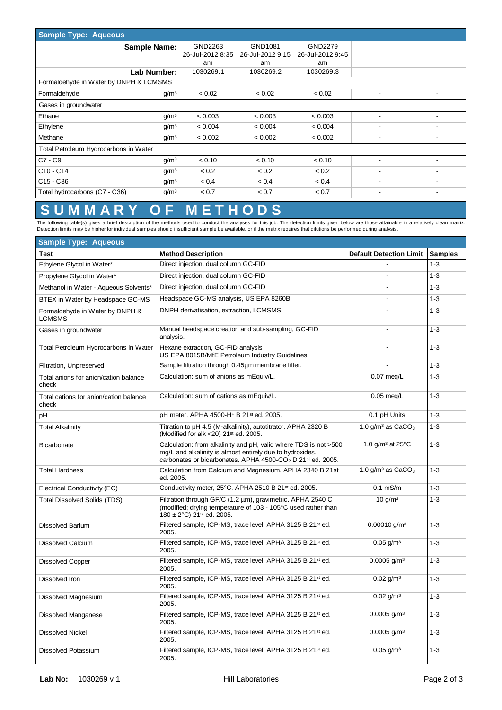| <b>Sample Type: Aqueous</b>                       |                  |                  |                  |                          |                          |  |
|---------------------------------------------------|------------------|------------------|------------------|--------------------------|--------------------------|--|
| <b>Sample Name:</b>                               | GND2263          | GND1081          | GND2279          |                          |                          |  |
|                                                   | 26-Jul-2012 8:35 | 26-Jul-2012 9:15 | 26-Jul-2012 9:45 |                          |                          |  |
|                                                   | am               | am               | am               |                          |                          |  |
| Lab Number:                                       | 1030269.1        | 1030269.2        | 1030269.3        |                          |                          |  |
| Formaldehyde in Water by DNPH & LCMSMS            |                  |                  |                  |                          |                          |  |
| Formaldehyde<br>g/m <sup>3</sup>                  | < 0.02           | < 0.02           | < 0.02           |                          |                          |  |
| Gases in groundwater                              |                  |                  |                  |                          |                          |  |
| Ethane<br>q/m <sup>3</sup>                        | < 0.003          | < 0.003          | < 0.003          |                          |                          |  |
| q/m <sup>3</sup><br>Ethylene                      | < 0.004          | < 0.004          | < 0.004          | ٠                        |                          |  |
| Methane<br>g/m <sup>3</sup>                       | < 0.002          | < 0.002          | < 0.002          |                          |                          |  |
| Total Petroleum Hydrocarbons in Water             |                  |                  |                  |                          |                          |  |
| $C7 - C9$<br>g/m <sup>3</sup>                     | < 0.10           | < 0.10           | < 0.10           |                          |                          |  |
| $C10 - C14$<br>q/m <sup>3</sup>                   | < 0.2            | < 0.2            | < 0.2            |                          |                          |  |
| $C15 - C36$<br>q/m <sup>3</sup>                   | < 0.4            | < 0.4            | < 0.4            |                          |                          |  |
| Total hydrocarbons (C7 - C36)<br>g/m <sup>3</sup> | < 0.7            | < 0.7            | < 0.7            | $\overline{\phantom{a}}$ | $\overline{\phantom{a}}$ |  |

### **S U M M A R Y O F M E T H O D S**

The following table(s) gives a brief description of the methods used to conduct the analyses for this job. The detection limits given below are those attainable in a relatively clean matrix.<br>Detection limits may be higher

| <b>Sample Type: Aqueous</b>                      |                                                                                                                                                                                                                     |                                        |                |
|--------------------------------------------------|---------------------------------------------------------------------------------------------------------------------------------------------------------------------------------------------------------------------|----------------------------------------|----------------|
| Test                                             | <b>Method Description</b>                                                                                                                                                                                           | <b>Default Detection Limit</b>         | <b>Samples</b> |
| Ethylene Glycol in Water*                        | Direct injection, dual column GC-FID                                                                                                                                                                                |                                        | $1 - 3$        |
| Propylene Glycol in Water*                       | Direct injection, dual column GC-FID                                                                                                                                                                                |                                        | $1 - 3$        |
| Methanol in Water - Aqueous Solvents*            | Direct injection, dual column GC-FID                                                                                                                                                                                |                                        | $1 - 3$        |
| BTEX in Water by Headspace GC-MS                 | Headspace GC-MS analysis, US EPA 8260B                                                                                                                                                                              |                                        | $1 - 3$        |
| Formaldehyde in Water by DNPH &<br><b>LCMSMS</b> | DNPH derivatisation, extraction, LCMSMS                                                                                                                                                                             |                                        | $1 - 3$        |
| Gases in groundwater                             | Manual headspace creation and sub-sampling, GC-FID<br>analysis.                                                                                                                                                     |                                        | $1 - 3$        |
| Total Petroleum Hydrocarbons in Water            | Hexane extraction, GC-FID analysis<br>US EPA 8015B/MfE Petroleum Industry Guidelines                                                                                                                                |                                        | $1 - 3$        |
| Filtration, Unpreserved                          | Sample filtration through 0.45um membrane filter.                                                                                                                                                                   |                                        | $1 - 3$        |
| Total anions for anion/cation balance<br>check   | Calculation: sum of anions as mEquiv/L.                                                                                                                                                                             | $0.07$ meg/L                           | $1 - 3$        |
| Total cations for anion/cation balance<br>check  | Calculation: sum of cations as mEquiv/L.                                                                                                                                                                            | $0.05$ meg/L                           | $1 - 3$        |
| pH                                               | pH meter. APHA 4500-H+ B 21st ed. 2005.                                                                                                                                                                             | 0.1 pH Units                           | $1 - 3$        |
| <b>Total Alkalinity</b>                          | Titration to pH 4.5 (M-alkalinity), autotitrator. APHA 2320 B<br>(Modified for alk <20) 21 <sup>st</sup> ed. 2005.                                                                                                  | 1.0 g/m <sup>3</sup> as $CaCO3$        | $1 - 3$        |
| <b>Bicarbonate</b>                               | Calculation: from alkalinity and pH, valid where TDS is not >500<br>mg/L and alkalinity is almost entirely due to hydroxides.<br>carbonates or bicarbonates. APHA 4500-CO <sub>2</sub> D 21 <sup>st</sup> ed. 2005. | 1.0 g/m <sup>3</sup> at $25^{\circ}$ C | $1 - 3$        |
| <b>Total Hardness</b>                            | Calculation from Calcium and Magnesium. APHA 2340 B 21st<br>ed. 2005.                                                                                                                                               | 1.0 $q/m3$ as CaCO <sub>3</sub>        | $1 - 3$        |
| Electrical Conductivity (EC)                     | Conductivity meter, 25°C. APHA 2510 B 21 <sup>st</sup> ed. 2005.                                                                                                                                                    | $0.1$ mS/m                             | $1 - 3$        |
| <b>Total Dissolved Solids (TDS)</b>              | Filtration through GF/C (1.2 µm), gravimetric. APHA 2540 C<br>(modified; drying temperature of 103 - 105°C used rather than<br>180 ± 2°C) 21 <sup>st</sup> ed. 2005.                                                | 10 g/m <sup>3</sup>                    | $1 - 3$        |
| Dissolved Barium                                 | Filtered sample, ICP-MS, trace level. APHA 3125 B 21 <sup>st</sup> ed.<br>2005.                                                                                                                                     | $0.00010$ g/m <sup>3</sup>             | $1 - 3$        |
| <b>Dissolved Calcium</b>                         | Filtered sample, ICP-MS, trace level. APHA 3125 B 21st ed.<br>2005.                                                                                                                                                 | $0.05$ g/m <sup>3</sup>                | $1 - 3$        |
| <b>Dissolved Copper</b>                          | Filtered sample, ICP-MS, trace level. APHA 3125 B 21 <sup>st</sup> ed.<br>2005.                                                                                                                                     | $0.0005$ g/m <sup>3</sup>              | $1 - 3$        |
| Dissolved Iron                                   | Filtered sample, ICP-MS, trace level. APHA 3125 B 21 <sup>st</sup> ed.<br>2005.                                                                                                                                     | $0.02$ g/m <sup>3</sup>                | $1 - 3$        |
| Dissolved Magnesium                              | Filtered sample, ICP-MS, trace level. APHA 3125 B 21 <sup>st</sup> ed.<br>2005.                                                                                                                                     | $0.02$ g/m <sup>3</sup>                | $1 - 3$        |
| <b>Dissolved Manganese</b>                       | Filtered sample, ICP-MS, trace level. APHA 3125 B 21st ed.<br>2005.                                                                                                                                                 | $0.0005$ g/m <sup>3</sup>              | $1 - 3$        |
| <b>Dissolved Nickel</b>                          | Filtered sample, ICP-MS, trace level. APHA 3125 B 21st ed.<br>2005.                                                                                                                                                 | $0.0005$ g/m <sup>3</sup>              | $1 - 3$        |
| <b>Dissolved Potassium</b>                       | Filtered sample, ICP-MS, trace level. APHA 3125 B 21 <sup>st</sup> ed.<br>2005.                                                                                                                                     | $0.05$ g/m <sup>3</sup>                | $1 - 3$        |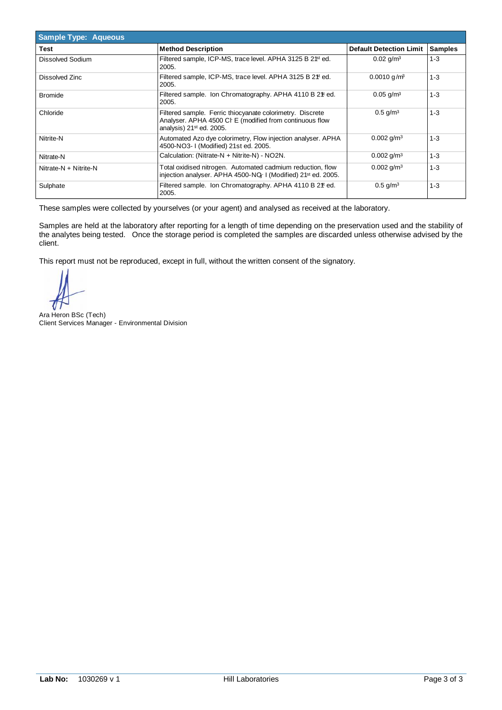| <b>Sample Type: Aqueous</b> |                                                                                                                                                    |                                |                |
|-----------------------------|----------------------------------------------------------------------------------------------------------------------------------------------------|--------------------------------|----------------|
| Test                        | <b>Method Description</b>                                                                                                                          | <b>Default Detection Limit</b> | <b>Samples</b> |
| Dissolved Sodium            | Filtered sample, ICP-MS, trace level. APHA 3125 B 2 <sup>1st</sup> ed.<br>2005.                                                                    | $0.02$ g/m <sup>3</sup>        | $1 - 3$        |
| Dissolved Zinc              | Filtered sample, ICP-MS, trace level. APHA 3125 B 2 <sup>\$t</sup> ed.<br>2005.                                                                    | $0.0010$ g/m <sup>3</sup>      | $1 - 3$        |
| <b>Bromide</b>              | Filtered sample. Ion Chromatography. APHA 4110 B 2 <sup>\$</sup> ted.<br>2005.                                                                     | $0.05$ g/m <sup>3</sup>        | $1 - 3$        |
| Chloride                    | Filtered sample. Ferric thiocyanate colorimetry. Discrete<br>Analyser. APHA 4500 CI E (modified from continuous flow<br>analysis) $21st$ ed. 2005. | $0.5$ g/m <sup>3</sup>         | $1 - 3$        |
| Nitrite-N                   | Automated Azo dye colorimetry, Flow injection analyser. APHA<br>4500-NO3-1 (Modified) 21st ed. 2005.                                               | $0.002$ g/m <sup>3</sup>       | $1 - 3$        |
| Nitrate-N                   | Calculation: (Nitrate-N + Nitrite-N) - NO2N.                                                                                                       | $0.002$ g/m <sup>3</sup>       | $1 - 3$        |
| Nitrate-N + Nitrite-N       | Total oxidised nitrogen. Automated cadmium reduction, flow<br>injection analyser. APHA 4500-NQ-1 (Modified) 21 <sup>st</sup> ed. 2005.             | $0.002$ g/m <sup>3</sup>       | $1 - 3$        |
| Sulphate                    | Filtered sample. Ion Chromatography. APHA 4110 B 2 <sup>#</sup> ed.<br>2005.                                                                       | $0.5$ g/m <sup>3</sup>         | $1 - 3$        |

These samples were collected by yourselves (or your agent) and analysed as received at the laboratory.

Samples are held at the laboratory after reporting for a length of time depending on the preservation used and the stability of the analytes being tested. Once the storage period is completed the samples are discarded unless otherwise advised by the client.

This report must not be reproduced, except in full, without the written consent of the signatory.

Ara Heron BSc (Tech) Client Services Manager - Environmental Division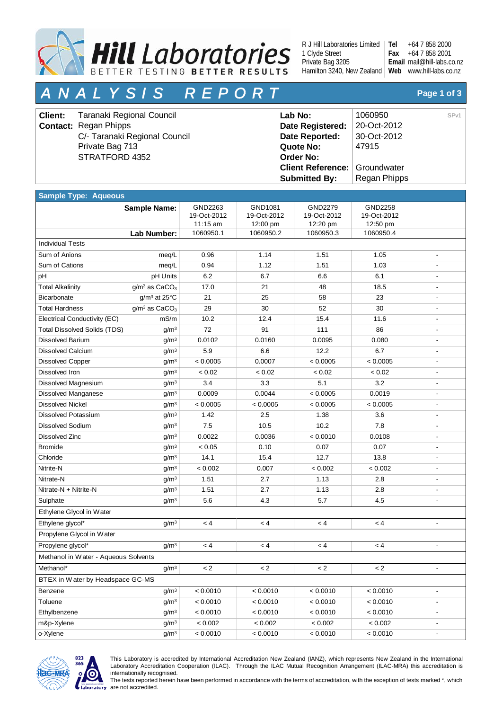

R J Hill Laboratories Limited 1 Clyde Street Private Bag 3205 Hamilton 3240, New Zealand | Web www.hill-labs.co.nz **Tel**

+64 7 858 2000 +64 7 858 2001 mail@hill-labs.co.nz **Email Fax**

# *A N A L Y S I S R E P O R T* **Page 1 of 3**

| <b>Client:</b> | Taranaki Regional Council     | Lab No:                              | 1060950      | SP <sub>v1</sub> |
|----------------|-------------------------------|--------------------------------------|--------------|------------------|
|                | <b>Contact:</b> Regan Phipps  | Date Registered:                     | 20-Oct-2012  |                  |
|                | C/- Taranaki Regional Council | Date Reported:                       | 30-Oct-2012  |                  |
|                | Private Bag 713               | Quote No:                            | 47915        |                  |
|                | STRATFORD 4352                | Order No:                            |              |                  |
|                |                               | <b>Client Reference: Groundwater</b> |              |                  |
|                |                               | <b>Submitted By:</b>                 | Regan Phipps |                  |

| <b>Sample Type: Aqueous</b>          |                                       |                                    |                                    |                                    |                                    |                          |
|--------------------------------------|---------------------------------------|------------------------------------|------------------------------------|------------------------------------|------------------------------------|--------------------------|
|                                      | <b>Sample Name:</b>                   | GND2263<br>19-Oct-2012<br>11:15 am | GND1081<br>19-Oct-2012<br>12:00 pm | GND2279<br>19-Oct-2012<br>12:20 pm | GND2258<br>19-Oct-2012<br>12:50 pm |                          |
|                                      | Lab Number:                           | 1060950.1                          | 1060950.2                          | 1060950.3                          | 1060950.4                          |                          |
| <b>Individual Tests</b>              |                                       |                                    |                                    |                                    |                                    |                          |
| Sum of Anions                        | meg/L                                 | 0.96                               | 1.14                               | 1.51                               | 1.05                               |                          |
| Sum of Cations                       | meg/L                                 | 0.94                               | 1.12                               | 1.51                               | 1.03                               |                          |
| pH                                   | pH Units                              | 6.2                                | 6.7                                | 6.6                                | 6.1                                |                          |
| <b>Total Alkalinity</b>              | g/m <sup>3</sup> as CaCO <sub>3</sub> | 17.0                               | 21                                 | 48                                 | 18.5                               |                          |
| Bicarbonate                          | $g/m^3$ at 25 $°C$                    | 21                                 | 25                                 | 58                                 | 23                                 |                          |
| <b>Total Hardness</b>                | $g/m3$ as CaCO <sub>3</sub>           | 29                                 | 30                                 | 52                                 | 30                                 |                          |
| Electrical Conductivity (EC)         | mS/m                                  | 10.2                               | 12.4                               | 15.4                               | 11.6                               |                          |
| <b>Total Dissolved Solids (TDS)</b>  | g/m <sup>3</sup>                      | 72                                 | 91                                 | 111                                | 86                                 |                          |
| <b>Dissolved Barium</b>              | g/m <sup>3</sup>                      | 0.0102                             | 0.0160                             | 0.0095                             | 0.080                              |                          |
| <b>Dissolved Calcium</b>             | g/m <sup>3</sup>                      | 5.9                                | 6.6                                | 12.2                               | 6.7                                |                          |
| <b>Dissolved Copper</b>              | g/m <sup>3</sup>                      | < 0.0005                           | 0.0007                             | < 0.0005                           | < 0.0005                           |                          |
| Dissolved Iron                       | g/m <sup>3</sup>                      | < 0.02                             | < 0.02                             | < 0.02                             | < 0.02                             |                          |
| Dissolved Magnesium                  | g/m <sup>3</sup>                      | 3.4                                | 3.3                                | 5.1                                | 3.2                                |                          |
| <b>Dissolved Manganese</b>           | g/m <sup>3</sup>                      | 0.0009                             | 0.0044                             | < 0.0005                           | 0.0019                             |                          |
| <b>Dissolved Nickel</b>              | g/m <sup>3</sup>                      | < 0.0005                           | < 0.0005                           | < 0.0005                           | < 0.0005                           |                          |
| <b>Dissolved Potassium</b>           | g/m <sup>3</sup>                      | 1.42                               | 2.5                                | 1.38                               | 3.6                                |                          |
| <b>Dissolved Sodium</b>              | g/m <sup>3</sup>                      | 7.5                                | 10.5                               | 10.2                               | 7.8                                |                          |
| <b>Dissolved Zinc</b>                | g/m <sup>3</sup>                      | 0.0022                             | 0.0036                             | < 0.0010                           | 0.0108                             |                          |
| <b>Bromide</b>                       | g/m <sup>3</sup>                      | < 0.05                             | 0.10                               | 0.07                               | 0.07                               |                          |
| Chloride                             | g/m <sup>3</sup>                      | 14.1                               | 15.4                               | 12.7                               | 13.8                               |                          |
| Nitrite-N                            | g/m <sup>3</sup>                      | < 0.002                            | 0.007                              | < 0.002                            | < 0.002                            |                          |
| Nitrate-N                            | g/m <sup>3</sup>                      | 1.51                               | 2.7                                | 1.13                               | 2.8                                |                          |
| Nitrate-N + Nitrite-N                | g/m <sup>3</sup>                      | 1.51                               | 2.7                                | 1.13                               | 2.8                                |                          |
| Sulphate                             | g/m <sup>3</sup>                      | 5.6                                | 4.3                                | 5.7                                | 4.5                                |                          |
| Ethylene Glycol in Water             |                                       |                                    |                                    |                                    |                                    |                          |
| Ethylene glycol*                     | g/m <sup>3</sup>                      | < 4                                | < 4                                | < 4                                | < 4                                | $\overline{\phantom{a}}$ |
| Propylene Glycol in Water            |                                       |                                    |                                    |                                    |                                    |                          |
| Propylene glycol*                    | g/m <sup>3</sup>                      | < 4                                | < 4                                | < 4                                | < 4                                |                          |
| Methanol in Water - Aqueous Solvents |                                       |                                    |                                    |                                    |                                    |                          |
| Methanol*                            | $g/m^3$                               | $\lt 2$                            | $\lt 2$                            | $\lt 2$                            | $\lt 2$                            |                          |
| BTEX in Water by Headspace GC-MS     |                                       |                                    |                                    |                                    |                                    |                          |
| Benzene                              | g/m <sup>3</sup>                      | < 0.0010                           | < 0.0010                           | < 0.0010                           | < 0.0010                           |                          |
| Toluene                              | g/m <sup>3</sup>                      | < 0.0010                           | < 0.0010                           | < 0.0010                           | < 0.0010                           |                          |
| Ethylbenzene                         | g/m <sup>3</sup>                      | < 0.0010                           | < 0.0010                           | < 0.0010                           | < 0.0010                           | $\overline{\phantom{m}}$ |
| m&p-Xylene                           | g/m <sup>3</sup>                      | $< 0.002$                          | < 0.002                            | < 0.002                            | < 0.002                            | $\blacksquare$           |
| o-Xylene                             | g/m <sup>3</sup>                      | < 0.0010                           | < 0.0010                           | < 0.0010                           | < 0.0010                           | $\overline{\phantom{a}}$ |
|                                      |                                       |                                    |                                    |                                    |                                    |                          |



This Laboratory is accredited by International Accreditation New Zealand (IANZ), which represents New Zealand in the International Laboratory Accreditation Cooperation (ILAC). Through the ILAC Mutual Recognition Arrangement (ILAC-MRA) this accreditation is internationally recognised.

The tests reported herein have been performed in accordance with the terms of accreditation, with the exception of tests marked \*, which are not accredited.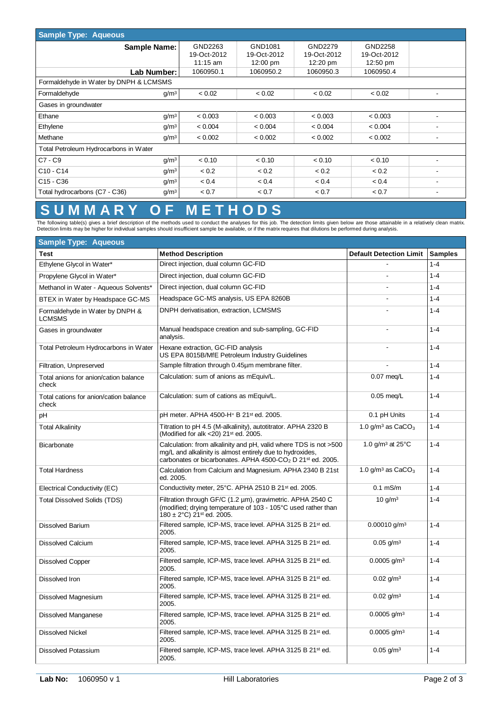| <b>Sample Type: Aqueous</b>                       |             |                    |                    |                    |   |  |  |  |
|---------------------------------------------------|-------------|--------------------|--------------------|--------------------|---|--|--|--|
| <b>Sample Name:</b>                               | GND2263     | GND1081            | GND2279            | GND2258            |   |  |  |  |
|                                                   | 19-Oct-2012 | 19-Oct-2012        | 19-Oct-2012        | 19-Oct-2012        |   |  |  |  |
|                                                   | $11:15$ am  | $12:00 \text{ pm}$ | $12:20 \text{ pm}$ | $12:50 \text{ pm}$ |   |  |  |  |
| Lab Number:                                       | 1060950.1   | 1060950.2          | 1060950.3          | 1060950.4          |   |  |  |  |
| Formaldehyde in Water by DNPH & LCMSMS            |             |                    |                    |                    |   |  |  |  |
| Formaldehyde<br>g/m <sup>3</sup>                  | < 0.02      | < 0.02             | < 0.02             | < 0.02             |   |  |  |  |
| Gases in groundwater                              |             |                    |                    |                    |   |  |  |  |
| Ethane<br>g/m <sup>3</sup>                        | < 0.003     | < 0.003            | < 0.003            | < 0.003            |   |  |  |  |
| q/m <sup>3</sup><br>Ethylene                      | < 0.004     | < 0.004            | < 0.004            | < 0.004            |   |  |  |  |
| Methane<br>q/m <sup>3</sup>                       | < 0.002     | < 0.002            | < 0.002            | < 0.002            | - |  |  |  |
| Total Petroleum Hydrocarbons in Water             |             |                    |                    |                    |   |  |  |  |
| $C7 - C9$<br>q/m <sup>3</sup>                     | < 0.10      | < 0.10             | < 0.10             | < 0.10             |   |  |  |  |
| $C10 - C14$<br>q/m <sup>3</sup>                   | < 0.2       | < 0.2              | < 0.2              | < 0.2              |   |  |  |  |
| $C15 - C36$<br>q/m <sup>3</sup>                   | < 0.4       | < 0.4              | < 0.4              | < 0.4              |   |  |  |  |
| g/m <sup>3</sup><br>Total hydrocarbons (C7 - C36) | < 0.7       | < 0.7              | < 0.7              | < 0.7              |   |  |  |  |

#### **S U M M A R Y O F M E T H O D S**

The following table(s) gives a brief description of the methods used to conduct the analyses for this job. The detection limits given below are those attainable in a relatively clean matrix.<br>Detection limits may be higher

| <b>Sample Type: Aqueous</b>                      |                                                                                                                                                                                                                     |                                 |                |  |  |  |
|--------------------------------------------------|---------------------------------------------------------------------------------------------------------------------------------------------------------------------------------------------------------------------|---------------------------------|----------------|--|--|--|
| <b>Test</b>                                      | <b>Method Description</b>                                                                                                                                                                                           | <b>Default Detection Limit</b>  | <b>Samples</b> |  |  |  |
| Ethylene Glycol in Water*                        | Direct injection, dual column GC-FID                                                                                                                                                                                |                                 | $1 - 4$        |  |  |  |
| Propylene Glycol in Water*                       | Direct injection, dual column GC-FID                                                                                                                                                                                | $\blacksquare$                  | $1 - 4$        |  |  |  |
| Methanol in Water - Aqueous Solvents*            | Direct injection, dual column GC-FID                                                                                                                                                                                |                                 | $1 - 4$        |  |  |  |
| BTEX in Water by Headspace GC-MS                 | Headspace GC-MS analysis, US EPA 8260B                                                                                                                                                                              |                                 | $1 - 4$        |  |  |  |
| Formaldehyde in Water by DNPH &<br><b>LCMSMS</b> | DNPH derivatisation, extraction, LCMSMS                                                                                                                                                                             |                                 | $1 - 4$        |  |  |  |
| Gases in groundwater                             | Manual headspace creation and sub-sampling, GC-FID<br>analysis.                                                                                                                                                     |                                 | $1 - 4$        |  |  |  |
| Total Petroleum Hydrocarbons in Water            | Hexane extraction, GC-FID analysis<br>US EPA 8015B/MfE Petroleum Industry Guidelines                                                                                                                                |                                 | $1 - 4$        |  |  |  |
| Filtration, Unpreserved                          | Sample filtration through 0.45µm membrane filter.                                                                                                                                                                   |                                 | $1 - 4$        |  |  |  |
| Total anions for anion/cation balance<br>check   | Calculation: sum of anions as mEquiv/L.                                                                                                                                                                             | $0.07$ meg/L                    | $1 - 4$        |  |  |  |
| Total cations for anion/cation balance<br>check  | Calculation: sum of cations as mEquiv/L.                                                                                                                                                                            | $0.05$ meg/L                    | $1 - 4$        |  |  |  |
| pH                                               | pH meter. APHA 4500-H+ B 21st ed. 2005.                                                                                                                                                                             | 0.1 pH Units                    | $1 - 4$        |  |  |  |
| <b>Total Alkalinity</b>                          | Titration to pH 4.5 (M-alkalinity), autotitrator. APHA 2320 B<br>(Modified for alk <20) 21 <sup>st</sup> ed. 2005.                                                                                                  | 1.0 g/m <sup>3</sup> as $CaCO3$ | $1 - 4$        |  |  |  |
| <b>Bicarbonate</b>                               | Calculation: from alkalinity and pH, valid where TDS is not >500<br>mg/L and alkalinity is almost entirely due to hydroxides,<br>carbonates or bicarbonates. APHA 4500-CO <sub>2</sub> D 21 <sup>st</sup> ed. 2005. | 1.0 $q/m^3$ at 25 $°C$          | $1 - 4$        |  |  |  |
| <b>Total Hardness</b>                            | Calculation from Calcium and Magnesium. APHA 2340 B 21st<br>ed. 2005.                                                                                                                                               | 1.0 g/m <sup>3</sup> as $CaCO3$ | $1 - 4$        |  |  |  |
| Electrical Conductivity (EC)                     | Conductivity meter, 25°C. APHA 2510 B 21 <sup>st</sup> ed. 2005.                                                                                                                                                    | $0.1$ mS/m                      | $1 - 4$        |  |  |  |
| <b>Total Dissolved Solids (TDS)</b>              | Filtration through GF/C (1.2 µm), gravimetric. APHA 2540 C<br>(modified; drying temperature of 103 - 105°C used rather than<br>$180 \pm 2$ °C) 21 <sup>st</sup> ed. 2005.                                           | 10 g/m <sup>3</sup>             | $1 - 4$        |  |  |  |
| <b>Dissolved Barium</b>                          | Filtered sample, ICP-MS, trace level. APHA 3125 B 21 <sup>st</sup> ed.<br>2005.                                                                                                                                     | $0.00010$ g/m <sup>3</sup>      | $1 - 4$        |  |  |  |
| <b>Dissolved Calcium</b>                         | Filtered sample, ICP-MS, trace level. APHA 3125 B 21 <sup>st</sup> ed.<br>2005.                                                                                                                                     | $0.05$ g/m <sup>3</sup>         | $1 - 4$        |  |  |  |
| <b>Dissolved Copper</b>                          | Filtered sample, ICP-MS, trace level. APHA 3125 B 21 <sup>st</sup> ed.<br>2005.                                                                                                                                     | $0.0005$ g/m <sup>3</sup>       | $1 - 4$        |  |  |  |
| Dissolved Iron                                   | Filtered sample, ICP-MS, trace level. APHA 3125 B 21 <sup>st</sup> ed.<br>2005.                                                                                                                                     | $0.02$ g/m <sup>3</sup>         | $1 - 4$        |  |  |  |
| Dissolved Magnesium                              | Filtered sample, ICP-MS, trace level. APHA 3125 B 21 <sup>st</sup> ed.<br>2005.                                                                                                                                     | $0.02$ g/m <sup>3</sup>         | $1 - 4$        |  |  |  |
| <b>Dissolved Manganese</b>                       | Filtered sample, ICP-MS, trace level. APHA 3125 B 21 <sup>st</sup> ed.<br>2005.                                                                                                                                     | $0.0005$ g/m <sup>3</sup>       | $1 - 4$        |  |  |  |
| <b>Dissolved Nickel</b>                          | Filtered sample, ICP-MS, trace level. APHA 3125 B 21st ed.<br>2005.                                                                                                                                                 | $0.0005$ g/m <sup>3</sup>       | $1 - 4$        |  |  |  |
| <b>Dissolved Potassium</b>                       | Filtered sample, ICP-MS, trace level. APHA 3125 B 21 <sup>st</sup> ed.<br>2005.                                                                                                                                     | $0.05$ g/m <sup>3</sup>         | $1 - 4$        |  |  |  |